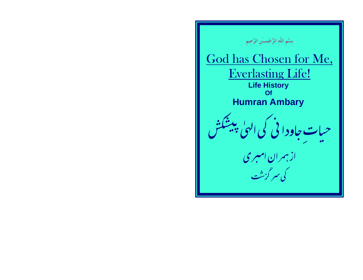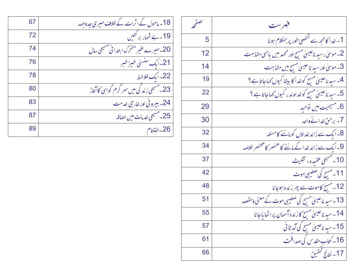| تصمح | فهرست                                                                     |
|------|---------------------------------------------------------------------------|
| 5    | 1۔ خدا کامحھ سے شخصی طور پر ہمکلام ہو نا                                  |
| 12   | 2۔ موسیٰ ،سید ناعیسیٰ مسیح اور محمد میں باہمی مشابہت                      |
| 14   | 3۔موسیٰ اور سید نا عیسیٰ مسح میں مشابہت                                   |
| 19   | 4۔ سید ناعیسیٰ مسح کوخدا کا بیٹا کیوں کہاجاتا ہے؟                         |
| 22   | 5۔ سید ناعیسیٰ مسح کوخداوند ، کیوں کہاجاتا ہے ؟                           |
| 29   | 6۔مسیحیت میں توحید                                                        |
| 30   | 7- برحن خدائے واحد                                                        |
| 32   | 8۔ ایک سے زائد خداؤں کوماننے کامسئلہ                                      |
| 34   | 9۔ ایک سے زائد خدا کے ماننے کا عنصر کا مختصر خلاصہ                        |
| 37   | 10 - مسيحي عقيدهء تثليث                                                   |
| 42   | 11۔ مسح کی صلیبی موت                                                      |
| 48   | 12۔مسح کاموت سے پھر زندہ ہوجانا                                           |
| 51   | 13۔سید ناعیسیٰ مسح کی صلیبی موت کے معنی ومقصد                             |
| 55   | 14- سىد ناغىيىلى مسح كاز ندەآسمان پراٹھاياجانا                            |
| 57   |                                                                           |
| 61   | 15۔سیدناعیسیٰ مسیح کی آمد ثانی<br>16۔کتاب مقدس کی صداقت<br>17۔نتائج تحقیق |
| 66   |                                                                           |

| 18۔ ماحول کے اثرات کے خلاف میری جدوجہد    | 67 |
|-------------------------------------------|----|
| 19۔بےشمار بر کتیں                         | 72 |
| 20۔میرے عنیر متحرک ابتدا ئی مسیحی سال     | 74 |
| 21۔ایک سنسنی خیبر خبر                     | 76 |
| 22- ایک خلاخط                             | 78 |
| 23۔مسیحی زند کی میں سمر گرم گواہی کا آغاز | 80 |
| 24- بیرونی اور خارجی خدمت                 | 83 |
| 25۔مسیحی خدما <mark>ت می</mark> ں اضافہ   | 87 |
| 26۔اختتام                                 | 89 |
|                                           |    |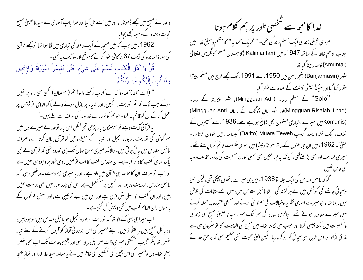واحد نے مسیح میں مجھے ڈھونڈا ، اور میں اسے مل گیا اور خدا باپ آسما ئی نے سید نا عیسیٰ مسیح نجات دہندہ کے وسیلہ مجھے بچالیا۔ 1962ء میں جب کہ میں مسجد کے ایک وعظ کی تیاری میں لگا ہوا تھا تومجھے قرآن کی سورۃ الرائدہ کی آیت 67 پر کافی عور کرنے کاموقع ملا، وہ آیت یہ تھی۔ قُلْ يَا أَهْلَ الْكِتَابِ لَسْتُمْ عَلَى شَيْءٍ حَتَّىَ تُقيمُواْ التَّوْرَاةَ وَالإنجيلَ وَمَا أَنزِلَ إِلَيْكُم مِّن رَّبِّكُمْ " (اے محمد) کہہ دو کہ اے کتاب رکھنے والو! تم ( مسلمان) کسی بھی راہ پر نہیں ہوگے جب تک کہ تم نوریت ، انجیل، اور انبیاء پر نازل ہونے والے پاک الہامی نوشتوں پر عمل کرکے ان کو قائم نہ کرو۔حو تم کو تہارےخداوند کی طرف سے ملے ہیں ۔" یہ قرآنی آیت ویے نوسینکڑوں مار پڑھی تھی لیکن اس مار توخدانے میرے دل میں سمر گوشی کی نوریت ، زبور، انجیل اور انبیاء کے صحیفے ، حن کو قرآن بیان کرتا ہے ، صرف بائبل مقدس میں یا ئی جاتی بیں۔حالانکہ میری سوچ پہاں تک ہی محدود تھی کہ قرآن نے حن پاک الہامی کتب کا ذکر کیا ہے۔ ان مقد س کتب کا اب نوٹھیں مادی طور پر وحود ہی نہیں ہے اور اب نو صرف ان کا خلاصہ ہی قرآن میں ملتا ہے۔ اور یہ میری زبردست علط قہمی رہی، کہ بائبل مقدس، نوریت،ز بور اور انجیل پر مشتعمل ہے، اس کی چند عبار تیں بھی درست نہیں بیں، اور ان کتب کا اصلی متن فرق ہے اور اس میں بے ترتیبی ہے، اور بعض لوگوں کے باتھوں ،ان الہام کتب میں تھی وبیشی کی گئی ہے۔ اب میراحی یهی کھنے لگا تھا کہ توریت ، زبور وانجیل حبو یا ئبل مقدس میں موجود بیں، وہ پالکل صحیح بیں۔عقلاً تومیں ، اپنے ضمیر کی اس اندرو نی آواز کو قبول کرنے کے لئے تیار نهبیں تھا ،مگر عجیب کشمکش میری ذات میں چل رہی تھی اور یقینی حالت تک اب بھی نہیں پہنچا تھا۔ دل وضمیر کی اس بلچل کی تسکین کی خاطر میں نے یہ معاملہ سیدھا، خدا اور نماز نتحد

خدا کامجھ سے شخصی طور پر ہم کلام ہو نا میری پچپلی زندگی ایک مسلم زندگی تھی۔" تحریک محمدیہ" کامنتظم ومبلغ تعا- میں جناب ادہم خالد کے ساتھ 1947ء میں (Kalimantan ) کالیمنتان مسلم کانگریس امنتائی (Amuntai) کاصدر چنا گیا تھا۔ شہر (Banjarmasin) بنجرماسن میں 1950ء سے 1991ء تک مجھے فوج میں مسلم پیشوا مقرر کیا گیااور سیکنڈ کیفٹی نینٹ کےعہدہ سے نوازا گیا۔ ''Solo'' کے مسلم رسالہ (Mingguan Adil)، شہر جکارتہ کے رسالہ (Mingguan Risalah Jihad)اور شہر بان ڈونگ کے ربالہ Mingguan Anti) (Komunis میرے اخباری مضمون بھی شائع ہورہے تھے۔1936ء سے مسیحیوں کے خلاف، ایک تشدد پسند گروپ Barito) Muara Teweh) کیساتھ، میں تعاون کرتا رہا۔ حتیٰ کہ 1962ءمیں ان حماعتوں کےساتھ حوانڈونیشیامیں اسلامی حکومت قائم کرناچاہتے تھے۔ میری حمایت اور بھی بڑھنےلگی، کیونکہ بہ جماعتیں بھی عملی طور پر مسحیت کی پُرُزور مخالف روپہ کی حامل تھیں۔ گو کہ بائبل مقدس کی ایک جلد تو 1936ء میں ہی میرے ہاتھوں آ پچی تھی، لیکن حق وسچا ئی جاننے کی کوشش میں نےہر گزنہ کی۔ الٹا یا ئبل مقدس میں، میں ایسے مقامات کی تلاش میں رہتا تھا ، حومیرے اسلامی نظریہ وخیالات کی ہمنوائی کرتے اور مسیحی عقیدہ پر حملہ کرنے میں میرے معاون ہوتے تھے۔ چالیس سال کی عمر تک میرا سبدنا عیبیٰ مسح کی زندگی وشخصیت میں نکتہ چینی کرنا اور عیب ہی لکالنا تھا۔ میں مسج کی الوہیت کا تو سٹروع ہی سے مذاق اڑاتا اور اس طرح العلی سجا فی کورد کرتار با- لیکن العلی محبت اتنی عظیم تھی کہ برحق خدائے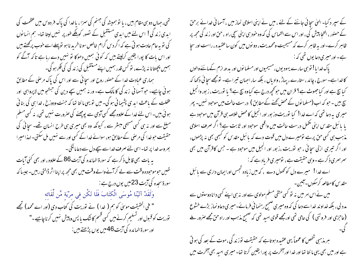کے سپر د کیا۔ الہیٰ سچائی جاننے کے لئے ، میں نے اپنی اسلامی نماز میں ، آسما فی خدائے برحق کے حصنور ، التحا پبیش کی ، اور اس سے التماس کی کہ وہ حود ہی اپنی سچی راہ ، حق اور زند گی مجھ پر ظاہر کرے-اور بیہ ظاہر کرے کہ مسیحیت ومحمدیت، دو نوں میں کون ساعقیدہ ، راست اور سجا ہے۔اور میری دعا یوں تھی کہ :

یاک خدایا! توہی سارے یہودیوں، مسیحیوں اور مسلما نوں اور بدھ ازم کے ماننے والوں کاخداہے۔سورج ، چاند ، ستارے ، یہاڑ ، وادیاں ، بلکہ سار احبان تیراہے۔ تومجھے سچائی دکھا کہ کیا ہچ ہے اور کیا جھوٹ ہے؟ قران میں حو تحچھ درج ہے کیاوہ سچ ہے؟ یا نوریت، زبور وانجیل سچ بیں ۔ حو کہ اب **(**مسلما نوں کے محض کھنے کے مطابق ) درست حالت میں موحود نہیں۔ پھر مہیری بہ دعا تھی کہ اے خدا! کیا توریت وز بور اور انجیل کا محض خلاصہ ہی قرآن میں موجود ہے یا با ئبل مقدس اپنی مکمل درست حالت میں واقعی موحود اور ثابت ہے؟ اگر صرف اسلامی مذہب ہی کسی حق پرہے تومیرے دل میں قوت دے کہ پائبل مقد س کو کبھی بھی نہ پڑھوں، اور اگر تیری ازلی سچائی ، جو نوریت ،زبور اور انجیل میں موجود ہے ۔ جس کاقرآن میں بھی سمرسری ذکرہے۔وہی حقیقت ہے ، تومیری فریاد ہے کہ : اے خدا! میرے دل کو کھول دے ، کہ میں زیادہ تجس اورایمان داری سے پائبل مقدس کامطالعہ کرسکوں۔آئین۔ میں نے اس امر میں نہ تو کسی متقی مسلم مولوی سے اور نہ ہی اپنے کسی دانا دوستوں سے مدد لی ، بلکہ خداوند خداسے دعا کی کہ وہ میری صحیح رہنمائی فرمائے۔میری دعاونماز بڑے خشوع (عاحزی اور فروتنی ) کی حامی تھی اورمجھے قوی امید تھی کہ صحیح مذہب اور راہ حق مجھے صرور ملے ہر مذہبی شخص کا عموماً یہی عقیدہ ہوتاہے کہ حقیقت توزند گی ،موت کے بعد کی ہو تی

ہے اور میں بھی یہی ما نتا تھا اور خدا اور آمخرت پر پورا یقین کرتا تھا۔ میری امید بھی آمخرت میں

تھی، جہاں دو ہی مقام بیں ، یا نو ہمیشہ کی جہنم کی سمزا ، یاخدا کی پاک فر دوس میں عظمت کی ابدی زندگی! اس لئے میں ابدی مستقبل کے نصور کوبلکے طور پر نہیں لیتا تھا۔ ہم انسانوں کی تو بہ عام عادت ہو تی ہے کہ اگر دس گرام خالص سوناخرید ناہو تو پہلے اسے خوب پر گھتے ہیں اور اس مات کا پورا یقین کرلیتے ہیں کہ کوئی ہمیں دھوکا تو نہیں دے رہا ہے تاکہ آگے کو ہمیں پچھتانا نہ پڑے، تو کس قدر ہمیں اپنے مستقبل کی زند کی کی فکر ہو گی۔ ہماری عمادت خدا کے حصنور روح اور سچائی سے اور اس کی پاک مرصٰی کے مطابق ہو نی چاہیے۔ حو آسما نی زند کی کا مالک ہے۔ ور نہ ہمیں سچے دین کی جسٹجو میں لاپرواہی اور عَفلت کے باعث ابد ی پشیما نی ہو گی۔میں تو یہی مانتا تھا کہ جنت ودوزخ ، خدا ہی کی بنا ئی ہو ئی بیں۔اس لئے خدا کے علاوہ مجھے کسی آدمی سے پوچھنے کی صرورت نہیں تھی، نہ کسی مسلم مبلغ سے اور نہ ہی کسی مسیحی مبسٹر سے ، کیونکہ وہ بھی میری ہی طرح انسان تھے۔ سچائی کی حقیقت حوخدا کی مرحنی کے مطابق ہو، سوائے خدا کے کسی اور سے نہیں مل سکتی۔ لہذا میرا بھروسہ خدا پر تھا۔اسی لئے صرف خداسے سچے دل سے دعاما نگی ۔ یہ بات بھی قابل ذکر ہے کہ سورۃ المائدہ کی آیت 86کے علاوہ ، اور بھی کئی آیات تھیں حوموحودہ وقت سے لے کرآنے والے وقت میں بھی مجھ پر اپناا ٹر ڈالتی رہیں۔ جیسا کہ سورۃ سحدہ کی آیت 23میں یوں درج ہے : وَلَقَدْ آتَيْنَا مُوسَى الْكتَابَ فَلَا تَكُن في مرْيَة مِّن لِّقَائه " فی الحقیقت موسیٰ کو ہم ( غدا ) نے نوریت کی کتاب دی (اور اے محمد) تجھے توریت کو قبول اور تسلیم کرنےمیں کسی قسم کانٹک یا پس و پیش نہیں کرناچاہیے۔" اور سورة المائدہ کی آیت 46میں یوں پڑھتے ہیں: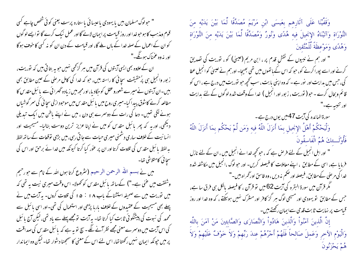وَقَفَّيْنَا عَلَى آثَارِهم بعَيسَى ابْنِ مَرْيَمَ مُصَدِّقًا لِّمَا بَيْنَ يَدَيْه منَ التَّوْرَاةِ وَآتَيْنَاهُ الإنجيلَ فيه هُدًى وَنُورٌ وَمُصَدِّقًا لِّمَا بَيْنَ يَدَيْهِ مِنَ التَّوْرَاةِ وَهُدًى وَمَوْعِظَةً لِّلْمُتَّقِينَ

" اور ہم نے نبیوں کے نقش قدم پر ، ابن مریم (عیسیٰ) کو ، نوریت کی نصدیق کرنے اور اسے پورا کرنے کو، حبو کہ اس کے ماتھوں میں تھی بھیجا۔ اور ہم نے عیسیٰ کو انجیل عطا کی، جس میں بدایت اور نور ہے ۔ کہ وہ اپنی یابت ، سب کحچھ حبو توریت میں درج ہے ، اس کو قائم وبحال کرے ۔ حبو ( توریت ، زبور اور انجیل ) خدا کے وقف شدہ لوگوں کے لئے ہدایت

سورۃالمائدہ کی آیت 47میں یوں درج ہے۔

وَلْيَحْكُمْ أَهْلُ الإنجيل بمَا أَنزَلَ اللَّهُ فيه وَمَن لَّمْ يَحْكُم بمَا أَنزَلَ اللَّهُ فَأُوْلَــئكَ هُمُ الْفَاسقُونَ

" اور اہل انجیل کے لئے فرص ہے کہ ، حو تحچھ خدا نے انجیل میں ، ان کے لئے نازل فرمایا ہے، اسی کے مطابق ، اپنے معاملات کا فیصلہ کریں- اور حبو لوگ ،انجیل میں مکاشفہ شدہ خدا کی مرضی کےمطابق، فیصلہ اور حکم نہ دیں ، وہ فاسق اور گھراہ بیں۔"

مگر قرآن میں سورۃ البقرہ کی آیت 62 میں تو قرآن ، کا فیصلہ بالکل ہی فرق سا ہے، جس کے مطابق تو یہودی اور مسیحی لوگ ہر گز کافر اور مشرک نہیں ہوسکتے ، کہ وہ خدا اور روز قیامت پر نہایت ثابت قدمی سےایمان رکھتے ہیں۔

إِنَّ الَّذِينَ آمَنُواْ وَالَّذِينَ هَادُواْ وَالنَّصَارَى وَالصَّابِئِينَ مَنْ آمَنَ بِاللَّه وَالْيَوْمِ الآخرِ وَعَمِلَ صَالحاً فَلَهُمْ أَجْرُهُمْ عِندَ رَبِّهِمْ وَلاَ خَوْفٌ عَلَيْهِمْ وَلاَ ه و پُه دُونَ

" حولوگ مسلمان بین یا یهودی یاعیسائی یاستاره پرست یعنی کوئی شخص چاہے کسی قوم ومذہب کا ہو حو خدا اور روز قبامت پر ایمان لائے گا اور عمل نیک کرے گا تو ایسے لو گوں کو ان کے اعمال کے صلہ خدا کے ہاں ملے گا، اور قیامت کے دن ان کو نہ کسی کا خوف ہوگا اور په وه عمناک ہوئگے۔"

ان کے علاوہ بھی ایسی آیتوں کی قرآن میں ہر گز تھی نہیں جو یہ بتا تی بیں کہ نوریت، ز بور وانجیل ہی پرُحقیقت سچائی کا راستہ بیں، حبو کہ خدا کی کامل مرضی کے عین مطابق بھی بییں۔ان آیتوں نے میرے شعورو عقل کو حِگادیا، اور مجھ میں زیادہ ٹھرا ئی سے پائبل مقد س کا مطالعہ کرنے کاشوق پیدا کیا۔میری روح میں یا ئبل مقدس میں موجود ازلی سچا ئی کی سمر گوشیاں ہونے لگی تھیں۔ دعا کی رات کے دوسرے ہی دن ، میں نے اپنے باطن میں ایک تبدیلی دیکھی، اور یہ کہ پھر پائبل مقدس کو میں نے اپنا عزیز ترین دوست بنالیا۔ مسیحیت اور انسانیت کے خلاف ساری دشمنی میری حبات سے جاتی رہی، میں بڑی توقعات کے ساتھ لفظ بہ لفظ یا ئبل مقدس کی تلاوت کرتا اور ان پر عور کیا کرتا کیونکہ میں خدا ئے برحق اور اس کی سجا ئى كامتلاشى تعا-

میں نے بسم اللہ الرحمن الرحیم (سُروع کرتا ہوں اللہ کے نام سے حور حیم وشفقت میں عنی ہے۔") کےساتھ پائبل مقدس کو تھولا۔ اس وقت میری نیت یہ تھی کہ میں نوریت میں سے صحیفہ استشناکے باب ۱۸ : ۱۵ کی تلاوت کروں۔ یہ آیت میں نے پہلے بھی مسیحیت کے عقیدوں کے خلاف بارہا پڑھی اور استعمال کی تھی۔اور اسی با ئبل سے محمد کی نبوت کی پیشنگوئی ثابت کیا کرتا تھا- یہ آیت تومجھے پہلے سے باد تھی، لیکن آج پائبل کی اس آیت میں دوسرے معنی مجھے نظر آنے لگے۔ سچ نو بہ ہے کہ پائبل مقدس کی صداقت پر میں حیونکہ ایمان نہیں رکھتاتھا، اس لئے اس کے معنی کا سمجھنا دشوار تھا۔ لیکن وہ ایماندار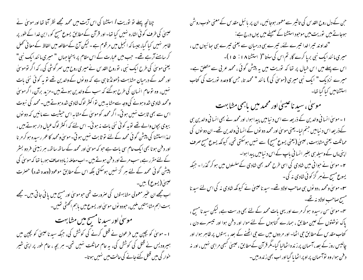چنانچہ پہلے تو توریت / استشنا کی اس آیت میں محمد مجھے نظر آتا تھا اور موسلی نے عیسیٰ کی طرف کوئی اشارہ نہیں کیا تھا۔ اور قرآن کےمطابق یسوع مسیح کو ، ابن خدا کے طور پر ظاہر نہیں کیا گیا، جیسا کہ انجیل میں مرقوم ہے ۔ لیکن آج کے مطالعہ میں الفاظ کے معا ٹی تھل کر سامنے آرہے تھے۔ جب میں عبارت کے اس مقام پر پہنچا جہاں " میری مانند ایک نبی" یعنی موسیٰ کی طرح ایک نبی ، توروح القدس نے میری روح میں سر گوشی کی ، کہ اگر توموسیٰ اور محمد کے درمیان مشابہت ڈھونڈ تا ہی ہے کہ دو نوں کے والدین تھے تو یہ کوئی نئی بات نہیں، وہ نوعام انسان کی طرح ہوگئے کہ سب کے والدین ہوتے بیں۔مزید برآن، اگر موسیٰ ومحمد شادی شدہ ہونے کی وجہ سےمشاہہ بیں نواکثر لوگ شادی شدہ ہوتے ہیں۔محمد کی نبوت اس سے بھی ثابت نہیں ہوتی۔اگر محمد کوموسیٰ کے مشاہراس حیثیت سے مانیں کہ دو نوں بیوی بچوں والے تھے تو یہ کوئی نئی بات نہ ہوئی۔ اس لئے کہ اکثر لوگ عبال دار ہوتے بیں ، لہذا استشنا کی پیشن گوئی محمد کے لئے تو ثابت نہیں ہوتی۔موسیٰ ومحمد کا عمر رسیدہ ہوکر مر نا اور دفن ہونا بھی ایک عام سی بات ہے حبو کہ موسیٰ اور محمد کے ساتھ ساتھ، ہر زمینی فر دو بسٹر کے لئے مقرر ہے،سب مرتے اور دفن ہوتے ہیں -اب معاملہ زیادہ صاف ہورہا تھا کہ موسیٰ کی پیش گوئی محمد کے لئے ہر گز نہیں ہوسکتی بلکہ اس کے مطابق موعود (وعدہ شدہ) حصرت عیسیٰ(یسوع) ہیں۔ اب مجھے ان عنیر معمولی مشابهتوں کی صرورت تھی حوموسیٰ اور مسیح میں پائی جاتی ہیں۔ مجھے بهت اہم مشابہتیں ملیں، حودو نوں موسیٰ اور یسوع میں باہم اکھٹی تھیں۔ موسیٰ اور سید نامسیح میں مشابہت ا ۔ موسیٰ کو بچپن میں فرعون نے قتل کرنے کی کوشش کی، جبکہ سبد ناعیسیٰ کو بچپن میں ہیرودیس نے قتل کی کوشش کی، یہ عام مماثلت نہیں تھی۔ ہر بجہ ، عام طور پر اپنی شیر خوار کی میں قتل کئے جانے کی حالت میں نہیں ہوتا۔

حبن کے دل روح القد س کی تاثیر سے معمور ہوجائیں، ان پر بائبل مقد س کے معنی حوب روشن ہوجاتے ہیں توریت میں موحود استشناکے صحیفے میں یوں درج ہے: "خداوند تیراخدا تیرے لئے، تیرے ہی درمیان سے یعنی تیرے ہی ہعائیوں میں ، میری ما نند ایک نبی برپا کرے گا، تم اس کی سنتا"( استشنا ۱۸ : ۵۰)۔ اس سے پہلے میں اس خیال پر تفا کہ توریت میں یہ پیشْ گوئی ، محمد عربی سے متعلق ہے۔ میرے نزدیک " ایک نبی میری (موسیٰ کی ) مانند " محمد تا، جس کا وعدہ توریت کی کتاب استشنامیں کیا گیا تھا۔ موسیٰ، سید ناعیسیٰ اور محمد میں باہمی مشابهت 1 ۔ موسیٰ انسانی والدین کے ذریعہ سے اس د نیامیں پیدا ہوا، اورمحمد نے بھی انسانی والدین ہی کے ذریعہ اس د نیامیں جنم لیا۔ یعنی موسیٰ اور محمد دو نوں کے انسانی والدین تھے۔ ان دو نوں کی مماثلت یعنی مشابہت ، عیسیٰ (یعنی یسوع مسح) سے نہیں ہوسکتی تھی، کیونکہ یسوع مسح صرف

**۲**۔ موسیٰ نے حوافی میں شادی کی اسی طرح محمد بھی شادی کےسلسلوں میں ہو کر گذرا ۔ حبکہ یسوع مسح نے ہر گز کوئی شادی نہ کی۔ **۲۔** موسیٰ ومحمد ،دو نوں بی صاحب اولاد تھے۔ سید ناعیسیٰ نے کیونکہ شادی نہ کی اس لئے سید نا مسح صاحب اولادينه تھے۔

اپنی ماں کے وسیلہ ہی بغیر انسانی باپ کے اس د نیامیں پیدا ہوا۔

<sup>م</sup>7۔ موسیٰ سن رسیدہ ہو کر مرے اور یہی بات محمد کے لئے بھی درست ہے، لیکن سید نامسیح ، پاک نوشتوں کے عین مطابق ، ہمارے گناہوں کے لئے موا، اور دفن ہوا اور تیسرے دن ، کتاب مقدس کے مطابق حجی اٹھا۔ اور مر دوں میں سے حجی اٹھنے کے بعد ، بہتوں پر ظاہر ہوا، اور چالیس روز کے بعد، آسمان پر زندہ اٹھالیا گیا۔مگر قرآن کےمطابق ،عیسیٰ کسجی مراہی نہیں ، اور نہ د فن ہوا، وہ نوآسمان پر او پر اٹھا یا گیااور اب بھی زندہ بیں۔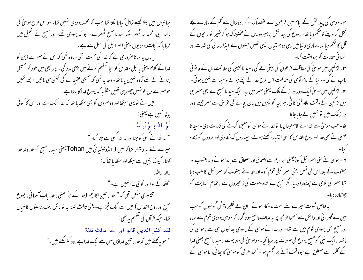ہائیوں میں ہعلا کیسے شامل کیاجاسکتا تھا،جب کہ محمد یہودی نہیں تھا۔ سواس طرح موسیٰ کی ما نند نبی، محمد نہ ٹھہرا بلکہ سیدنا مسیح ٹھہرے۔ حو کہ یہودی تھے۔ اور مسیح نے انجیل میں فرمایا کہ نجات یہودیوں یعنی اسرائیل کی نسل سے ہے۔ یہاں یہ بتاناصروری ہے کہ خدا کی محبت اتنی زیادہ تھی کہ اس نے میرے ذہن کو خدا کے کلام یعنی بائبل مقد س کوسچا تسلیم کرنے میں بڑی مدد کی - پھر بھی میں خود کو مسیحی بنانے کے لئے آمادہ نہیں پاتا تھا- وجہ یہ تھی کہ مسیحی عقیدے کی کتنی ہی باتیں ایسے تھیں حومیرے دل کو نہیں چھور بی تھیں مثلاً یہ کہ یسوع خدا کا بیٹا ہے۔ میں نے نویہی سیکھا اور دوسمروں کو بھی سکھایا تھا کہ خدا ایک ہے اور اس کا کوئی بیٹا نہیں ہے یعنی: لَمْ يَلدْ وَلَمْ يُولَدْ " نہ اللہ نے کسی کو جنااور نہ اللہ کسی سے جنا گیا۔" میرے لئے یہ دشوار تعاکہ میں ( انڈونیشائی میں Tohan یعنی سیدنا مسح کو <sub>خدا</sub>وند <sub>خدا</sub> کھتا، کیونکہ بچپن سےسیکھااور سکھایا تعا کہ : لإاله الإالتُد "الله کےسوااور کوئی خدا نہیں ہے۔" تیسری مشکل تھی کہ " خدا، تین اقانیم (خدا کے حِزُّ یعنی ، خدا ماپ آسما فی، یسوع مسح اور روح القدس ) میں سے ایک جُز ہے۔ یعنی ثالث ثلثہ پہ تو بالکل بت پرستوں کا خیال تعا- جبکہ قرآن کی تعلیم پہ تھی: لقد كفر الذين قالو ان الله ثالث ثلثة " حبوبہ پھتے ہیں کہ خدا، نتین خداؤں میں سے ایک خدا ہے، وہ کفر بکتے ہیں۔"

۲۔موسیٰ کی بیدائش کے ایام میں فرعون نے عضبناک ہو کر، دوسال سے کم کے سارے بچے قتل کراوینے کا حکم دیا تھا۔ یسوع کی پیدائش پر ہمیرودیس نے عضبناک ہو کرشیر خوار بجوں کے قل کا حکم دیا تھا۔ساری د نیامیں یہی دو ہستیاں ایسی تھیں جنہوں نے ایذارسانی کی شدت اور ا نسا فی حقارت کو برداشت کیا۔ س<sup>م</sup>۔لڑ کیپن میں موسیٰ کی حفاظت فرعون کی بیٹی نے کی ، سید ناعیسیٰ کی حفاظت ان کے قا نو نی باپ نے کی۔ د نیا کے عام آدمی کی حفاظت اس طرح خدا کے چنے ہوئے وسیلہ سے نہیں ہو تی۔ س لڑ کیپن میں موسیٰ ایک دور دراز کے ملک یعنی مصر میں رہا، جبکہ سید نامس<del>ح</del> نے بھی مصر ہی میں لڑکپن کے وقت جلاوطنی کا ٹی، ہر بچہ کو بچپن میں جان بچانے کی عرص سے مصر جیسے دور دراز ملک میں تو نہیں لےجاپاجاتا۔ ۵۔ حب موسیٰ سے خدا نے کام لینا چاہا تو خدا نے موسیٰ کو معجزہ کرنے کی قدرت دی۔ سید نا عیسیٰ نے بھی خدا اور روح القدس کا الهیٰ اختیار رکھتے ہوئے ، بیماروں ک شفادی اور مر دوں کو زندہ ۲ - موسیٰ نے بنی اسمرائیل کو( یعنی ابراہیم سے اضحاق اور اضحاق سے پیدا ہونے والا یعقوب اور یعقوب کے بعد اس کی نسل یعنی اسرائیلی قوم کو۔اور خدا نے یعقوب کواسمرائیل کالقب دیا تھا مصر کی علامی سے چھٹکارا دلایا۔مگر مسیح نے گناہ وموت کی زنجیروں سے ، تمام انسایت کو یہ خاص شوت میرے لئے بہت مدد گار ہوئے۔ ان بے نظیر پیش گوئیوں کو حب میں نے ٹھرا ٹی اور دانش سے سمجعا تومجھ پر بہ صاف واضح ہوتا گیا، کہ موسیٰ یہودی قوم سے تھا، اور مسیح بھی یہودی قوم میں سے تھا۔ اور خدا نے موسیٰ کے یہودی ہعائیوں ہی سے ، موسیٰ کی ما نند ، ایک نبی کومسیح یسوع کی صورت پر برپا کیا۔سوموسیٰ کی مشابهت ، سید نامسیح یعنی خدا

کے کلمہ سے متعلق ہے حووقت آنے پر مجسم ہوا۔ محمد عربی کو موسیٰ کا ہائی، یا موسیٰ کے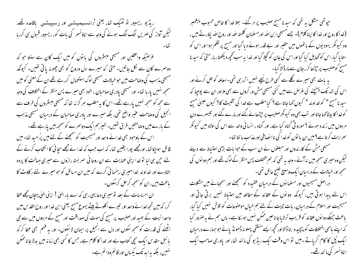ریڈیو ریسپور نو ٹھیک تھا، یعنی ٹرانسیپھیشین اور دسپیشی باقاعدہ تھے، لیکن آواز کی لہریں الگ الگ ہونے کی وجہ سے اناؤنسر کی بات کو، ریسیور قبول ہی کررہا غرضیکہ واعظین اور مسیحی مبشروں کی باتوں کو میں ایک کان سے سنتا حو کہ دوسرے کان سے لکل جانتیں۔ حتی کہ میرے دل وروح کو بھی چھونہ یا تی تھیں۔ کیونکہ مسیحی مذہب کی وصاحت میں حو خبالات مسیحی لوگ استعمال کررہے تھے ان کے معنی کو میں سمجھ نہیں پارہا تھا۔ اور مسیحی یادری صاحبان ، خود بھی میرے پس منظر کے اختلاف کی وجہ سے مجھ کوسمجھ نہیں پارہے تھے۔اس کا یہ مطلب ہر گز نہ تھا کہ مسیحی مبسٹروں کی طرف سے انجیل کی وصاحت عنیر واضح نتھی، بلکہ میرے اور یادری صاحبان کے درمیان مسیحی مذہب کے بارے میں وصاحتیں فرق تھیں۔خیرہم ایک دوسرے کو سمجھ بیں یارہے تھے۔ اس کے باوجود بھی خدائے واحد اور مسیحیت کو سمجھنے کے لئے میں پُرامید تھا۔میں قائل ہوجکاتھا، اورمجھے پورا یقین تھا، کہ اب حب کہ خدا نے مجھے سجا ئی کا انتخاب کرنے کے یئے جپن ہی لیا توخدا اپنی عنایت سے ان روحانی سمر بستہ رازوں سے میری جہالت کا پردہ ہٹادے اور خداوند خدا میری رہنمائی کرے کہ میں ان مسائل کو حومیرے لئے رکاوٹ کا یاعث ہیں، ان کو سمجھ کرحل کرسکوں۔ ان احساسات کے بعد تومیری دعا یہی رہی کہ اے بار الہیٰ ! اپنی الہیٰ پہچان مجھے عطا کر، کہ میں تجھ خدائے واحد اور تیبرے اکلوتے بیٹے یسوع مسح یعنی ابن خدااور روح القدس میں واحدا نبیت کے بھید اور صلیب پر مسح کی موت کی صداقت اور مسح کے مر دوں میں سے حی اٹھنے کی قدرت کوسمجھ سکوں اور دل سے انجیل پر ایمان لا سکوں۔ اور یہ فہم بھی عطا کر کہ یا ئىل مقدس ایک سچی کتاب ہے اور خدا کا کلام ہے، جس کا کسی بھی زمانہ میں بدلاجانا ممکن

ینہیں، بلکہ یہ ابد تک یکساں اور قائم ودائم ہے۔

حپوتھی مشکل ہہ تھی کہ سیدنا مسیح صلیب پر مرگئے۔ ہعلا خدا کا خاص محبوب پیغمبر (خدا کاروح اور خدا کا اپنا کلام)۔ جسے مسیحی ابن الله اور مسلمان کلمتہ الله اور روح الله. پکار تے بیس ، وہ کیونکر یہودیوں کے پانھوں میں حقیر اور بے قدر ہونے دیا گیا اور مسح پر ظلم ہوا اور اس کو ستا ما گیا، اس کوٹھایل کیا گیا اور اس کی جان کو کچلا گیا اور خدا بہ سب کحچھ دیکھتاریا، حتیٰ کہ سید نا مسح کوصلیب پر چڑھا کر ، جان سے مارڈالا گیا۔ یہ بات بھی میرے گلے سے کسی طرح نیچے نہیں اترر ہی تھی۔معاملہ کو حل کرنے اور اس کی نتہ تک پہنچنے کی عرِّض سے میں کئی مسیحی مشن ور کروں سے بھی ملااور ان سے پوچیا کہ سبد نامسج " کو خداوند " کیوں <sub>ک</sub>ما جاتا ہے؟ کیامطلب ہے خدا کی تثلیث کا؟ کیوں عیسیٰ مسح کو خدا کا بیٹا کہا جاتا اور تب بھی وہ کیونکر صلیب پر حپڑھائے گئے اور مارے گئے اور تیبسرے دن مر دوں میں زندہ ہوئے ؟ مورو ٹی گناہ کیا ہے، اور گناہ ، انسانی والد سے اس کی اولاد میں کیونکر سمرایت کرتا ہے؟میں ان با نوں کو خدا کی ناا نصافی اورعذاب ما نتا تھا۔ مسیحی مش کے کار ندوں اور مبلغوں نے ان سب کے حبوا مات بڑی احتباط سے دیئے لیکن وہ میری سمجھ میں نہ آئے۔وجہ یہ تھی کہ ہم مختلف پس منظر کے لوگ تھے اور ہم دو نوں کی سمجھ اور خیالات کے درمیان ایک وسیع خلیج حائل تھی۔ دراصل مسیحیوں اور مسلما نوں کے درمیان عقیدہ کو سمجھنے اور سمجیانے میں مشکلات اس لئے پیدا ہوتی بیں، کیونکہ دونوں کے عقائد کے مطالعہ میں احتباط نہیں برقی جاتی اور مسیحیت اور اسلام کے درمیان، بات چیت کے لئے ہم خیال موصنوعات کو تلاش نہیں کیا گیا، یاعث جسکے دو نوں عقائد کو قریب ترلایاجاناعین ممکن نہیں ہوسکا ہے۔ ہاں ہم نے بہ صرور کیا کہ اپنے ماہمی اختلافات کو پیچیدہ بنا ڈالااور تحچیہ ایسے منطقی پہلو نہ ڈھونڈ پائے حوہمارے درمیان ایک پُل کا کام کریاتے ۔میں نو اس وقت ایک ریڈیو کی مانند تھا، اور یادری صاحب ایک اناؤنسر کی ما نند تھے۔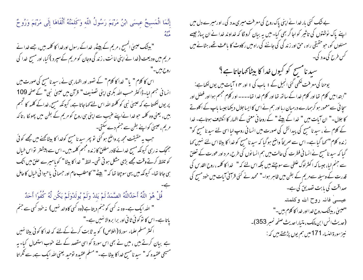إِنَّمَا الْمَسِيحُ عِيسَى ابْنُ مَرْيَمَ رَسُولُ اللّهِ وَكَلِمَتُهُ أَلْقَاهَا إِلَى مَرْيَمَ وَرُوحٌ "بیٹک عیسیٰ المسیح ، مریم کے بیٹے، خداکے رسول اورخدا کا کلمہ بیں، جسے خدا نے مریم میں ودیعت (خدا نے اپنی امانت ، زند گی وجان کو مریم کےسپرد ) کیا، اور مسح خدا کی روح بين-" اس کا کلام " یا" خدا کا کلام" کے تصور اور اظہار ہی نے ، سید نامسیح کی صورت میں انسانی حجیم لیا۔ڈاکٹر حسب <sub>اللہ</sub> بکری اپنی تصنیف" قرآن میں عیسیٰ نبی" کے صفحہ 109 پر یوں لکھتا ہے کہ عیسیٰ نبی کو کلمتہ اللہ اس لئے کہا جاتا ہے، کیونکہ مسج ، خداکے کلمہ کا تجسم ہیں، یعنی وہ کلمہ حو خدا نےاپنے عنیب سے اپنی ہی روح کو مریم کے بطن میں پھولکا ، تاکہ مریم ،عیسیٰ کواپنے بطن سے جنم دے سکتی۔ حب یہ حقیقت مجھ پر واضح ہو گئی تو پھر سید نامسیح کوفدا کا بیٹا کھنے میں مجھے کوئی جھجک نہ رہی کیونکہ مسح خدائے قادر مطلق کا زندہ مجسم کلمہ بیں۔اس سے پیشنتر تواس خیال کو تلفظ کرتے وقت مجھے بڑی مشکل ہو تی تھی۔ لفظ " خدا کا بیٹا " کویا میرے حلق میں اٹک ہی جاتا تھا۔ کیونکہ میں یہی سوچتا تھا کہ " بیٹے " کامطلب عام اور حسما فی یاحیوا فی خیال کا حامل قُلْ هُوَ اللَّهُ أَحَدٌاللَّهُ الصَّمَدُ لَمْ يَلِدْ وَلَمْ يُولَدْوَلَمْ يَكُن لَّهُ كُفُوًا أَحَدٌ " الله ایک ہے۔ وہ نہ کسی کو جنم دیتا ہے (وہ کسی کاوالد نہیں) نہ خود کسی سے جنم یاتا ہے۔اس کا نوکوئی ثانی اور برا بروالا نہیں ہے۔" ا کنٹر مسلم علماء سورۃ (اخلاص) کو یہ ثابت کرنے کےلئے کہ خدا کا کوئی بیٹا نہیں ہے بیان کرتے ہیں ، میں نے بھی اس سورۃ کو اسی مقصد کے لئے خوب استعمال کیا۔ یہ مسیحی عقیدہ کہ " سید نامسیح خداکا بیٹا ہے۔" مسلم عقیدہ نوحید یعنی اللہ ایک ہے، سے گلراتا

بے نتک کئی بار خدا نے اپنی پاک روح کی معرفت میری مدد کی ، اورمیرے دل میں اپنے پاک نوشتوں کی تاثیر کواجاگر بھی کیا- میں یہ بیان کروںگا کہ خداوند خدا نے ان پہاڑ جیسے مسئلوں کو، حوحقیقی راہ ، حق اور زند کی کی جاننے کی راہ میں ر کاوٹ کا باعث تھے، ہٹانے میں کس طرح کی مدد کی۔

سید نامسح کو کیوں *خد*ا کا بیٹا کہاجاتا ہے؟ یوحنا کی معرفت لکھی گئی انجیل کے ۱ باب کی ۱ اور ۴ ا آیات میں یوں لکھاہے: "ابتدامیں کلام تھا اور کلام خدا کے ساتھ تھا اور کلام خدا تھا۔۔۔۔ او ر کلام مجتم ہوا اور فضل اور سچا ئی سے معمور ہو کرہمارے درمیان رہا اور ہم نے اس کا ایسا جلال دیکھا جیسا باپ کے اکلوتے کا جلال۔" ان آبات میں " خدا کے بیٹے " کے روحانی معنی کے اظہار کا انکشاف ہوتاہے۔ خدا کے کلام نے ، سید نا مسح کی پیدائش کی صورت میں انسانی روپ لیا اسی لئے سید نا مسح کو" زندہ کلام" کہا گیا ہے۔ اس سے صریحاً واضح ہوگیا کہ سید نامسج کو خدا کا بیٹا اس لئے نہیں کہا گیا کہ سید نامس سنے نے انسانی فطرت کی حالت میں ہم انسانوں کی طرح، مرد اور عورت کے تعلق سے جنم لیا، جیسا کہ اکثر لوگ غلطی سے سوچتے ہیں بلکہ اس لئے کہ " خدا کا کلمہ ، روح القد س کی قدرت کے وسیلہ سےمریم کے بطن میں ظاہر ہوا۔" محمد نے کئی قرآنی آبات میں خود مسح کی صداقت کی بابت تصدیق کی ہے۔ عيسىٰ فانہ روح الله وكلمتہ ''عیسیٰ ، بیٹنگ روح خدا اور خدا کا کلام بیں۔'' (حديث انس ابن مالك، متياراحديث صفحه نمسر 353)۔ نيز سورة النساء 171 ميں ہم یوں پڑھتے ہیں کہ :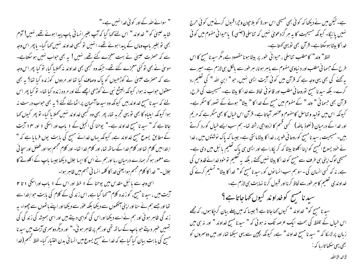" سوائے اللہ کے اور کو ئی خدا نہیں ہے۔"

شاید عیسیٰ کو " خداوند " اس لئے <sub>ک</sub>ہا گیا کہ آپ بغیرِ انسانی باپ پیدا ہوئے تھے، نہیں! آدم بھی تو بغیر پاپ وہاں کے پیدا ہوئے تھے۔ انہیں تو کبھی خداوند نہیں کہا گیا- پاپھر اس وجہ سے کہ حصرت عیسیٰ نے بہت معجزے کئے تھے، نہیں! یہ بھی حواب نہیں ہو سکتاہے۔ موسیٰ نے بھی نوکئی معجزے کئے تھے۔جبکہ وہ کسجی بھی خداوند یہ کھلایا گیا، نو کیا پھر اس وجہ سے کہ حصرت عیسیٰ نے کوڑھیوں کو پاک وصاف کیا تھا اور مردوں کوزندہ کیا تھا؟ یہ بھی معقول حواب نہ ہوا، کیونکہ الیشع نبی نے کوڑھی اچھے گئے اور مر دہ زندہ کیا تھا۔ تو کیا پھر اس لئے کہ سبد نامسح خداوند بیں کیونکہ وہ سبدھاآسمان پراٹھالئے گئے ؟ یہ بھی حواب درست نہ ہوا کیونکہ ایلیاہ کا بھی تو یہی تجربہ تھا، پھر بھی وہ کبھی خداوند نہیں کھلا یا گیا۔ تو پھر کیوں کھا جاتا ہے کہ " سید نامسح خداوند ہے۔" یوحنا کی انجیل کے ۱ باب اور اسکی ۱ اور ۴ ا آیت کے مطابق یسوع مسح خداوند ہے، کیونکہ یہاں خدانے مسح کی بابت یوں فرمایا ہے کہ " ا بتدامیں کلام تھا اور کلام خدا کے ساتھ تھا، اور کلام خدا تھا۔ اور کلام مجسم ہوا اور فصل اور سجا ئی سے معمور ہو کر ہمارے درمیان ریا اور ہم نے اس کا ایسا جلال دیکھا جیسا پاپ کے اکلوتے کا جلال -" خدا کا کلام مجسم ہوا یعنی خدا کا کلمہ انسا فی جسم میں ظاہر ہوا۔ اسی وجہ سے پائبل مقدس میں یوحنا کے 1 خط اور اس کے 1 پاب اوراسکی 1 تا ٢

آیت میں ، سید نامسیج، کو زندہ کلام" کہا گیا ہے، اس زند گی کے کلام کی بابت حوابتدا سے تھا اور جسے ہم نے سنا اور اپنی آنکھوں سے دیکھا بلکہ عور سے دیکھا اور اپنے ہاتھوں سے چھوا۔ یہ ز ند گی ظاہر ہو ئی اور ہم نے اسے دیکھا اوراس کی گواہی دیتے بیں اور اسی ہمیشہ کی زند گی کی تہمیں خبر دیتے حو باپ کے ساتھ تھی اورہم پر ظاہر ہو ئی۔" اور دیگر دوسمری آیت میں سید نا مسح کی یا بت بیان کیا گیا ہے کہ خدا نے مسح یسوع میں انسا فی بدن اختیار کیا۔لفظ نجسم (خدا

ہے۔لیکن میں نے دیکھا کہ کوئی بھی مسیحی اس سورۃ کو بلاحیون وحیرا قبول کرنے میں کوئی حرج نہیں پائیگا- کیونکہ مسیحیت کا یہ ہر گزدعویٰ نہیں کہ تناسلی (جنسی ) یاحیوانی مفهوم میں کوئی خدا کا بیٹاہوسکتا ہے۔ قرآن بھی نویہی کھتا ہے۔

لفظ" ولد" کامطلب تناسلی ، حیوانی طور پر بیٹا ہونامقصود ہے،مگر سید نامسح کا اس طرح کے حسما فی مطلب اور د نیاوی مفهوم سے پاہر ہونا، مبر طور سے پالکل ہی لازم ہے۔میر ے یہ کھنے کی بھی یہی وجہ ہے کہ قرآن میں کوئی آیت ایسی نہیں، حو " ابن اللہ " کی تعلیم رد کرے۔ بلکہ سید نامسح نوروحا فی مطلب اور قا نو فی لحاظ سے خدا کا بیٹا ہے۔ مسیحیت کی طرح، قرآن بھی حسمانی " ولد " کے مفہوم میں مسح کے غدا کا " بیٹا" ہونے کے نصور کا منکر ہے۔ کیونکہ اس میں نولید و تناسل کامفہوم وعنصر آجاتا ہے۔ قرآن اس خیال کا بھی منکر ہے کہ مریم اور خدا کے درمیان ( نعوذِ پالٹد) کسمی قسم کا ازدواجی رشتہ تھا۔ ہم سب ایسے خیال کو رد کرتے بیں۔مسیحیت ،سید نامسح کوروحا فی طوپر ، خدا کا بیٹا مانتی ہے۔جیسا کہ پاک نوشتوں میں ، خدا نے حود یسوع المسیح کو اپنا اکلوتا بیٹا کہ کر یکارا ہے اور ایسی ہی پاک تعلیم یا ئبل میں دی ہے۔ مسیحی لوگ اپنی ہی طرف سے مسیح کو خدا کا بیٹا نہیں کھتے ، بلکہ پیرتعلیم تو خود خدائے قدوس کی ہے، نہ کہ کسی انسان کی ۔ سو ہم سب انسانوں کو، سید نامسح کو" خدا کا بیٹا" تسلیم کرنے کی خداو ندی تعلیم کا ہر طور سے لحاظ کرنا اور قسول کرنا نہایت ہی لازم ہے۔

سید نامسح کوخداوند کیوں کہاجاتاہے؟

سید نامسح کو" خداوند " کیوں کہا جاتا ہے ؟ جیسا کہ میں پہلے بیان کر بچا ہوں، کہ مجھے اس خیال کے تلفظ کی ہمت ایک عرصہ تک نہ ہوئی کہ " سیدنا مسح خداوند " اور نہ ہی میں زبان پر لاسکا کہ " سبد نامسح خداوند" ہے، کیونکہ بچپن سے یہی سیکھا تھا، اور میں دوسروں کو ىجىي يېمى سكھا تار ما كه :

لااله الإالتير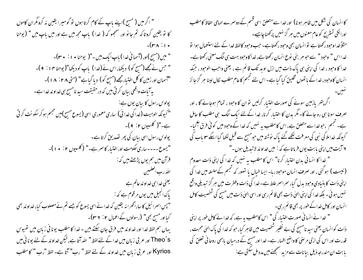" اگر میں ( مسح )اپنے پاپ کے کام کرتا ہوں تو گومیر ایقین نہ کرومگران کاموں کا تو یقین کروتا کہ تم جانو اور سمجھو کہ ( خدا ) باپ مجھ میں ہے اور میں باپ میں " (یوحنا  $-(r\wedge \cdot)$ " میں (مسح )اور (آسما فی خدا) باپ ایک بین -"( یوحنا • ۱ : • ۳)۔ " حس نے مجھے (مسج کو) دیکھا،اس نے(غدا) باپ کودیکھا"(یوحنا ۱۴ : ۹)۔ "آسمان اور زمین کا کل اختیار مجھے (مسح کو) دیا گیاہا" (متی ۱۸ : ۱۸ )۔ بہ آیات واقعی بیان کرتی بیں کہ در حقیقت سید نامسح ہی خداو ند خدا ہے۔ پولوس رسول کا بیان یوں ہے: " کیونکہ الوہیت (خدا کی خدا ئی) ساری معموری اسی (یسوع مسیح)میں مجتم ہو کر سکونت کرتی ہے۔"( کلسیوں ۲: ۹)۔ پولوس رسول اسی بیان کی پھر تصدیق کرتا ہے۔ "یسوع----ساری حکومت اوراختبار کاسر ہے-" (کلسیوں ۲: • ۱)-قرآن میں ہم یوں پڑھتے *ہیں کہ*: اللهررب العلمين یعنی خدا ہی خداو ند عالم ہے یاک انجیل میں یوں مرقوم ہے کہ : " پس اسمرا ئیل کاساراٹھرا نہ یقین کہ خدا نے اسی یسوع کو جسے تم نے مصلوب کیا، خداوند بھی کیااور مسیح بھی" (رسولوں کےاعمال ۲: ۳۶)۔ یہاں ہم لفظ خدا اور خداوند میں فرق جان سکتے بیں - خدا کا مطلب یونا فی زبان میں تھیوس Theo's اور عربی زبان میں خدا کے لئے لفظ " اللہ آتا ہے، لیکن خداوند کے لئے یونا فی میں Kyrios اور عربی زبان میں خداوند کے لئے لفظ " رب" آتا ہے۔ لفظ "رب " کا مطلب

کا انسان کی شکل میں ظاہر ہونا) اور خدا سے متعلق اسی قسم کے دوسمرے الہامی الفاظ کامطلب اورانکی تستریح کوعام معنوں میں ہر گز نہیں پرکھناچاہیے۔ مثلاً خداوحود رکھتا ہے نوانسان بھی وحود رکھتاہے۔ حب وحود کالفظ خدا کے لئے استعمال ہوا نو خدا اس " وحود " سے حو ہر بنی نوع انسان رکھتاہے، خدا کاوحود بہت ہی الگ معنی رکھتاہے۔ خدا کا وحود ، خدا کی اپنی ہی پاک ذات میں ازل اوبد تک قائم ہے ، یعنی واجب الوحود ، جبکہ انسان کا وحود ، خدا کے ماتھوں تخلیق کیا گیا ہے۔ اس لئے تجسم کاعام مطلب کال لینا ہر گزجائز اگر پتھر پازمین سونے کی صورت اختیار کرلیں تو ان کا وحبود ، تمام ہوجائے گا ، اور صرف سونا ہی رہ جائے گا۔ مگر بدن کا اختیار کرنا، خدا کے لئے ایک الگ ہی مطلب کا حامل ہے۔ نجسم ،حو خدا سے متعلق ہے، اس کامطلب یہ نہیں کہ خدا کے وحود میں کو ٹی فرق آگیا۔ کیونکہ خداملا کی نبی کی معرفت لکھے گئے پاک نوشتہ میں حومسچے سے قبل لکھا گیا اسکے مع باب کی ۲ آیت میں اپنی بابت یوں فرماتا ہے کہ : میں خداوند لاتبدیل ہوں۔" " خدا کا انسا فی بدن اختیار کرنا" اس کا مطلب په نهیں که خدا کی اپنی ذات معدوم (نیست ) ہوگئی ، اور صرف انسان موجود رہا۔ ایسا خیال یا نصور کہ تجسم کےسلسلہ میں خدا کی اپنی ذات کا بنیادی وحود بدل گیا، سراسر علط ہے۔خدا کی ذات وفطرت میں ہر گز تیدیلی واقع <sup>من</sup>ہیں ہو ئی ۔ بلکہ خدا کی اپنی ا<sup>ل</sup>یٰ ذات بھی قائم رہی اور اسی ال<sub>ٹ</sub>یٰ ذات میں مسیح کی شخصیت کامل ا نسان اور کامل خداکے طور پر بھی قائم رہی۔ " خدا نے انسانی صورت اختیار کی " اس کامطلب یہ ہے، کہ خدا نے کامل طور پر اپنی ذات کوانسان یعنی سید نامسح کی بے نظیر شخصیت میں ظاہر کیا، حو کہ خدا کی پاک الہیٰ محبت ، قدرت اور اس کی ازلی مرحنی کا واضح اظہار ہے۔ خدا اور مسح کے درمیان پاہمی روحا فی تعلق کی بابت ان مندرجہ ذیل بیانات سے مزید سمجھنے میں مدد مل سکتی ہے: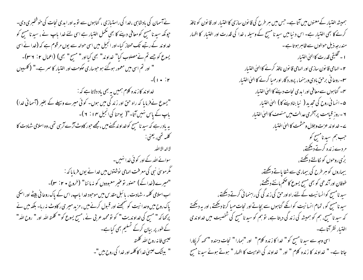نے آسمان کی بادشاہی ،خدا کی راستیازی ، گناہوں سے تو بہ اور ابدی نجات کی خوشخبری دی۔ حپونکہ سبد نامسح کو معافی دینے کا بھی مکمل اختیار ہے اسی لئے خدا پاپ نے ، سبد نامسح کو خداو ند کے رتبے تک ممتاز کیا۔اور انجیل میں اسی حوالہ سے یوں مرقوم ہے کہ (خدا نے اسی یسوع کوچے تم نے مصلوب کیا" خداوند" بھی کیااور" مسیح" بھی) (اعمال ۲: ۳۶)۔ " اور تم اسی میں معمور ہوگئے ہو حبوساری حکومت اور اختیار کا سمر ہے۔" (کلسیوں  $-(1 \cdot )r$ خداو ند کار ندہ کلام ہمیں بہ بھی باد دلاتا ہے کہ : "یسوع نےفرمایا کہ راہ حق اور زند گی میں ہوں۔ کوئی میرے وسیلے کے بغیر (آسمانی غدا) باپ کے پاس نہیں آتا۔"( یوحنا کی انجیل ۱۴ : ۲ )۔ بہ یاد رہے کہ سبد نامسح کوخداوند کھنے میں ،مجھے حبور کاوٹ آڑے آرہی تھی، وہ اسلامی شہادت کا گلمهرتھی، یعنی : لااله الإالتُد سوائے اللہ کے اور کوئی خدا نہیں۔ گمگرموسیٰ نبی کی معرفت الہامی نوشتوں میں خدا نے یوں فرما ماکہ : "میرے(خدا کے) حصور توعیر معبودوں کو نہ ماننا" (خروج • ۲: ۳)۔ اب اسلامی کلمہ ء شہادت ، یا ئبل مقدس میں موحبود خدا پاپ، اس کے پاک روحا فی بیٹے اور اسکی پاک روح میں وحدا نہت کوشمجھنے اور قبول کرنے میں ، مزید میر ی رکاوٹ نہ رہا۔ بلکہ میں نے پرکھا کہ " مسح کی خداوندیت " کو تو محمد عربی نے ، مسح یسوع کو " کلمتہ اللہ اور " روح اللہ" کے طور پر بیان کرکے تسلیم بھی کیاہے۔ عيسى فا نه روح اللهر كلمته " بيشك عيسىٰ خدا كاڭلمه اور خدا كى روح ہيں"۔

ہمیشہ اختیار کےمعنوں میں آتا ہے۔ حس میں ہر طرح کی قانون سازی کااختیار اور قانون کو نافذ کرنے کا بھی اختیار ہے۔ اس د نیا میں سید نا مسیح کے وسیلہ ، خدا کی قدرت اور اختیار کا اظہار مندرجہ ذیل حوالوں سے ظاہر ہوتا ہے۔ ا - تخلیقی قدرت کا الهیٰ اختیار ۲ – الهامی قا نون سازی اور الهامی قا نون نافذ کرنے کا الهیٰ اختیار **س - ر**وحا فی برحق مادی ورسنما ، پرورد گار اورمهبا کرنے کا ا<sup>ل</sup>یٰ اختیار یہ۔ گناہوں سےمعافی اور ایدی نجات دینے کا الہیٰ اختیار ۵-انسا نی روح کی تحدید ( نیا بنادینے کا ) الهیٰ اختیار ۲ - روز قیامت پرآخری عدالت میں منصف کا الهیٰ اختیار ے۔خداو ند عزت وجلال وحشمت کا الهیٰ اختیار جب ہم سید نامسیح کو<br>مردے زندہ کرتے دیکھتے، مردے زندہ کرتے دیکھتے، بُرُی روحوں کو لُکالتے دیکھتے ، بیماروں کو ہر طرح کی بیماری سے شفا یاتے دیکھتے، طوفان اور آندھی کو بھی مسح یسوع کاضکم مانتے دیکھتے، سید نامسیح کوانسانیت کے لئے راہ اورحق کی زند گی کی راہنما ٹی کرتے دیکھتے، سید نامسیح کو ، تمام انسانیت کوانکے گناہوں سے بچاتے اور نجات مہیا کرتا دیکھتے ، اور یہ دیکھتے کہ سید نامسح، ہم کو ہمیشہ کی زند گی دیتا ہے، تو ہم کو سید نامسح کی شخصیت میں خداوندی اختیار نظرآتا ہے۔ اسی وجہ سے سید نامسیح کو " خدا کا زندہ کلام" اور "ہمارا " نجات دہندہ " کہہ کریکارا جاتا ہے۔ " خداوند کا زندہ کلام " اور " خداوند کی الوہیت کا اظہار " ہوتے ہوئے سید نا مسح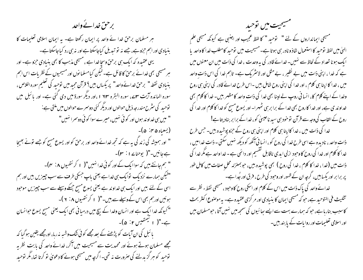## برحن خدائے واحد

ہر مسلمان برحق خدا ئے واحد پر ایمان رکھتا ہے۔ یہ ایمان اسلامی تعلیمات کا بنیادی اور اہم حزوجے، جسے نہ تو تبدیل کیاجاسکتا ہے اور نہ ہی رد کیاجاسکتا ہے۔ یہی عقیدہ کہ ایک ہی برحق وسجاخدا ہے ، مسیحی مذہب کا بھی بنیادی حزو ہے۔ اور ہر مسیحی بھی خدائے برحن کا قائل ہے۔لیکن کیامسلمانوں اور مسیحیوں کے نظریات اس اہم بنیادی نقطہ" برحق خدائے واحد" پر پکساں بیں؟ قرآن مجید میں توحید کی تعلیم سورہ اخلاص ، سورہ المائدہ آیت سایے، سورہ البقرہ ۱ ۶۳، اور دیگر سورۃ میں دی گئی ہے۔ اور پائبل میں توحید کی سثرح مندرجہ ذیل حوالوں اور دیگر کئی دوسرے حوالوں میں ملتی ہے: " میں ہی خداوند ہوں اور کوئی نہیں،میرےسوا کوئی دوسرا نہیں" (يسعياه ۴۵ نه)-" اور ہمیشہ کی زند کی یہ ہے کہ تجھ خدائے واحد اور برحق کو اور یسوع مسح کو جسے تونے بھیجا ہےجانیں۔"( یوحنا ۱ ٪ ۲)۔ " ہم جانتے ہیں کہ سواایک کے اور کوئی خدا نہیں"( ۱ کر نتھیوں ۸: سم)۔ "لیکن ہمارے نزدیک توایک ہی خدا ہے یعنی باپ جسکی طرف سے سب چیزیں بیں اور ہم اسی کے لئے بیں اور ایک ہی خداوند ہے یعنی یسوع مسح جسکے وسیلے سے سب چیزیں موحود ہوئیں اور ہم بھی اس کے وسیلے سے بیں۔"( ۱ کرنتھیوں ۱. ۲ )۔ " کیونکہ خدا ایک ہے اور انسان وخدا کے بیچ میں درمیا فی بھی ایک یعنی مسح یسوع حوانسان ہے۔"( ۱ کیمنھیس ۲: ۵)۔ یا ئبل کی ان آیات کو پڑھنے کے بعد مجھے کو ئی ننگ وشیہ نہ رہا، اورمجھے یقین ہو گیا کہ مجھے مسلمان ہوتے ہوئے اور محمدیت سے مسیحیت میں آکر، خدائے واحد کی بابت نظریہ توحید کو ہر گزید لئے کی صرورت نہ تھی۔ اگرچہ میں مسیحی ہونے کا دعویٰ تو کرتا تھا، مگر توحید

للمسيحيت مين نوحيد مسیحی ایمانداروں کے لئے " لتوحید " کا لفظ عجیب اور اجنبی ہے کیونکہ مسیحی علم الهیٰ میں لفظ نوحید کا استعمال شاذ ونادر ہی ہوتا ہے۔مسیحیت میں توحید کامطلب خدا کا واحد پا ا یک ہونا تعداد کے لحاظ سے نہیں۔ خدائے قادر کی یہ وحدت ، خدا کی ذات میں ان معنوں میں ہے کہ خدا ، اپنی ذات میں بے نظیر ، بے مثل اور لاسٹر یک ہے۔ تاہم خدا کی اس ذات واحد میں ، خدا کا اپنا ہی کلام ، اور خدا کی اپنی روح شامل بیں ۔اس طرح خدائے قادر کی اپنی ہی روح وخدا کے اپنے کلام کا، انسا ٹی روپ لے لینا بھی خدا کی ذات واحد کا مظہر بیں۔ خدا کا کلام بھی خداو ند ی ہے، اور خدا کا روح بھی خدا کے برا بر ہی ٹھہرا۔ اور یسوع مسح کو خدا کا کلام اور خدا کی روح کے القاب کی وجہ سے قرآن نوخود ہی سید ناعیسیٰ کو ، خدا کے برا بر بنادیتا ہے! خدا کی ذات میں ، خدا کااپنا ہی کلام اور اپنی ہی روح کے حمزو پوشیدہ بیں۔ حس طرح ذات واحد ، نادیدہ ہے اسی طرح خدا کی روح کو ، انسانی آئکھ کو دیکھ نہیں سکتی ۔ ذات خدامیں ، خدا کا کلام اور خدا کی روح کا وحبود ازلی اید ی ناقابل گفسیم اور دائمی ہے ۔خدا واحد ہے مگر خدا کی ذات میں (خدا ، خدا کا کلام ، خدا کی روح ) بھی پوشیدہ بیں، حو بمنزلہ محل صفات میں کامل طور پر برابر اور پکسابیں، گرجہ ان کے ظہور اور وحبود کی طرح ، فرق اور جُدا ہے۔ خدائے واحد کی پاک ذات میں اس کے کلام اور اسکی روح کا وحبود ، مسیحی نقطء نظر سے تثلیث فی التوحید ہے، حو کہ مسیحی ایمان کا بنیادی اور مر کزی عقیدہ ہے۔ یہ موصوع اکثر بحث کاسبب بنارباہے، حو کہ ہمارے بہت سے ایسے بھائیوں کی سمجھ میں نہیں آتا ، حومسلمان بیں اور اسلامی تعلیمات اور روایات کے پا بند بیں۔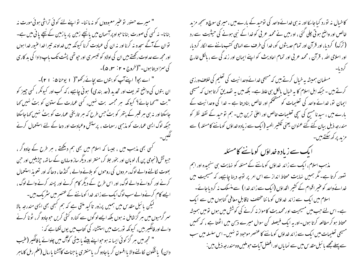" میرے حصور تو عنیر معبودوں کو نہ ماننا- تو اپنے لئے کوئی تراشی ہوئی مورت نہ بنانا- نہ کسی کی صورت بناناحواو پر آسمان میں پانیچے زمین پر پا زمین کے نیچے یا ٹی میں ہے۔ توان کے آگے سجدہ نہ کرنااور نہ ان کی عمادت کرنا کیونکہ میں خداوند تیبراخدا عنیور خدا ہوں اور مجھ سے عداوت رکھتے بیں ان کی اولاد کو تبیسر ی اور حیو تھی پشت تک باپ دادا کی بد کار ی کی سمزادیتاہوں۔"(خروج • ۲ : ۳، ۵)۔

" اے بجو! اپنےآپ کو بتوں سے بچائے رکھو"( ۱ یوحنا ۵: ۲۱)۔ ان بتوں کی واضح تعریف اور تحدید (حد بندی) ہو ٹی چاہیے ، کہ کب اور کیونکر ، کسی چیز کو "بت "*کہا جائے؟ کیونکہ ہر مجسمہ* بت نہیں، کسی عمارت کے ستون کو بٹُ نہیں کہا جاسکتا اور نہ ہی ہر قسر کے پتھر کو بتُ حس طرح کہ ہر تاریخی عمارت کو بتُ نہیں کہا جاسکتا جبکہ لوگ ایسی عمارت کو مذہبی رسومات ، پرستش وعیادت اور دعا کے لئے استعمال کرنے

گی بھی مذہب میں ، جیسا کہ اسلام میں بھی ہم دیکھتے ، ہر طرح کے جادو گر ، جیو تش(نجومی پن )، لوپان اور بخور جلا کر، منتر اور دیگر ساز وسامان کے ساتھ، جڑیلیں اور حن بھوت لکالنے والے لوگ، مر دوں کی روحوں کو بلانے والے ، گنڈھا ، دھاگہ اور تعویذ استعمال کرنے اور کروانے والے لوگ، اور اس طرح کے دیگر کام کرنے اور پسند کرنے والے لوگ ، ایسے کام کرنےوالے سب لوگ ایک سے زائد خدا کوماننے کے عنصر میں سٹریک ہیں۔ گیکن پائبل مقدس میں ہمیں پرزور تاکید ملتی ہے کہ ہم گسجی بھی ایسی مندرجہ بالا سمر گرمیوں میں ہر گزشامل نہ ہوں بلکہ ایسے لوگوں سے کنارہ کشی کریں حوجادو گر ، ٹونا کرنے والے اور فالکَسِر بیں، کیونکہ نوریت میں استشناء کی کتاب میں یوں لکھاہے کہ : " تجھ میں ہر گز کوئی ایسا نہ ہوجواپنے بیٹے یا بیٹی کوآگ میں چلوائے بافالگیر (عنیب دان) یاشگون کالنے والا یا افسون گر یا جادو گر، یامنتری یا جنات کاآشنا یا رمال (علم رمل کاماہر

کا خبال نہ نورد کیا جاسکا اور نہ ہی خدائے واحد کی نوحید کے بارے میں ، میری سوچ وسمجھ مزید خالص اور واضح ہو تی جلی گئی ، او رمیں نے محمد عربی کو خدا کے نبی ہونے کی حیثیت سے رد ( ترک) کردیا، اور قرآن اور تمام حدیثوں کو، خدا کی طرف سے الہامی کتب ماننے سے الکار کردیا، اور اسلامی اللہ ، قرآن ، محمد عربی اور تمام احادیث کو اپنے ایمان اور زند کی سے ، بالکل خارج

مسلمان ہمیشہ بیہ خیال کرتے ہیں کہ مسیحی خدائےوحدا نیت کی تعلیم کی خلاف ورزی کرتے ہیں ۔ جبکہ اہل اسلام کا ہہ خیال پالکل ہی علط ہے۔ بلکہ میں یہ تصدیق کرتا ہوں کہ مسیحی ایمان تو، خدائے واحد کی تعلیمات کو مشتحکم اور خالص بنادیتا ہے ۔ خدا کی وحدانیت کے بارے میں ، سید نامسح کی سچی تعلیمات خالص اور اعلیٰ ترین بین۔ ہم تو حید کے نقطہ نظر کو مندرجہ ذیل بیان کئے گئے عنوان یعنی تکثیر الصہ (ایک سے زیادہ خداؤں کوماننے کامسٗلہ) سے مزید پر کھ سکتے ہیں۔

ایک سے زیادہ خداؤں کوماننے کامسئلہ

مذہب اسلام، ایک سے زائد خداؤں کو ماننے کے مسئلہ کو نہایت ہی سنجیدہ اور اہم تصور کرتا ہے۔ مگر ہمیں نہایت محتاط انداز سے اس امر پر توجہ دینا چاہیے، کہ مسیحیت میں خدائےواحد کو عنیر اقوام کے کشیر الخداؤں (ایک سے زائد خدا) سے منسلک نہ کردیاجائے۔ اسلام میں ایک سے زائد خداؤں کو ما ننا مختلف ناقابل معافی گناہوں میں سے ایک ہے۔اس لئے حب میں مسیحیت اورمحمدیت کامواز نہ کرنے کی کوشش میں ہوں تومیں ہمیشہ محتاط ہو کر مطالعہ کرتا ہوں۔اور یہ ایک فیصلہ کن سوال میرے ذہن میں اٹھتا ہے ، کہ تھمیں مسیحی تعلیمات میں ایک سے زائد خداؤں کو ماننے کا عنصر موجود تو نہیں۔ اس سلسلہ میں سب سے پہلے مجھے بائبل مقدس میں سے نما پاں اور افضل آیات حوملیں وہ مندرجہ ذیل ہیں :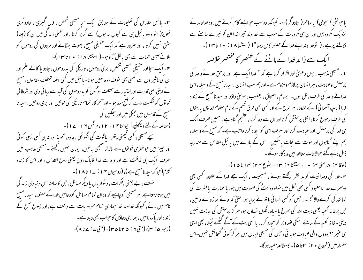س - ہائبل مقدس کی تعلیمات کے مطابق ایک سچا مسیحی شخص ، فال گیری ، جادو گری تعویز( حواہ وہ پائبل ہی سے کیوں نہ ہوں) سے گریز کرتا ، اور عملی زند گی میں ان کا (چلہ) مشق نہیں کرتا ، اور صرور ہے کہ ایک حقیقی مسح، بھوت بھگانے اور مردوں کی روحوں کو بلانے جیسی ہمات سے بھی مالکل آزاد ہو۔( استشنا ۱۸ : • ۱ تا ۱۳ ) ۔ یہ۔ایک سجا اور حقیقی مسیحی شخص، بریُ روحوں، تاریکی کی بدروحوں ، جادو یا کالے علم اور ان کی تاثیر وں سے کبھی بھی حوف زدہ نہیں ہوتا۔ ہا ئبل میں کئی دفعہ مختلف مقاموں ، مسح نے اپنی الہیٰ قدرت اور اختیار سے مختلف لوگوں کو بدروحوں کی قبیہ سے رہا ئی دی اور شیطا فی قو نوں کو شکست دے کر فتح مند ہوا۔ اور آخر کار تمام تاریکی کی قوتیں اور بری روحیں ، سید نا مسح کے قدموں میں حبھکی بیں اور حبکیں گی۔ (مطالعہ کے لئے دیکھیئے! یوحنا ۱۴: ۱۲، مرقس ۱۹: ۱۷)۔ سچے مسیحی، کسی قیمتی پتھر ، یاقوت کی انگوٹھی ، جادو، تعویذ اور نہ ہی کسی ایسی کوئی اور جییز میں حو فطری قو توں سے بالاتر سمجھی جاتیں، ایمان نہیں رکھتے ۔مسیحی مذہب میں صرف ایک ہی طاقت ہے اور و ہ ہے خدا کاپاک روح یعنی روح القدس ، اور اس کا زندہ کلام(حو کہ سید نامسج ہے )، (رومیوں ۱۴ : ۲ | تا ۱۸ )۔ خوف ، بے چینی ،فکرات ، دشواریاں یا دیگر مسائل، حن کا سامنا اس د نیاوی زند گی میں ہوتارہتاہے، ہر مسیحی کوچاہیے کہ وہ ان تمام مسائل کو دعامیں خدا کے حصور، سید نامسیح نام میں لائے، کیونکہ خداوند خدا ہماری تمام صروریات سے واقف ہے، اور یسوع مسیح کے زنده اور پاک نامیں ، ہماری دعاؤں کاحواب بھی دیتا ہے۔ (زبور ۵: ۳)، (متى ۶: ۴۵ تا ۳۵)- (متى ۷: ۷ تا ۸)-

باحوتشی ا نجوی) پا ساحر ( جادوگر)ہو۔ کیونکہ وہ سب حوایے کام کرتے ہیں، وہ خداوند کے نزدبک مکروہ بیں اور ان ہی مکروبات کے سبب سے خداوند تیراخدا ان کو تیرے سامنے سے ایک سے زائد خدا کے ماننے کے عنصر کا مختصر خلاصہ ا - مسیحی مذہب ، یوں دعویٰ اور اقرار کرتا ہے کہ " خدا ایک ہے، اور برحق خدائے واحد کی پرستش وعمادت ، ہر انسان پرلازم وملزوم ہے۔ اور ہم سب انسان ، سید نامسح کے وسیلہ ، اسی خدائے واحد کی طرف مائل ہوں۔ ابرہام ، اضحاق ، یعقوب ، موسیٰ داؤد اور سید نا مسح کے زندہ خدا ( پاپ آسما نی) کے علاوہ ، ہر طرح کے اور کسی بھی فرق قسم کے نام معلوم خداؤں یا بتوں کی طرف رحبوع کرنا ، انکی پرستش کرنا اور ان سے دعا کرنا ، عظیم گناہ ہے۔ ہمیں صرف ایک ہی خدا کی پرستش اور عبادت کرنا اور صرف اسی کو سحدہ کرنا واحب ہے۔ کہ مسح کے وسیلہ ، ہم اپنے گناہوں اور موت سے نحات پاسکیں۔ اس کے مارے میں یا ئبل مقدس سے مندرجہ ذیل دئیے گئے حوالاجات مطالعہ میں مدد گار ہوگُے۔ (لوقا به: ۸، متی به: ۱۰، استشنا ۱: ۳ - یشوع ۲۴: ۱۴ تا ۱۵)-

۲۔خدا کی وحدا نیت کو مد نظر رکھتے ہوئے ، مسیحیت ، ایک سیچے خدا کے علاوہ، کسی بھی دوسمرے غدا یامعبود کسی بھی شکل میں حواہ وہ بتُ کی صورت میں ہو، یاعمارت یا فطرت کی نما ئند گی کرنے والا مجسمہ ، جس کو کسی انسا فی باتھ نے بنا یا ہو، حتیٰ کہ جائے نماز والے قالین، ح بن پر خانہ کعبہ یعنی بیت اللہ کی سمرخ پاسیاہ رنگوں تصاویر ہو، مبر گز پرستش کی اجازت نہیں دیتی- خانہ کعبہ کے سامنے اسکی تصاویر کوسحدہ کرنا، پا کسی بت کے آگے کٹھنے ٹیکنا، بھی ایسی ہی عنیر معبودوں والی عبادت ہوجا تی ، جس کی مسیحی ابمان میں سر گز کو ئی گنجا ئش نہیں۔اس سلسله میں (خروج • ۲ : ۳ تا ۵)۔ کامطالعہ مفید ہوگا۔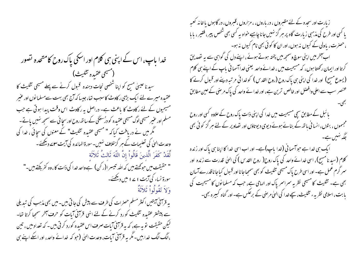خدا باپ، اس کے اپنی ہی کلام اور اسکی پاک روح کامتحدہ تصور (مسيحى عقيده تثليث) سید نا عیسیٰ مسح کو اپنا شخصی نحات دہندہ قبول کرنے سے پہلے مسیحی تثلیث کا عقیدہ میرے لئے ایک بڑی ر کاوٹ کاسبب تھا، جیسا کہ آج بھی بہت سےمسلمانوں اور عنیر مسیحیوں کے لئے رکاوٹ کا باعث ہے۔ دراصل یہ رکاوٹ اس وقت پیدا ہوتی ہے جب مسلم اور عبیر مسیحی لوگ مسیحی عقیدہ کو در سعیگی کے ساتھ روح اور سچائی سے سمجھ نہیں یاتے۔ گمگر میں نے دریافت کیا کہ " مسیحی عقیدہ تثلیث" کے معنوں کی سچائی ، غدا کی وحدت الہیٰ کی تعلیمات کے ہر گزخلاف نہیں۔سورۃ المائدہ کی آیت سوے دیکھئے۔ لَّقَدْ كَفَرَ الَّذينَ قَالُواْ إِنَّ اللَّهَ ثَالتُ تُلاَثَة " حقیقت میں حوکہتے ہیں کہ اللہ تیسرا(ر کن) ہے واحد خدا کی ذات کا، وہ کفر بکتے ہیں۔" سورة نساء کی آیت ۱۷۱ میں دیکھئے۔ وَلاَ تَقُولُواْ ثَلاَثَةٌ

بہ قرآنی ہیتیں اکثر مسلم حصرات کی طرف سے پیش کی جاتی ہیں۔میں بھی مذہب کی تبدیلی سے پیشتر عقیدہ تثلیث کورد کرنے کے لئے انہی قرآنی آمات کو حرف آمخر سمجا کرتا تھا-لیکن حقیقت تو بیہ ہے، کہ بیہ قرآفی آبات صرف اس عقیدہ کورد کرتی ہیں ۔ کہ تعداد میں ، تین ،الگ الگ خدا ہیں۔مگر یہ قرآنی آبات، وحدت العلی (جو کہ خدائے واحد، اور اسکے اپنے ہی

زبارت اور سجدہ کے لئے مقبروں ، در باروں، ، مزاروں ، قبروں، در گاہوں یا خانہ کعبہ یا کسی اور طرح کی مذہبی زیارت گاہ پر ہر گز نہیں جانا چاہیے خواہ یہ کسی بھی شخص پیر، فقیر ، یا ما ، حصرت، باولی کے کیوں نہ ہوں، اور ان کا کوئی بھی نام کیوں نہ ہو۔ اب آخر میں اپنی سوچ وسمجھ میں پختہ ہوتے ہوئے ، اپنے دل کی گواہی سے یہ تصدیق کرتا اور ایمان رکھتا ہوں، کہ مسیحیت میں ، خدائے واحد یعنی خداآسما فی باپ کے اپنے ہی کلام (یسوع مسیح) اور خدا کی اپنی ہی پاک روح (روح القدس) کو خدا ئی مرتبہ دینے اور قسول کرنے کا عنصر سب سے اعلی وافضل اور خالص ترین ہے، اور خدا نے واحد کی پاک مرضی کے عین مطابق بائبل کے مطابق سچی مسیحیت میں خدا کی اپنی ذات پاک روح کے علاوہ کسی اور روح مجسموں ، بتوں، انسانی باتھ کے بنائے ہوئے دیوی دیوتاؤں اور تصاویر کے لئے ہر گز کوئی بھی جگہ تہیں ہے۔ ایک ہی خدا ہے حواسما فی (خدا باپ)ہے۔ اور اب اسی خدا کا اپنا ہی پاک اور زندہ کلام (سید نامسیح)، اسی خدائے واحد کی پاک روح( روح القدس ) کی الهیٰ قدرت سے زندہ اور سمر گرم عمل ہے۔ اور اسی طرح پاک مسیحی تثلیث کو بھی سمجیاجا نااور قبول کیاجا ناقدر سے آسان بھی ہے۔ تثلیث کا مسیحی نظر یہ سمراسمر پاک اور الہامی ہے، جب کہ مسلما نوں کا مسیحیت کی یابت، اسلامی نظریہء تثلیث، سپے خدا کی العیٰ مرحنی کے برعکس ہے۔ اور گناہ کمبیرہ بھی۔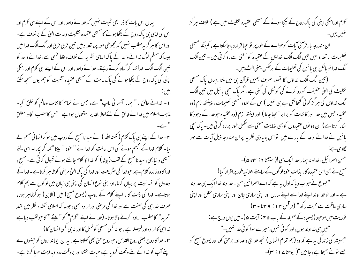یہاں اس بات کا ذرا بھی شبوت نہیں کہ خدائے واحد، اور اس کے اپنے ہی کلام اور اس کی اپنی ہی پاک روح کے پکچا ہونے کا مسیحی عقیدہ تثلیث وحدت الہیٰ کے برخلاف ہے۔ اور اس کا ہر گزیہ مطلب نہیں کہ مجموعی طور پر، تعداد میں تین فرق فرق اور الگ الگ خدابیں جیسا کہ مسلم لوگ خدائے واحد کے پاک الہامی نظر یہ کے خلاف، علط فہمی سے ،خدائے واحد کو تین الگ الگ خدائمہ کر گناہ کرتے رہتے۔خدائے واحد، اور اس کے اپنے ہی کلام اور اسکی اپنی کی پاک روح کے یکحا ہونے کی پاک حالت کے مسیحی عقیدہ تثلیث کو ہم یوں سمجھ سکتے بيس. ا - خدائے خالق ، " ہمارا آسمانی باپ" ہے، جس نے تمام کا ئنات وعالم کو خلق کیا-مذہب اسلام میں خدائے خالق کے لئے لفظ القدیر استعمال ہوا ہے ۔حس کامطلب "قادر مطلق " ہے۔ ۲۔خدا کے اپنے ہی پاک کلام (کلمتہ اللہ ) نے سید نامسیح کے روپ میں ہو کرانسا فی جسم لے لیا۔ کلام خدا کے مجسم ہونے کی اس حالت کو خدا نے " حود " بیٹا "مہر کر پکارا۔ اسی لئے مسیحی د نیا بھی، سید نامسیح کے لقب (بیٹا ) کو خدا کا کلام جانتے ہوئے قبول کرتی ہے۔مسیح ، خدا کاوہ زندہ کلام ہے، حبوخدا کی سثر یعت اور خدا کی پاک الہیٰ مرحنی کوظاہر کرتا ہے۔خدا کے وعدوں کو انسا نیت پر بیان کرتا، اور بنی نوع انسان کی اپنی ہی زبان میں لوگوں سے ہم کلام ہوتاہے۔ خدا کی ذات کا ، اپنے کلام کے روپ (یسوع مسج) میں (الابن) ہوکرظاہر ہونا، صرف خدا ہی کی صفت ہے اور خدا کی مرضی اور ارادہ بھی ، جیسا کہ اسلامی نقطہ ء نظر میں لفظ "مرید" کا مطلب ارادہ کرنے والا ہوتا۔ (خدا نے اپنے "کلام" کو " بیٹے " کا حولقب دیا ہے خدا ہی کاارادہ اور فیصلہ ہے ، حبو نہ کسی مسیحی کونسل کااور نہ ہی کسی انسان کا ) **۲-** خدا کا روح یعنی روح القدس، حو روح حق بھی کھلاتا ہے ، بہ ان ایما نداروں کو جنہوں نے اپنے آپ کو خدا کے لئے وقف کردیا ہے،حیات بخشتا اور بروقت مدد وہدایت مہیا کرتا ہے۔

کلام اوراسکی اپنی کی پاک روح کے بکجا ہونے کے مسیحی عقیدہ تثلیث میں ہے ) خلاف ہر گز ان مندرجہ بالاقرامی آیات کوحوالے کے طور پر نو احیا قرار دیا جاسکتا ہے ، کیونکہ مسیحی تعلیمات ، تعداد میں تین الگ الگ خداؤں کے عقیدہ کو سختی سے رد کرتی بیں ۔ تین الگ الگ خدا تو بالکل ہی یا ئبل کی تعلیمات کے برعکس یعنی الٹ بیں۔ (تین الگ الگ خداؤں کا تصور صرف ہمیں قرآن ہی میں ملتا ،جہاں پاک مسیحی تثلیث کی الہیٰ حقیقت کو رد کرنے کی کوشش کی گئی ہے۔ مگر پاک سچی بائبل میں تین الگ الگ خداؤں کی ہر گز کوئی گنجائش ہے ہی نہیں )اس کے علاوہ مسیحی تعلیمات ، پینتھ ازم (وہ عقیدہ جس میں خدا اور کا ئنات کو برا بر سمجیا جاتا ) اور اینتھ ازم (وہ عقیدہ جو خدا کے وجود کا ا کار کرتا ہے) ان دو نوں عقیدوں کو بھی نہایت سختی سے مکمل طور پر رد کرتی بیں۔ پاک سچی بائبل نے خدائے واحد کے بارے میں تواس بنبادی نظر یہ پران مندرجہ ذیل آبات سے مہر "سن اسمرائيل ،خداوند بهماراخداايك بي !(استشنا ٢ : ٣ متا ۵)-مسیح نے بھی اسی عقیدہ کا ، بذات حود لوگوں کے سامنے اعلانیہ طور پر اقرار کیا! " یسوع نے حواب دیا کہ اول بہ ہے کہ اے اسمرا ئیل سن - خداو ند خداایک ہی خداوند ہے ۔ اور تو خدا و ند اپنے خدا سے اپنے سارل اور اپنی ساری جان اور اپنی ساری عقل اور اپنی ساری طاقت سے محبت رکھ" (مرقس ۲۱: ۲۹تا ۳۰)۔ توریت میں موحود (یسعیاہ کے صحیفہ کے باب ۵ ہن آیت ۵)۔ میں یوں درج ہے: "میں ہی خداوند ہوں، اور کو ئی نہیں، میرے سوا کو ئی خدا نہیں۔" "ہمیشہ کی زند گی ہہ ہے کہ وہ (ہم تمام انسان) تجھ خدائ واحد اور برحق کو، اور یسوع مسح کو جے تونے بھیجاہے، جانیں "(پوحناے ا $\cdot$  )-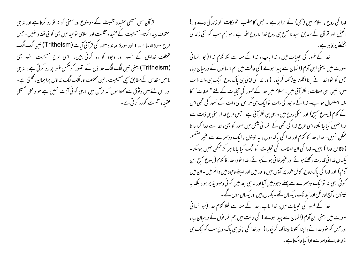خدا کی روح ، اسلام میں (محی) کے برابر ہے ۔ جس کا مطلب مخلوقات کو زند گی دینے والا! انجیل اور قرآن کے مطابق سید نامسیح ہی روح خدا یا روح اللہ ہے ، حو ہم سب کو نئی زند گی بخشنے پر قادر ہے۔

خدا کے ظہور کی تجلیات میں ، خدا باپ ، خدا کے منہ سے لکلا کلام خدا (جو انسا فی صورت میں یعنی ابن آدم (انسان سے پیدا ہونے ) کی حالت میں ہم انسانوں کے درمیان رہا، حبس کو خود خدا نے اپنا اکلوتا بیٹا کہہ کر پکارا )اور خدا کی اپنی ہی پاک روح، ایک ہی واحد ذات میں، تین الہیٰ صفات ، نظر آتی بیں۔اسلام میں خدا کے ظہور کی تجلیات کے لئے " صفات" کا لفظ استعمال ہوا ہے۔ خدا کے وحبود کی ذات تو ایک ہی مگر اس کی ذات کے ظہور کی تعجلی اس کے کلام (یسوع مسح) اور اسکی روح میں ویسی ہی نظر آتی ہے۔ جس طرح خدا، اپنی ہی ذات سے جدا نہیں کیا جاسکتا،اسی طرح خدا کی تجلی کے انسا فی شکل میں ظہور کو بھی، خدا سے جدا کیا جا نا ممکن نہیں۔ خدا، خدا کا کلام اور خدا کی پاک روح ، بہ تینوں ، ایک دوسرے سے عنیر منقسم (ناقابل جدا ) ہیں۔ خدا کی ان صفات کی تجلبات کو الگ کبا جانا ہر گز ممکن نہیں ہوسکتا۔ یکساں خدا ئی قدرت رکھتے ہوئے اور عنیر فا نی ہوتے ہوئے ، خدا حود ، خدا کا کلام ( یسوع مسح ابن آدم) اور خدا کی پاک روح، کامل طور پر آبس میں واحد بیں اور اپنے وحبود میں دائم بیں۔ ان میں کو ئی بھی نہ توابک دوسمرے سے پہلے وحود میں آیا اور نہ ہی بعد میں کو ٹی وحود پذیر ہوا، بلکہ بہ تیسنوں ، آج اور کل اور اید تک ، پکساں تھے۔ پکساں بیں اور پکساں ہوں گے۔ خدا کے ظہور کی تجلیات میں، خدا پاپ، خدا کے منہ سے لکلا کلام خدا (جو انسا نی صورت میں یعنی ابن آدم (انسان سے پیدا ہونے ) کی حالت میں ہم انسا نوں کے درمیان رہا ، اور جس کو حود خدا نے ، اپنااکلو تا بیٹا کہہ کر پکارا ) اور خدا کی اپنی ہی پاک روح سب کوایک ہی لفظ خدائے واحد سے ادا کیا جاسکتا ہے۔

قرآن اس مسیحی عقیدہ تثلیث کے موصنوع اور معنی کو نہ تو رد کرتا ہے اور نہ ہی اختلاف پیدا کرتا۔مسیحیت کےعقیدہ تثلیث اور اسلامی نوحید میں بھی کوئی نضاد نہیں۔حس طرح سورة النسا ١ ٢ ١ اور سورة المائده ٣ سه كي قرآني آيات (Tritheism) تبين الك الك مختلف خداؤں کے تصور اور وجود کو رد کرتی ہیں، اسی طرح مسیحیت خود نہی (Tritheism) یعنی تین الگ الگ غداؤں کے تصور کو پھمل طور پر رد کرتی ہے ، نہ ہی یا ئىبل مقدس كےمطابق سیچى مسیحیت ، تىين مختلف اور الگ الگ غداؤں پرا بران ركھتى ہے۔ اور اس لئے میں و ثوق سے کھتا ہوں کہ قرآن میں ایسی کوئی آیت نہیں ہے جو واقعی مسیحی عقیدہ تثلیث کورد کرتی ہے۔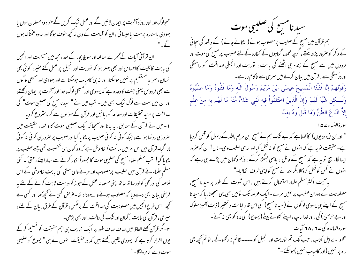"حولوگ خدا اور روزہ آخرت پر ایمان لائیں گے اور عمل نیک کریں گے خواہ وہ مسلمان ہوں یا یہودی یاستارہ پرست یاعیسائی ،ان کو قیامت کے دن نہ کجھ خوف ہوگااور نہ وہ عمناک ہوں ان قرآنی آمات کے گھرے مطالعہ اور سوچ بجار کے بعد ، مجھ میں مسیحیت اور انجیل کی بابت قائلیت کااحساس اور بھی بہتر ہوا کہ توریت اور انجیل پر عمل کئے بغیر، کوئی بھی انسان ، صراط مستقیم پر نہیں ہوسکتا، اور نہ ہی کامیاب ہوسکتا ہے اور یہودی اور مسیحی لو گوں سے بھی فر دوس یعنی جنت کاوعدہ ہے کہ یہودی اور مسیحی لوگ، خدااور آمخرت پر ایمان رکھتے، اور ان میں بہت سے لوگ نیک بھی ہیں۔ تب میں نے " سید نامسح کی صلیبی موت" کی صداقت پر مزید تحقیقات اور مطالعہ کو، یا ئبل اور قرآن کے حوالوں سے کرنا سٹروع کردیا۔ ا - میں نے قرآن کے مطابق، یہ جانا اور سمجاکہ ایک صلیبی موت کا واقعہ ، حقیقت میں عنرورسی رونما ہوا ہے، جبکہ کوئی نہ کوئی صلیب پراٹکا پا گیااور صلیب پر صرور ہی کوئی نہ کوئی مارا گیا۔قرآن میں اس امر میں ساکت / خاموش ہے کہ وہ کون سی شخصیت تھی جسے صلیب پر لٹکا پا گیا! تب مسلم علماء مسیح کی صلیبی موت کا مجبوراً الکار کرنے سے سہارالیتے، حتی کہ گئی مسلم علماء نے قرآن میں صلیب پرمصلوب اور مرنے والی ہستی کی بابت خاموشی کے اس خلاصہ کی اور کحمی کو اور ساتھ ساتھ اپنی مسلما نہ عقل کے حواز کو درست ثابت کرنے کے لئے بہ فر صنی بیان بھی دےدیا کہ مصلوب ہونے والا یہوداہ تھا۔غرض کسی نے تحچھ کھا اور کسی نے کھچھ - اس طرح انجیل میں مصلوبیت کی صداقت کے برعکس، قرآن کے فرق بیان کے لئے ، میری ، قرآن کی بابت ، گمان اور نتُک کی حالت ، اور بھی بڑھی۔ ۲۔ مگر قرآن کچلے الفاظ میں صاف صاف طور پر ایک نہایت ہی اہم حقیقت کو تسلیم کرکے یوں اقرار کرتا ہے کہ یہودی یقین رکھتے ہیں کہ درحقیقت انہوں نے ہی" یسوع کوصلیبی موت دے کر مر واڈلا۔"

سبد نامسح کی صلیبی موت ہم قرآن میں مسج کے صلیب پر مصلوب ہونے ( لٹکائے جانے ) کے واقعہ کی سچائی کے ذکر کو صرور پڑھ سکتے ، گرچہ محمد ، گناہوں کے کفارہ کے لئے صلیب پر مسیح کی موت اور مردوں میں سے مسیح کے زندہ جی اٹھنے کی بابت ، توریت اور انجیلی صداقت کو راستگی اور در سنگی سے ، قرآن میں بیان کرنے میں سمرسی سے ناکام رہا ہے۔ وَقَوْلِهِمْ إِنَّا قَتَلْنَا الْمَسِيحَ عِيسَى ابْنَ مَرْيَمَ رَسُولَ اللَّهِ وَمَا قَتَلُوهُ وَمَا صَلَبُوهُ وَلَــــكِن شُبِّهَ لَهُمْ وَإِنَّ الَّذِينَ اخْتَلَفُواْ فِيهِ لَفي شَكٍّ مِّنْهُ مَا لَهُم بِهِ مِنْ عِلْمِ إِلاَّ اتِّبَاعَ الظَّنِّ وَمَا قَتَل ُوهُ يَقينًا سورة النساء ٢۵ ١ " اور ان (یہودیوں) کا کھناہے کہ بے ننگ ہم نے مسیح ابن مریم ،اللہ کے رسول کو قتل کردیا ہے۔حقیقت نو پہ ہے کہ انہوں نے مسیح کو نہ قتل کیااور نہ ہی صلیب دی۔ ہاں! ان کوصرور ایسالگا۔ سچ نو یہ ہے کہ مسیح کے قاتل ، باہمی حبکُڑا کرکے ،وہم وگھان میں پڑے ہی رہے کہ انہوں نے کس کو قتل کرڈالا،مگراللہ نے مسح کواپنی طرف اٹھالیا۔" یہ آیت اکثر مسلم علماء استعمال کرتے ہیں ، اس شبوت کے طور پر سیدنا مسیح، مصلوبیت کے دوران صلیب پر نہیں مرے۔ایک عرصہ تک تومیں بھی یہی سمجھتارہا کہ سید نا مسج کے اپنے ہی یہودی لوگوں نے (سید نامسج) کی اس قدر ابانت و تحقیر (ذلت آمیز سلوک اور بے حرمتی ) کی ، اور خدا باپ ، اپنے اکلوتے بیٹے (یسوع ) کی مدد کو بھی نہ آئے۔

سورہ المائدہ کی ۲۷، ۲۸ آیات

ہے۔<br>"ہمواے اہل کتاب، حب تک تم نوریت اور انجیل کو۔۔۔۔ قائم نہ رکھو گے، نو تم تحچھ بھی راہ پر نہیں (اور کامباب نہیں )ہوسکتے۔"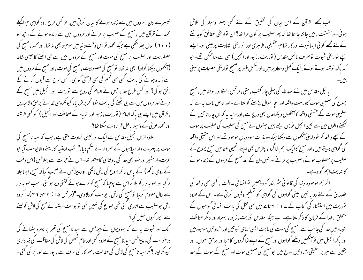تیسرے دن ، مردوں میں سے زندہ ہونے کا بیان کرتی ہیں، تو کس طرح ، وہ گواہی حواکیلے محمد نے قرآن میں ، مسیح کے صلیب پر مرنے اور مردوں میں سے زندہ ہونے کے ، حپھ سو (۲۰۰) سال بعدلکھی ہے جبکہ محمد تواس وقت د نیامیں موحود بھی نہ تھا، اورمحمد ، مسیح کی مصلوبیت اور صلیب پر مسح کی موت اور مسح کے مردوں میں سے حی اٹھنے کا عینی شاہد (آنکھوں دیکھا گواہ) بھی نہ تھا، تومسح کی مصلوبیت ، مسح کی موت ، اور مسح کے مر دوں میں سے زندہ ہونے کی بابت کسی بھی قسم کی بھی قرآنی گواہی ، کس طرح سے قبول کرنے کے لائق ہو گی؟ اور کس طرح خدا، جس نے الہام کی روح سے نوریت اور انجیل میں مسح کے مرنے اور مر دوں میں سے جی اٹھنے کی بابت حود تحریر فرمایا، کیونکروہی خدائے برحق ولاتیدیل ، قرآن میں اپنے ہی پاک الہام ( نوریت ، زبور اور انبیاء کے صحائف اور انجیل ) کو کسی فرشتہ اور محمد عربی کے وسیلہ باطل قرار دے سکتا تھا؟ علاوہ ازیں انجیل مقدس سے ایک اور عینی شہادت ملتی ہے، جب کہ سید نامسح کی

موت پر پہرے دار سیاہیوں کے سمردار نے صحم دیا،" تب ارمتیہ کارہنے والا یوسف آیا حو عزت دار مشیر اور خود بھی خدا کی بادشاہی کامنتظر تھا۔اس نے حرات سے پیلاطس (اس وقت کے رومی حاکم ) کے پاس جا کر یسوع کی لاش مانگی، اور پیلاطس نے تعجب کیا کہ مسح، ایسا جلد مر گیا اور صوبہ دار کو بلا کر اس سے پوچیا کہ مسح کو مرے ہوئے کتنی دیر ہو گئی ۔حب صوبہ دار سے حال معلوم کرلبا نو مسیح کی لاش ، یوسف کو دلادی۔"(مرقس ۵ ا : r ۴ تا ۲ م)۔ اگروہ لاش حوصلیب سے اتاری کئی تھی یسوع کی نہیں تھی تو پوسف ارمتیہ نے مسح کی لاش کولینے سےالکار کیوں نہیں کیا؟

ایک اور شبوت یہ ہے کہ یہودیوں نے پیلاطس سے سید نامسح کی قبر پر پہرہ بٹھانے کی در حواست کی۔ پیلاطس سید نامسیح کے علاوہ کسی اور عام شخص کی لاش کی حفاظت کی ذمہ دار ی کیونکر لیتا ؟ مگر سید نامسج کی لاش کی حفاظت ، سمر کار کی طرف سے ، پورے طور پر کی گئی ۔

اب مجھے قرآن کے اس بیان کی تحقیق کے لئے کسی بہتر وسیلہ کی تلاش ہوئی۔درحقیقت ، میں جاننا چاہتا تھا کہ پھر صلیب پر کون مرا تھا؟ ان تواریخی حقائق کوجاننے کےلئے مجھے کوئی ایسا ثبوت در کار تھا حو حقیقی ، ظاہری اور تواریخی شہادت پر مبنیٰ ہو۔ ایسے سیے نواریخی شبوت نو صرف پائبل مقدس ( نوریت ، زبور اورانجیل ) سی سے ملناممکن تھے۔ حبو کہ پاک نوشتہ ہوتے ہوئے ،ایک کھلی دستاویز بیں، اور پخمل طور پر صحیح تواریخی معلومات پر مبنی

بائبل مقد س میں نئے عہد نامہ کی پہلی چار کتب ،متی ،مرقس ، لوقا اور یوحنامیں،مسیح یسوع کی صلیبی موت کادرست واقعہ اور سجا احوال پڑھنے کو ملتا ہے۔ اور خاص بات یہ ہے کہ صلیبی موت کے حقیقی واقعہ کا آنکھوں دیکھاجال بھی درج ہے، اور مزید بہ کہ ان چارا ناجیل کے گھنے والوں میں سے تین انجیل نویس ایسے بیں جنہوں نے مسح کی صلیب کی صلیب پر موت کے سچے واقعہ کو حنود اپنی آنکھوں سے دیکھا جبکہ وہ بذات حنود وبال موحبود تھے اور اس حقیقی واقعہ کی گواہی دیتے ہیں، اور مسح کاایک اہم شاگرد ، پطرس بھی اپنے انجیلی خط میں مسح یسوع کے صلیب پرمصلوب ہونے،صلیب پر مرنے اور تین دن کے بعد مسح کے مر دوں کے زندہ ہونے کا نہایت اہم گواہ ہے۔

اگر ہم موجودہ دنیا کی قانونی سٹرائط کو دیکھیں تو انسانی عدالت ، کسی بھی واقعہ کی تصدیق کے لئے دو یا تین عینی گواہوں کی گواہی کو تسلیم وقبول کرتی ہے۔ اس کے علاوہ توریت میں استشناء کی کتاب کے بے 1 : Y تا بے میں بھی قتل کی بابت انسانی گواہیوں کے متعلق ، خدا کے فرمان کا ذکر ملتا ہے۔ اب جبکہ مقدس نوریت، زبور، یسعیاہ اور دیگر صحائف انبیاء میں خدا کی جانب سے ، مسح کی موت کی بابت ایسی الہامی نیوتیں اور شہاد تیں موجود بیں اور پاک انجیل میں تو آنکھیں دیکھے گواہوں اور مسح کے اپنے شا گردوں کا سجا اور برحق احوال ، اور یقین سے لبریز حقیقی شہاد تیں درج بیں حومسح کی صلیبی موت اور مسح کے موت کے بعد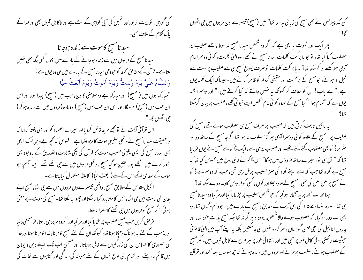کی گواہی ، نوریت، ز بور اور انجیل کی سچی گواہی کے الٹ ہے اور ناقابل قسول بھی اور خدا کے یاک کلام کے خلاف بھی۔ سید نامسح کاموت سے زندہ ہوجانا سید نامسیح کے مر دوں میں سے زندہ ہوجانے کے مارے میں انکار، کسی جگہ بھی نہیں ملتا ہے۔ قرآن کےمطابق محمد کوحبووحی سید نامسیح کے بارے میں ملی وہ یوں ہے: وَالسَّلَامُ عَلَيَّ يَوْمَ وُلدتُّ وَيَوْمَ أَمُوتُ وَيَوْمَ أُبْعَثُ حَيًّا "مبارک ہوں میں ( مسیح) اور مبارک ہے وہ سلامتی کا دن، جب میں (مسیح) پیدا ہوا، اور اس دن حب میں (مسح) مرونگا، اور اس دن حب میں (مسح) دوبارہ (مردوں میں سے زندہ ہوکر) حي اڻھوں گا۔" اس قرآنی آیت نے نومجھے مزید قائل کردیااور میرے اعتماد کو اور بھی پختہ کردیا کہ در حقیقت سید نامسح نے واقعی صلیبی موت کامزہ چکھا ہے۔افسوس کہ تحچھ بے دین لوگ، ابھی بھی سید نا مسح کی ایسی یقینی صلیب موت کا قرآن کی پکی شہادت و تصدیق کے باوجود بھی ا کار کرتے ہیں۔مجھے پورا یقین ہو گیا مسح ، واقعی مر دوں میں سے حی اٹھے تھے۔ ایسا جسم، حبو موت کے بعد جی اٹھے اس کے لئے ( بعث حباً) کالفظ استعمال کباجاتا ہے۔ انجیل مقدس کے مطابق مسح ، واقعی تبیسرے دن مر دوں میں سے حی اٹھا، مسح اپنے بدن کی حالت میں حی اٹھا، حس کا مشاہدہ کیا جاسکتا اور حجھوا جاسکتا تھا۔ مسح کی موت بے معنی ہو تی ،اگر مسح کومر دوں میں جی اٹھنے کاسہرا نہ ملتا۔ فر ص کریں جب مسح صلیب پر اٹکا ما گیا اور مر گیا اور اگروہ مر دہ سی رہتا، نومسیحی د نیا اور مذہب کے لئے یہ ہولناک دھپکا ہونا تھا، کیونکہ ان کے لئے مسح کامر نا ،خدا کامر ناموتا اور خدا کی حصنوری کااحساس ان کی زند گیوں سے خالی ہوجاتا ، اور مسیحی اب تک اپنے دین وایمان میں قائم نہ رہتے، اور تمام بنی نوع انسان کے لئے ہمیشہ کی زند گی اور گناہوں سے نحات کی

کیونکہ پیلاطس نے بھی مسیح کی زبانی یہ سنا تھا" میں (مسیح) تیسرے دن مردوں میں جی اٹھوں

پھر ایک اور ثبوت یہ بھی ہے کہ اگر وہ شخص سیدنا مسح نہ ہوتا ، جسے صلیب پر مصلوب کیا گیا تھا، توجو ما بر کت کلمات سید نامسح نے بھے ، وہ الیٰ کلمات، کوئی دوسراعام آدمی ہیلا کیسے ادا کرسکتا تھا؟ یہ بابر کت کلمات توصرف یسوع مسیح ہی سے صلیب پرموت سے قبل ادا ہوئے، حبومسیح کے پرُمحبت اور حقیقی کردار کوظاہر کرتے ہیں۔جیسا کہ ایک کلمہ یوں ہے، "اے باپ! ان کو معاف کر کیونکہ یہ نہیں جانتے کہ کیا کرتے ہیں۔" اور دوسرا کلمہ یوں ہے کہ "تمام ہوا" کیامسیح کے علاوہ کو ئی عام شخص ایسے نبو تی کلیے ، صلیب پر بیان کرسکتا

یہ باتیں ثابت کرتی ہیں کہ صلیب پر صرف مسح ہی مصلوب ہوئے تھے، مسح کی صلیب پر ، مسیح کے علاوہ کوئی دوسرا آدمی ہر گز مصلوب نہ ہوا تھا۔ گرچہ مسیح کے ساتھ دو اور یٹر پر ڈاکو بھی مصلوب کئے گئے تھے۔ اور صلیب پر ہی سے، ایک ڈاکوسے مسیح نے یوں فرمایا تھا کہ " آج ہی تو ، میرے ساتھ فر دوس میں ہوگا" اس ڈاکونے اپنی روح میں محسوس کیا تھا کہ مسح بے گناہ تعاحب کہ اسے اپنے گناہ کی سمزاصلیب پر مل رہی تھی، حب کہ دوسرے ڈاکو نے مسح پر لعن طعن کی تھی۔مسح کےعلاوہ سلااور کون ، کسی کو فر دوس کاوعدہ دے سکتا تھا؟ چنانچه اب مجھ پر یہ آنٹکارا ہو گیا کہ حو شخص صلیب پر حچڑھا پا گیا اور مر گیا وہ سید نامسج ہی تھا۔ سورہ النساء ے ھ ا کی اس آیت کے مطابق ،مسیح کے بارے میں ، حبووہم وکھمان تھا، وہ بھی اب دور ہو گیا ، کہ مصلوب ہونے والاشخص، یہوداہ ہر گز نہ تھا بلکہ مسح بذات خود تھا، اور چاروں اناجیل کی سچی عینی گواہیاں ، ہر گزرد نہیں کی جاسکتیں بلکہ یہ اپنے آپ میں الہیٰ قانو نی حیثیت رکھتی ہو ئی کامل طور پر سچی بیں اور انتہا ئی طور پر سٖر طرح سے قابل قسول ہیں۔ مگر مسیح کے مصلوب ہونے، صلیب پر مرنے اور مر دوں میں زندہ ہونے کہ حی<sub>ص</sub>ر سال بعد محمد اور قرآن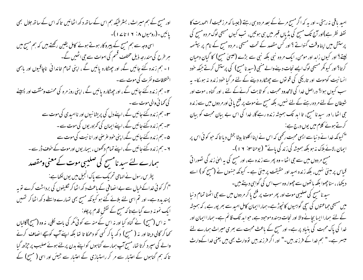اور مسیح کے ہم میراث ، بسٹر طیکہ ہم اس کے ساتھ دکھ اٹھائیں تاکہ اس کے ساتھ جلال بھی پائیں۔(رومیوں ۸: ۱۶۱ تا۱۷)۔ اسی وجہ سے ہم مسیح کے پیروکار ہوتے ہوئے کامل یقین رکھتے ہیں کہ ہم مسیح میں ہر طرح کی مندرجہ ذیل مختلف قسم کی اموات سے حی اٹھیں گے۔ ا - ہم زندہ کئے جائیں گے، اور جھٹکارہ پائیں گے ، اپنی تمام خاندانی ناچاقیوں اور پاہمی اختلافات و نفرت کی موت سے ۔ ۲۔ ہم زندہ کئے جائیں گے ، اور چھٹکارہ پائیں گے ، اپنی روز مرہ کی محنت ومشقت اور پسینے کی تھا ئی والی موت سے۔ **س**ے ہم زندہ کئے جائیں گے ، اپنے دل کی پریشا نیوں اور ناامیدی کی موت سے یہ۔ہم زندہ کئے جائیں گے ،اپنےایمان کی تمزور یوں کی موت سے ۔ ۵۔ ہم زندہ کئے جائیں گے،اپنی خود عرصی اور انا نبیت کی موت سے ۲ - ہم زندہ کئے جائیں گے ،اپنے تمام دکھوں ، بیماریوں اورموت کے خوف ڈر سے ۔ ہمارے لئے سید نامسیح کی صلیبی موت کےمعنی ومقصد پطرس رسول نے الہامی تحریک سے پاک انجیل میں یوں لکھاہے: "اگر کوئی خداکےخیال سے بے انصافی کے ماعث د کھ اٹھا کر نکلیفوں کی برداشت کرے تو بہ پسندیدہ ہے۔ اور تم اسی لئے بلائے گئے ہو کیونکہ مسبح بھی تہارے واسطے د کھ اٹھا کر تہییں ایک نمونہ دے گباہے تاکہ مسح کے نقش قدم پرچلو: " نہ اس (مسح) نے گناہ کیا اور نہ اس کے منہ سے کوئی مکر کی بات نکلی، نہ وہ (مسح)گالیاں کھا کر گالی دیتا اور نہ ( مسح) د کھ پا کر کسی کو دھمکا تا تھا بلکہ اپنے آپ کوسچے انصاف کرنے والے کی سپرد کرتا تھا، مسح آپ ہمارے گناہوں کواپنے بدن پر لئے ہوئے صلیب پر حیڑھ گیا تا کہ ہم گناہوں کے اعتبار سے مر کر راستبازی کے اعتبار سے جیئں اور اسی ( مسیح) کے

امید یاقی نہ رہتی -اور یہ کہ اگر مسج مرنے کے بعد مردہ ہی رہنے (جیسا کہ مرزعیت / احمدیت کا نقطہ نظر ہے)اور آج تک مسیح کی پڈیاں قسر میں ہی ہو تیں، تب کیوں مسیحی لوگ مر دہ مسیح کی پرستش میں اپناوقت گنواتے ؟ اور کس مقصد کے تحت مسیحی ، مر دہ مسیح کے نام پر بپتسمہ لیتے؟ اور کیوں زاہد اور مومن، ایک مردہ نبی بلکہ نبی سے بڑے (عیسیٰ مسح) کا گیان دھیان کرتا؟ اور کیونکر مسیحی لوگ ایسے نحات دینے والے منھی (سید نامسح) کی پرستش کرتے جبکہ خود انسانیت کوموت اور تاریکی کی قویوں سے چھٹکارہ دینے کے لئے مر گیا خود زندہ نہ ہوسکا۔ یہ سب کیوں ہوا؟ دراصل خدا کی لامحدود محبت ، کو ثابت کرنےکے لئے ، اور گناہ ، موت اور شیطان کے لئے مر دہ رہنے کے لئے نہیں، بلکہ مسح نے موت پر فتح یا ئی اور مر دوں میں سے زندہ جی اٹھا ،ا ور سید نا مسیح، تا ابد تک ہمیشہ زندہ رہے گا، خدا کی اس بے بیان محبت کو بیان کرتے ہوئے کلام میں یوں درج ہے: " کیونکہ خدا نے د نیا سے ایسی محبت رکھی کہ اس نے اپنااکلو تا بیٹا بخش دیا تا کہ حو کوئی اس پر ایمان ،لائے ہلاک مذہو بلکہ ہمیشہ کی زند کی پائے" (یوحناس : ۱۲)۔ مسیح مر دوں میں سے جی اٹھا - وہ پھر سے زندہ ہے، اور مسیح کی یہ الہیٰ زند کی تصوراتی قیاس پر مبنیٰ نہیں، بلکہ زندہ اسید اور حقیقت پر مبنیٰ ہے۔ کیونکہ جنہوں نے (مسح کو) اسے دیکھا، ، سناچھوا بلکہ باتھوں سے چھوا، وہ سب اس کی گواہی دیتے ہیں۔ سید نامسیح کی صلیبی موت اور پھر موت پر فتح پا کر مردوں میں سے حی اٹھنا تمام د نبا میں مسیحی حماعتوں کی سچی گواہیوں کانچوڑہے۔ہماراایمان کامل امید سے بھر پور ہے ، کہ ہمیشہ کے لئے ہمارا ایسا بجانے والا اور نجات دہندہ موحبود ہے، حبوابد تک قائم ہے۔ ہمارا ایمان اور خدا کی پاک محبت کی بنیاد پر ہے۔ اور مسیح کے باعث محبت سے بھری میراث ہمارے لئے میسر ہے۔" ہم خدا کے فرزند ہیں۔" اور اگر فرزند ہیں تووارث بھی بیں یعنی خدا کےوارث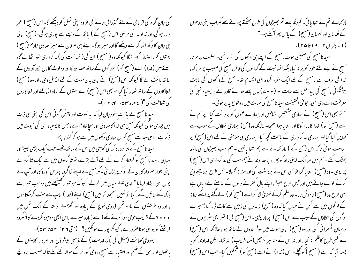کی جان گناہ کی قریا ٹی کےلئے گذرا ٹی جائے گی تووہ اپنی نسل کو دیکھے گا۔اس (مسح ) عمر دارز ہو گی،اورخداوند کی مرحنی اس (مسیح کے ) باتھ کے وسیلے سے پوری ہو گی۔(مسیح) اپنی ہی جان کا دکھ اٹھا کر اسے دیکھے گا اور سپر ہوگا۔ اپنے ہی عرفان سے میرا صادق خادم (مسح ) بہتوں کو راستیاز ٹھہرائیگا کیونکہ وہ ( مسح ) ان کی (انسانیت کی ) بد کرداری خود اٹھالے گا، اسلئے میں (خدا ) اسے (مسح کو ) بزرگوں کے ساتھ حصہ دو نگااور وہ لوٹ کامال زور آوروں کے سائھ بانٹ لے گا کیونکہ اس (مسیح) نے اپنی جان موت کے لئے انڈیل دی ، اور وہ ( مسیح) خطاکاروں کے ساتھ شمار کیا گیا تو بھی اس (مسح) نے بہتوں کے گناہ اٹھالئے اور خطاکاروں کی شفاعت کی "( یسعیاہ ۵۳ نہ ۳ تا ۱۲ )-

سید نامسح نے بذات خود جان لیا کہ یہ نبوت اور پیش گوئی اس کی اپنی ہی ذات میں پوری ہو گی کیونکہ مسیح ہی خدا کاصادق اور سچاخادم ہے، جس کا یسعیاہ نبی کی نبوت میں ذ کر ہے۔اسی وجہ سے مسح کوان ساری دکھوں میں سے ہو کر گزر نا پڑا۔ سید نامسح کے شاگرد، د کھ کی گھڑی میں اس کے ساتھ تھے۔ جب ایک بڑی ہیپڑ اور سیاہی ، سید نامسیح کو گرفتار کرنے کے لئےآگے بڑے، نو شاگردوں میں سے ایک شاگرد نے اپنی تلوار سمر دار کابن کے نو کر پر بڑھا ئی ۔مگر مسح نے اپنے شاگرد، پطرس کورو کا، اور آپ نے یوں الهیٰ ارشاد فرما یا " اپنی تلوار میان میں کرلے، کیونکہ حو تلوار کھینیجتے ہیں وہ سب تلوار سے بلاک کئے جائیں گے، کیا تو نہیں سمجھتا کہ میں (مسح) اپنے(غدا ) باپ سے منت کرسکتا ہوں ، اور وہ فرشتوں کے بارہ تمن (رومی فوج کے پیادہ اور ٹھڑ سوار دستہ کے ایک تمن میں • • • ۲ کے قریب فوجی ہوا کرتے تھے) سے زیادہ میرے پاس ابھی موحود کردے گا؟ مگروہ فرشِنے کو یونٹی ہوناصرور ہے، کیونکر پورے ہونگیں ؟" (متی ۲ ۰ : ۵۲ تا ۵۴)۔ یہودی کھانت (ہیکل کی پاک خدمت ) کے مذہبی پیشواؤں اور سمردار کاہنوں کے پانھوں اورانہی کے صحم اور اختیار سے مسیح، رومی گور نر کے حوالہ کئے گئے تا کہ صلیب پر دئیے

مارکھانے تم نے شفا یا ئی۔ کیونکہ پہلے تم ہیپڑوں کی طرح بھٹکتے پھرتے تھے مگر اب اپنی روحوں کے گلہ بان اور نگھبان (مسیح) کے پاس پھر آگئے ہو۔" (۱ - پطرس ۲ : ۱۹ تا۱۵ )-سید نا مسح کی صلیبی موت، مسح کے اپنے ہی دکھوں کی انتہا تھی۔ صلیب پر مرنا، مسح نے اپنے لئے خود تجویز نہ کیا، بلکہ انسانیت کے گناہوں کی خاطر، مسح کی صلیب پر مرناک، خدا کی طرف سے ، مسح کےلئے ایک مقرر کردہ الہیٰ انتظام تھا۔ مسح کےد کھوں کی یابت پیشنگوئی ، مسح کی پیدائش سے سات سو ( • • ۷)سال پہلے خدائے قادر نے ، یسعیاہ نبی کی معرفت دے دی تھی، حوفی الحقیقت سید نامسح کی حیات میں ، وقوع پذیر ہو ئی ۔ " تو بھی اس (مسح) نے ہماری مشقتیں اٹھالیں اور ہمارے عموں کو برداشت کیا۔ پر ہم نے اسے (مسح کو ) خدا کا مارا کوٹا اور ستا یا ہوا سمجیا۔ حالانکہ وہ (مسح) ہماری خطاؤں کے سبب سے گھایل کیا گیا اور ہماری مد کرداری کے باعث کھچلا گیا۔ ہماری ہی سلامتی کے لئے اس (مسح) پر سیاست ہوئی تاکہ اس (مسح کے ) مار کھانے سے ہم شفا پائیں - ہم سب بھیڑوں کی مانند بھٹک گئے ۔ ہم میں ہر ایک اپنی راہ کو پھرا، پر خداوند نے ہم سب کی بد کرداری اس (مسح) پرلادی - وہ (مسح) ستا پا گیا تو بھی اس نے برداشت کی اور منہ نہ کھولا۔ حس طرح برہ جسے ذمح کرنے کو لے جاتے ہیں اور جس طرح بھیڑ ، اپنے مال کنترنے والوں کے سامنے بے زبان ہے اسی طرح وہ (مسح)خاموش ربا۔ وہ ظلم کرکے فتویٰ لگا کر اسے (مسح کو ) لےگئے پر ایکے زمانہ کے لوگوں میں سے کس نے خیال کیا کہ وہ (مسیح) زندوں کی زمین سے کاٹ ڈالا گیا؟ میرے لوگوں کی خطاؤں کےسبب سے اس (مسح) پر ماریڑی۔ اس (مسح کی ) قبر بھی سٹریروں کے درمیان ٹھہرائی گئی اور وہ (مسح) اپنی موت میں دولتمندوں کےساتھ ہوا، حالانکہ اس (مسح) نے کسی طرح کاظلم نہ کیا ، اور نہ اس کے منہ ہر گز حچل(مکر، فریب ) نہ تھا۔ کیکن خداوند کو بہ پسند آیا کہ اسے ( مسح ) کوچکے۔ اس (خدا ) نے اسے (مسح کو ) عمکین کیا۔ جب اس (مسح)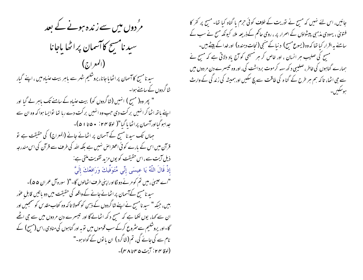مرُ دوں میں سے زندہ ہونے کے بعد سید نامسح کاآسمان پراٹھا باجانا  $(\zeta \vert \lambda)$ المعراج) سیدنامسیح کا آسمان پر اٹھایا جانا، یروشلیم شہر سے باہر بیت عنیاہ میں ، اپنے گیار شاگردوں کے سامنے ہوا۔ " پھر وہ( مسح ) انہیں (شاگردوں کو) بیت عنیاہ کے سامنے تک پاہر لے گیا اور اپنے پاتھ اٹھاکر انہیں برکت دی جب وہ انہیں برکت دے رہا تھا تواپسا ہوا کہ وہ ان سے جدا ہوگیااورآسمان پراٹھا پا گیا"( لوقا ۲۴: • ۵ تا ۵ )-جہاں تک سیدنا مسج کے آسمان پر اٹھائے جانے (المعراج) کی حقیقت ہے تو قرآن میں اس کے بارے کو ئی اعتراض نہیں ہے بلکہ اللہ کی طرف سے قرآن کی اس مندرجہ ذیل آیت سے ، اس حقیقت کو یوں مزید تقویت ملتی ہے: إِذْ قَالَ اللَّهُ يَا عيسَى إِنِّي مُتَوَفِّيكَ وَرَافعُكَ إِلَيَّ "اے عیسیٰ ، میں تم کو مرنے دو نگااورا پنی طرف اٹھالوں گا۔"( سورہ آل عمران ۵۵)۔ سید نامسح کےآسمان پر اٹھانے جانے کے واقعہ کی حقیقت میں دو یا تیں قابل عور بیں، جبکہ " سید نامسح نے اپنے نٹا گردوں کے ذہن کو کھولا تا کہ وہ کتاب مقد س کو سمجھیں اور ان سے کہا، یوں لکھا ہے کہ مسح دکھ اٹھانے گا اور تیسرے دن مردوں میں سے حجی اٹھے گا-اور پروشلیم سے مثر وع کرکے سب قوموں میں تو یہ اور گناہوں کی منادی ،اس (مسح) کے نام سے کی جائے گی، تم (شاگرد ) ان یا توں کے گواہ ہو۔" (لوقا ۲۴ : آیت ۴۵ تا ۲۸ )-

جائیں، اس لئے نہیں کہ مسح نے توریت کے خلاف کوئی حرم یا گناہ کیا تھا۔ مسح پر کفر کا فتویٰ ، یہودی مذہبی پیشواؤں کے اصرار پر ، رومی حاکم کےذریعہ ملا، کیونکہ مسح نے سب کے سامنے ہہ اقرار کیا تھا کہ وہ (یسوع مسح) د نیا کے منبی (نجات دہندہ) اور غدا کے پیٹے بیں۔ مسیح کی صلیب ہر انسان ، اور خاص کر ہر مسیحی کو آج یاد دلاتی ہے کہ مسح نے ہمارے گناہوں کی خاطر، صلیبی د کھ سہہ کرموت برداشت کی، اور وہ تبیسرے دن مر دوں میں سے جی اٹھا، تاکہ ہم ہر طرح کے گنا ہ کی طاقت سے بچ سکیں اور ہمیشہ کی زند گی کے وارث ہوسکیں۔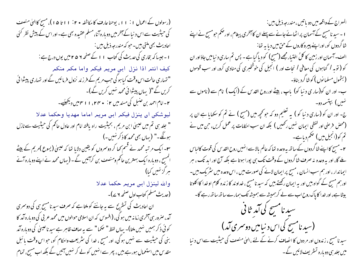(رسولوں کے اعمال ۱ : ۱ ۱ ، یوحنا عارف کا مکاشفہ • ۲ : ۱ ا تا ۱۵ )، مسح کاالعیٰ منصف کی حیثیت سے اس د نیا کے آخر میں دوبارہ آنا، مسلم عقیدہ بھی ہے۔ اور اس کے پیش نظر کئی احادیث بھی مکتی بیں۔ حبو کہ مندرجہ ذیل بیں : ا - جیسا کہ بخاری کی حدیث کی کتاب ۱۱ کے صفحہ ۲ ۵ م میں یوں درج ہے : كيف انتمر اذا نزل ابني مريمر فيكمر واما مكمر منكمر " تہاری حالت اس وقت کیاہو کی حب مریم کے فرزند نزول فرمائیں گے اور تہاری پیشوا ئی کریں گے "( یہاں پیشوائی محمد نہیں کریں گے)۔ ۲- امام احمد بن حنبل کی مسند میں ۲: • ۳۴، ۱۱ میں دیکھیئے۔ ليوشكن ان ينزل فيكم ابن مريم اماما مهديا وحكما عدلا " جلد ہی تم میں عیسیٰ ابن مریم ، بحیثیت راہ بافتہ امام اور عادل حاکم کی حیثیت سے نازل ہونگے۔" (یہاں بھی محمد کاذ کر نہیں۔) ۳۔ ایک مرتبہ محمد نے قسم کھا کر دوسمروں کو یقین دلایا تھا کہ عیسیٰ (یسوع )مریم کے بیٹے المسح ، دوبارہ ایک بہترین حاکم ومنصف بن کرآئیں گے ۔ (یہاں محمد نے اپنے دوبارہ آنے ہر گز نہیں کیا) والله لينزل ابن مريم حكما عدلا (حدیث مسلم کتاب اول صفحہ ۷ ۲)۔ ان احادیث کی تستریح سے یہ جاننے کو ملتا ہے کہ صرف سید نامسح ہی کی دوسمری آمد، صرور سی آخری زمانه میں ہو گی، (افسوس کہ ان اسلامی حوالوں میں محمد عربی کی دو بارہ آمد کا کوئی ذکر ہمیں نہیں ملتا)۔ بہاں لفظ " حکما " سے یہ صاف ظاہر ہےسید ناعیسیٰ کی دوبارہ آمد بنی کی حیثیت سے نہیں ہوگی، اور مسح ، خدا کی سثر یعت واحکام کو، حواس وقت پائبل مقدس میں استعمال ہورہے بیں ، پھر سے انہیں کولے کر نہیں آئیں گے بلکہ اب مسح، تمام

المعراج کے واقعہ میں دو یا تیں ، مندرجہ ذیل ہیں :-ا ۔سید نامسیح کے آسمان پر اٹھانے جانے سے پہلے ان کا آخری پیغام، اور حکم حومسیح نے اپنے شاگردوں کو، اوراپنے پیرو کاروں کے حن میں دیا ہہ تھا: الف-آسمان اور زمین کا کلُ اختیار مجھے (مسیح) کو دیاگیا ہے - پس تم ساری دنیامیں جاؤاور ان کو ( نوبہ ا گناہوں کی معافی ا نجات اور ) انجیل کی خوشخبری کی منادی کرو، اور سب قوموں (بشمول مسلما نوں ) کوشاگرد بناؤ۔ ب۔ اور ان کو(سار ی د نیا کو) باپ ، بیٹے اورروح القد س کے (ایک ) نام سے (ناموں سے نهیں) بپتسمہ دو۔ ج- اور ان کو (ساری د نبا کو ) پہ تعلیم دو کہ حو تحچھ میں (مسج ) نے تم کو سکھایا ہے ان پر (محض فرصی اور لفظی ایمان نهیں رکھیں ) بلکہ ان سب احکامات پر عمل کریں، حن میں نے تم کو(انجیل میں ) صحم دیاہے۔ ۲ - مسح کا اپنے نٹا گردوں کے ساتھ یہ وعدہ تھا کہ عالم بالا سے انہیں روح القد س کی قوت کالباس یلے گا، اور یہ وعدہ نہ صرف شاگردوں کے وقت تک ہی پورا ہوتا ہے بلکہ آج اور ابد تک ، ہر ایماندار ، اور ہم سب انسان ، مسح پر ایمان لانے کی صورت میں ، اس وعدہ میں سٹر یک ہیں۔ اورہم مسح کے گواہ بیں اور بیہ ایمان رکھتے بیں کہ سید نامسح ، خداوند کا زندہ کلام او خدا کااکلوتا بیٹا ہے، اور خدا کا پاک روح اب سے لے کرہمیشہ سے ہمیشہ تک ہمارے ساتھ ساتھ رہے گا۔ سید نامسیح کی آمد ثا فی (سید نامسح کی اس د نیامیں دوسری آمد) سید نامسح ، زندوں اور مر دوں کا انصاف کرنے کے لئے ،الہٰیٰ منصف کی حیثیت سےاس د نیا میں جلد ہی دو بارہ تسٹر یف لائیں گے ۔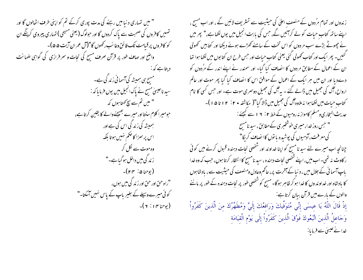" میں تہماری د نیا میں رہنے کی مدت پوری کرکے تم کو اپنی طرف اٹھالوں گا اور تہمیں کافروں کی صحبت سے پاک کردوں گا اور حوادگ(یعنی مسیحی ) تہاری پیروی کرینگے ان کو کافروں پر قیامت تک فائن وغائب رکھوں گا"(آل عمران آیت ۵۵)-واضح اور صاف طور پر قرآن صرف مسح کی نجات و سمر فرازی کی گواہی ضمانت دیتاہے کہ : مسح ہی ہمیشہ کی آسمانی زند گی ہے۔ سید ناعیسیٰ مسح نے پاک انجیل میں یوں فرما ماکہ : لیس تم سے سچ کھتا ہوں کہ " حبومبیرا کلام سنتااور میرے بھیجنےوالے کا یقین کرتاہے، ہمیشہ کی زند گی اس کی ہے اور اس پر سمزا کاحکم نهیں ہوتا بلکہ وہ موت سے لکل کر ز ند گی میں داخل ہو گیا ہے۔" (يوحنا ۵ : ۲۴)-"راه حق اور حق اور زندگی میں ہوں، کوئی میرے وسیلے کے بغیر باپ کے پاس نہیں آسکتا۔"  $L(Y \mid Y \nmid Y)$ 

زندوں اور تمام مرُدوں کے منصف اعلیٰ کی حیثیت سے تشریف لائیں گے ، اور اب مسح ، اپنے ساتھ کتاب حیات کولے کرآئیں گے، جس کی بابت انجیل میں یوں لکھاہے،" پھر میں نے چھوٹے بڑے سب مر دوں کو اس تخت کے سامنے کھڑے ہوئے دیکھا اور کتابیں کھولی گئیں۔ پھر ایک اور کتاب کھولی گئی یعنی کتاب حسات اور حس طرح ان کتا بوں میں لکھا ہوا تھا ان کے اعمال کے مطابق مر دوں کا انصاف کیا گیا۔ اور سمندر نے اپنے اندر کے مرُ دوں کو دےدیا اور ان میں ہر ایک کے اعمال کے موافق اس کا انصاف کیا گیا پھر موت اور عالم ارواح، آگ کی جھیل میں ڈالے گئے ۔ یہ آگ کی جھیل دوسمری موت ہے۔ اور جس کسی کا نام کتاب حیات میں لکھا ہوا نہ ملاوہ آگ کی جھیل میں ڈالا گیا"( مکاشفہ • ۲ : ۲ ا تا ۱۵ )-حدیث البخاری ومسلم کامواز نہ رومیوں کے خطہ ۲ : ۱ ۲ سے کیچئے : لیسمبر روز خدا، میری خوشخبری کےمطابق ، سید نامس<del>ح</del> کی معرفت، آدمیوں کی پوشیدہ یا نوں کاانصاف کریگا" چنانچہ اب میرے لئے سید نا مسح کو اپنا خداوند اور شخصی نحات دہندہ قبول کرنے میں کوئی ر کاوٹ نہ تھی۔اب میں، اپنے شخصی نجات دہندہ ، سید نامسح کا انتظار کرتا ہوں، جب کہ وہ خدا باپ آسما فی کے جلال میں ، د نیا کے آخرت پر، حاکم وعادل ومنصف کی حیثیت سے ، بادشاہوں کا بادشاہ اور خداوند وں کا خدا ہو کر ظاہر ہوگا۔ مسح کو شخصی طور پر نحات دہندہ کے طور پر ماننے والوں کے مارے میں قرآن ببان کرتاہے: إِذْ قَالَ اللَّهُ يَا عِيسَى إِنِّي مُتَوَفِّيكَ وَرَافعُكَ إِلَيَّ وَمُطَهِّرُكَ منَ الَّذينَ كَفَرُواْ وَجَاعلُ الَّذينَ اتَّبَعُوكَ فَوْقَ الَّذينَ كَفَرُواْ إِلَى يَوْمِ الْقِيَامَةِ خدانے عیسیٰ سے فرمایا: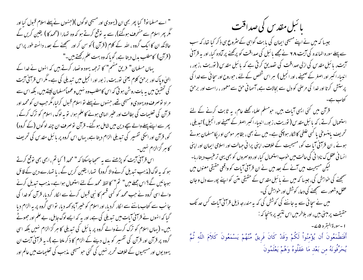" اے مسلما نو! کیا پھر بھی ان (یہودی اور مسیحی لو گوں )(جنہوں نے پہلے اسلام قبول کیا اور گُر پھر اسلام سے منحرف ہوگئے)، سے یہ توقع کرتے ہو کہ وہ تہارا (محمد کا ) یقین کریں گے حالانکہ ان کا ایک گروہ ، اللہ کے کلام (قرآن ) کو سن کر اور سنجھنے کے بعد، دانستہ طور پراس (قرآن) کامطلب بدل دیتا ہے، گوپا کہ وہ بہت علم رکھتے ہیں۔" یہاں مسلمان" فریق منھم" کا ترجمہ یہود ونصار کرتے ہیں کہ انہوں نے خدا کے انهٰیٰ ویاک اور برحق کلام یعنی نوریت ، زبور اور انجیل میں تبدیلی کی ہے۔مگر اس قرآنی آیت کی تحقیق میں بہ بات روشن ہو تی کہ اس کامطلب وہ نہیں وعموماًمسلمان لیتے ہیں، بلکہ اس سے مراد نوصرف وہ یہودی ومسیحی تھے، جنہوں نے پہلے نو اسلام قبول کرلیا،مگر جب ان کو محمد اور قرآن کی تعلیمات کی بطالت اور عنیر الہامی ہونے کا علم ہوا، تو بہ لوگ، اسلام کو ترک کرکے ، پھر سے اپنے پہلے والے سچے دین میں شامل ہو گئے۔ قرآن نوصرف ان چند لوگوں (کے گروہ) کو، قرآن اور ا<sup>س</sup>کی تفسیر کی تبدیلی الزام دیتا ہے، یہاں اس گروہ پر بائبل مق*دس* کی تحریف کا ہر گزالزام نہیں۔

اس قرآنی آیت کو پڑھنے سے یہ سمجاجاسکتا کہ " محمد! کیا تم، ابھی بھی توقع کرتے ہو کہ یہ لوگ (مذہب تبدیل کرنے والا گروہ) تہارا یقین کریں گے ، یا تہارے دین کے قائل ہوجا ئیں گے؟ اس جملے میں" تم" کالفظ محمد کے لئے استعمال ہوا ہے۔ مذہب تبدیل کرنے والے اسی گروہ نے جب محمد کو کسی قسم کا نبی قسول کرنے سے انکار کردیا، قرآن کو خدا کی جا نب سے کتاب ماننے سے الکار کردیا، اور اسلام کو خیبر آباد کھہ دیا، تو اسی گروہ پر یہ الزام دیا گیا کہ انہوں نے قرآنی آیات میں تبدیلی کی ہے، اور یہ کہ ایسے لوگ جابل، بے علم اور جھوٹے بیں۔ (بہاں اسلام کو ترک کرنے والے گروہ پر پا ئبل کی تبدیلی کا ہر گزالزام نہیں بلکہ اسی گروہ پر قرآن اور قرآن کی تفسیر کو بدل دینے کے الزام کا ذکر ملتا ہے )۔ بہ قرآنی ایت ان یہودیوں اور مسیحیوں کے خلاف تحریر نہیں کی گئی حومسیحی مذہب کی تعلیمات میں عالم اور

با <sup>ئىب</sup>ل مقدس كى صداقت جیسا کہ میں نے اپنے مسیحی ایمان کی بابت گواہی کے مثروع ہی ذکر کیا تھا، کہ سب سے پہلے سورہ المائدہ کی آیت ۲۸ نے مجھے بائبل کی صداقت کو پرکھنے پر آمادہ کیا، اور یہ قرآنی آیت، بائبل مقدس کی ازلی صداقت کی تصدیق کرتی ہے کہ بائبل مقدس ( توریت ،زبور ، انبیاء اکبر اور اصغر کے صحیفے، اور انجیل ) ہر اس شخص کے لئے ، حوروح اور سچائی سے خدا کی پرستش کرتا اور خدا کی مرحنی کو دل سے بجالات ہے، آسما فی حن سے معمور ، راست اور برحن

قرآن میں گئی ایسی آیات ہیں، حومسکم علماء کھلے عام، یہ ثابت کرنے کے لئے استعمال کرتے ، کہ بائبل مقدس ( نوریت ، زبور، انبیاء اکسر اصغر کے صحیفے اور انجیل ) تبدیلی ، تحریف پامنسوخی یا کسی علطی کاشکار ہوچکی ہے۔میں نے بھی ، بظاہر مومن اور یکامسلمان ہوتے ہوئے ، ان قرآنی آبا ت کو، مسیحیت کے خلاف، اپنی پرانی جہالت اور اسلامی ایمان اور اپنی انسا فی عقل ک نادا فی کی حالت میں خوب استعمال کیا، اور دوسمروں کو بھی یہی ترعیب دیتاریا-لیکن مسیحیت میں آنے کے بعد میں نے ان قرآنی آیات کو واقعی حقیقی معنوں میں سمجھنے کی خواہش کی، جیسا کہ میں نے مائبل مقدس کے حقیقی متن کو اپنے پورے دل و جان عقل وشعور سے سمجھنے کی دعا، کوشش اور حواہش کی۔ میں نے سچائی سے یہ جاننے کی کوشش کی کہ یہ مندرجہ ذیل قرآنی آیات کس حد تک حقیقت پر مبنی بیں، اور بلاخر میں اس نتیجہ پر پہنچا کہ : ا -سورة البقره ۵۷-.<br>أَفَتَطْمَعُونَ أَن يُؤْمِنُواْ لَكُمْ وَقَدْ كَانَ فَرِيقٌ مِّنْهُمْ يَسْمَعُونَ كَلاَمَ اللّهِ ثُمَّ

يُحَرِّفُونَهُ من بَعْد مَا عَقَلُوهُ وَهُمْ يَعْلَمُونَ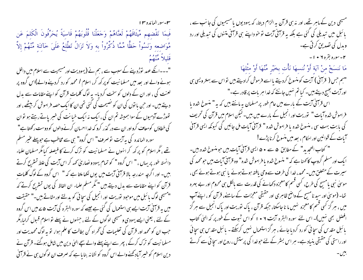۳-سو*د الم*ائده ۱۳

فَبِمَا نَقْضِهِم مِّيثَاقَهُمْ لَعنَّاهُمْ وَجَعَلْنَا قُلُوبَهُمْ قَاسِيَةً يُحَرِّفُونَ الْكَلمَ عَن مَّوَاضِعِهِ وَنَسُواْ حَظًّا مِّمَّا ذُكِّرُواْ بِهِ وَلاَ تَزَالُ تَطَّلِعُ عَلَىَ خَآئِنَةٍ مِّنْهُمْ إِلاّ قَليلاً مُّنْهُمْ

"۔۔۔انکے عہد توڑدپنے کے سبب سے ، ہم نے (یہودیت اور مسیحیت سے اسلام میں داخل ہونے والے اور بعد میں مسلمانیت کوپر کھ کر، اسلام ا محمد کو رد کردینے والے)اس گروہ پر لعنت کی ، اور ان کے دلوں کو سخت کردیا- یہ لوگ کلمات قرآن کو اپنے مقامات سے بدل دیتے ہیں۔اور حن یا نوں کی ان کو نصیحت کی گئی تھی ان کا ایک حصہ فراموش کر بیٹھے ، اور تھوڑے آدمیوں کے سواہمیشہ تم ان کی ، ایک نہ ایک خیانت کی خبر پاتے رہتے ہو توان کی خطاؤں کومعاف کرواور ان سے در گذر کرو کہ خدا احسان کرنے والوں کو دوست رکھتا ہے" سورہ المائدہ کی یہ آیت توصرف" اس گروہ" ہی سے مخاطب ہے حوپہلے عنیر مسلم تھے ، مگر اسلام کو پر کھ کر انہوں نے مسلمانیت کو ترک کرنے کا فیصلہ کیا مگر مسلمان علماء دانسته طور پر بہاں ، " اس گروہ " کو تمام یہود و نصاریٰ کھہ کر اس آیت کی علط تستریح کرتے ہیں۔ اور اگرچہ مندرجہ بالا قرآنی آیت میں یوں لکھا ملتا ہے کہ " اس گروہ کے لوگ کلمات قرآن کو اپنے مقامات سے بدل دیتے ہیں " مگر مسلم علماء ان الفاظ کی یوں تستریح کرتے کہ "مسیحی لوگ ما ئبل میں موحود توریت اور انجیل کی سچائی کو بدلتے اور مٹاتے ہیں۔" حقیقت میں یہ قرآفی آیت ایسے ہی استعمال کی گئی ہے جیسے کہ سورہ البقرہ کی آیت ۵ سے میں اس گروہ کے لئے ، یعنی ایسے یہودی ومسیحی لوگوں کے لئے ، جنہوں نے پہلے تو اسلام قبول کرلیا،مگر حبب ان کو محمد اور قرآن کی تعلیمات کی گھراہ کن بطالت کا علم ہوا، نو یہ لوگ محمدیت اور مسلمانیت کو ترک کرکے ، پھر سے اپنے پہلے والے سچے الہیٰ دین میں شامل ہوگئے۔ قرآن نے دین اسلام کو خبیر آباد کھنے والے اس گروہ کو نشانہ بنا یا ہے کہ صرف ان لوگوں ہی نے قرآنی

مسیحی دین کے ماہر تھے، اور نہ ہی قرآن یہ الزام دیتا، کہ یہودیوں یا مسیحیوں کی جانب سے ، بائبل میں تبدیلی کی گئی ہے بلکہ یہ قرآنی آیت نو خو داپنے ہی قرآنی متنوں کی تبدیلی اور رد وبدل کی تصدیق کرتی ہے۔ ۲-سوره بقره ۲ + ۱ -مَا نَنسَخْ مِنْ آيَة أَوْ نُنسهَا نَأْتِ بخَيْرِ مِّنْهَا أَوْ مثْلهَا "ہم جس( قرآنی) آیت کومنسوخ کردیتے یااسے فرموش کرادیتے ہیں نواس سے بہتر ویسی ہی اور آیت بھیج دیتے ہیں۔ کیا تم نہیں جانتے کہ خدا ہر بات پر قادر ہے۔" اس قرآنی آیت کے بارے میں عام طور پر مسلمان یہ مانتے ہیں کہ یہ " منسوخ شدہ یا فراموش شدہ آیات " توریت اور انجیل کے بارے میں ہیں۔ لیکن اسلام میں قرآن کی تحریف کی بابت بهت سی ، منسوخ شده یا فراموش شده " قرآنی آیات مل جائیں کی کیونکہ ایسی قرآنی آیات کے قوانین اور احکام ، بعد میں منسوخ کرنا پڑے! " کتاب التحدید" کے مطابق ۵ سے • ۵ ایسی قرآنی آیات بیں حو منسوخ شدہ بیں۔ ایک اور مسلم گروپ کانهنا ہے کہ " منسوخ شدہ یا فراموش شدہ" وہ قرآنی آیات، بیں حومحمد کی سیرت کے متعلق ہیں۔محمد، خدا کی طرف سے وحی یافتہ ہوتے ہوئے یا نبی ہوتے ہوئے بھی ، موسیٰ نبی یامسیح کی طرح، کسی قسم کامعمِزہ دکھانے کی قدرت سے بالکل ہی محروم اور بے بہرہ تھا۔ (موسیٰ اور سید نامسیح کے واضح ظاہر ی اور حقیقی معجزات کے سامنے، قرآن کو ، اپنے آپ میں ، ہر گز کسی قسم کامعجزہ نہیں ما نا جاسکتا، جبکہ قرآن ، پاک نوریت اور پاک انجیل سے ہر گز افضل بھی نہیں)۔ اس لئے سورہ البقرہ آیت ۲ • ۱ کو اس شبوت کے طور پر کہ ال<sub>ک</sub>ٰ کتاب بائبل مقدس کی سچائی کورد کردیاجائے ، ہر گزاستعمال نہیں کرسکتے۔ بائبل مقدس ہی سچائی اور راستی کی حقیقی بنیاد ہے۔ ہر اس بسٹر کے لئے حوخدا کی پرستش ، روح اور سچائی سے کرتے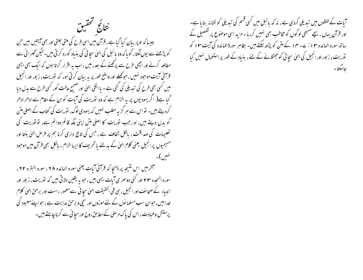نتائج تحقيق

جیسا کہ اوپر بیان کیا گیا ہے ، قرآن میں اسی طرح کی ملتی جلتی اور بھی آیتیں بیں حن کو پڑھنے سے یوں لگتا، گو ماکہ وہ مائبل کی الہیٰ سچائی کی بنیاد کورد کرتی بیں۔لیکن گھرائی سے مطالعہ کرنے اور اچھی طرح سے پرکھنے کے بعد ، میں ، اب یہ اقرار کرتا ہوں کہ ایک بھی ایسی قرآفی آیت موحبود نہیں ، حبوکھلے اور واضح طور پر بہ بیان کرتی ہو، کہ توریت ، زبور اور انجیل میں کسی بھی طرح کی تبدیلی کی گئی ہے۔ یاانکی الہیٰ اور صحیح حالت کو، کسی طرح سے بدل دیا گیا ہے( اگر یہودیوں پر بہ الزام ہے کہ وہ توریت کی آیات کو ان کے مقام سے ادھر ادھر گردیتے ہیں۔ نواس سے ہر گزیہ مطلب نہیں کہ یہودی لوگ، نوریت کی کتاب کے اصلی متن کو بدل دیتے ہیں، او رجب نوریت کا اصلی متن اپنی جگہ قائم ودائم ہے، نونوریت کی تعلیمات کی صداقت ، پالکل شفاف ہے ، جس کی تابع داری کرنا ہم پر فرص الهیٰ بنتا اور مسیحیوں پرانجیل یعنی کلام الهیٰ کے بدلنے یا تحریف کاایساالزام ، بالکل بھی قرآن میں موحود

آخر میں اس نتیجہ پر پہنچا کہ قرآنی آیات یعنی سورہ المائدہ ۲۸، سورہ البقرہ ۲۲، سورہ السحدہ ۳۲ اور کئی دوسر ی آیات ایسی بیں ، حبوبہ یقین دلاتی بیں کہ توریت ، زبور اور انبیاء کے صحائف اور انجیل ، ہی فی الحقیقت الهیٰ سچائی سے معمور راست اور برحق الهیٰ کلام خداہیں، حوان سب مسلمانوں کے لئے موزوں اور سچی وبرحن بدایت ہے ، حواپنے معبود کی پرستش وعبادت، اس کی پاک مرحنی کے مطابق روح اور سچا ئی سے کرنا چاہتے ہیں۔

آبات کے لفظوں میں تبدیلی کردی ہے ، نہ کہ پائبل میں کسی قسم کی تبدیلی کو نشانہ بنایا ہے۔ اور قرآن بہاں ، سیے مسیحی لوگوں کو مخاطب بھی نہیں کررہا - مزید اسی موصوع پر تفصیل کے ساتھ سورہ المائدہ ١٣ : ٢ - ١٣ كے متن كو پڑھ سكتے ہيں۔ بظاہر سورۃ المائدہ كى آيت ١٣ كو توریت ، زبور اور انجیل کی الہیٰ سچائی کو جھٹلانے کے لئے ، بنیاد کے طور پر استعمال نہیں کیا جاسكتا-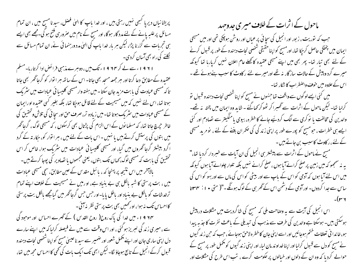پریشا نباں دیریا گبھی نہیں رہتی ہیں ، اور خدا باپ کا الہیٰ فصل، سید نامسیح میں ، ان تمام مسائل پر علیہ پانے کے لئے مدد گار ہوگا، اور مسیح کے نام میں صرور ہی فتح ہو گی۔مجھے بھی ایسے ہی تجربات سے گزرنا پڑا، لیکن ہر بار خدا باپ کی الہیٰ مدد ورہنمائی نے، ان تمام مسائل سے یکلنے کی راہ بھی آسان کردی۔ ۱۹۲۱ء سے لے کر ۹۲ ۹ اء تک میں ، دوہرے مذہبی فرائض ادا کرتاربا۔مسلم عقیدہ کے مطابق دعا کرتا اور سر جمعہ مسحد بھی جاتا۔ اس کے ساتھ مبر ا نوار کو گرجاگھر بھی جاتا تا که مسیحی عبادت کی بابت مزید جان سکتا - میں ہفتہ وار مسیحی کلیسا ئی عبادات میں سٹریک ہوتا تھا، اس لئے نہیں کہ میں مسیحیت کے لئے قائل ہوجکا تھا، بلکہ بغیر کسی عقیدہ اورایمان کے مسیحی عبادات میں سٹریک ہوتا تھا۔میں زیادہ تر،صرف حق اور سچا ٹی کی تلاش وتحقیق کی خاطر حجرچ جاتا تھا، کہ مسلما نوں کے اس الزام کی پڑتال بھی کرسکوں ، کہ مسیحی لوگ ، گرجاٹھر میں بتوں کی پرستش کرتے ہیں یا نہیں ۔اس بات کے لئے میں ، ہر ا توار کو، حِکار تہ کے گرد اگرد بیشتر گرجا گھروں میں گیا، اور مسیحی کلیسیائی عبادات میں سٹریک ہوا، خاص کر اس تحقیق کی بابت کہ مسیحی لوگ، <sub>ک</sub>ماں تک بتوں، یعنی مجسموں یا تصاویر کی پوجا کرتے ہیں۔ بالاہخر میں اس نتیجہ پر پہنچا کہ ، با ئبل مقدس کے عین مطابق، سچی مسیحی عبادات میں ، بت پرستی کا شبہ پالکل ہی بے بنیاد ہے، اورمیں نے مسیحیت کے خلاف اپنے تمام ترخدشات کو پالکل بے بنباد اور پاطل پایا-اور جس جس گرجاگھر میں گیامجھے پالکل بت پرستی کااحساس تک نہ ہوا، اور حمیں بھی بت پرستی نظر نہ آئی۔ ۱۹۲۴ء میں خدا کی پاک روح( روح القدس ) کے ٹھرے احساس اور موجود کی سے ، میری زند گی لبریز ہوگئی ، اور اس وقت سے میں نے فیصلہ کرلیا کہ میں اپنے سارے دل ابنی ساری جان اور اپنے مکمل شعور اور ضمیر سے سید ناعیسیٰ مسیح کو اپنا شخصی نجات دہندہ قبول کرکے انجیل کے تابع ہوجاؤ لگا۔لیکن ابھی تک ایک بات کی تھی کا احساس مجھ میں تھا،

ماحول کے اثرات کے خلاف میری جدوجہد حب کہ نوریت، زبور اور انجیل کی سچائی پر عباں اور روشن ہوچکی تھی اور میں مسیحی ایمان میں پختگی حاصل کرجکا تھا، اورمسح کواپنا حقیقی شخصی نحات دہندہ کے طور پر قسول کرنے کے لئے بھی تبار تھا- پھر بھی میں اپنے مسیحی عقیدہ کا گھلے عام اعلان نہیں کرپارہا تھا کیونکہ میرے گرد و پیش کے حالات سازگار نہ تھے اورمیرے لئے رکاوٹ کا سبب بنےہوئے تھے ۔ اس کے علاوہ میں خوف واضطراب کا شکار تھا۔ میں کئی ایسے لوگوں سے واقف تھا جنہوں نے مسیح کواپنا شخصی نحات دہندہ قسول تو کرلیا تھا۔ لیکن ماحول کے اثرات سے گھبرا کر ٹھو کر کھاگئے ۔ شاید وہ ایمان میں پختہ یہ تھے۔ والدین کی مخالفت یا نوکری سے الگ کردئیے جانے کا خطرہ، بیوی یامنگیتر سے تصادم اور کئی ایسے ہی خطرات ، حبومسیح کو پورے طور پر اپنی زند گی کی حکمران بغنے کے لئے ، نو مرید مسیحی

کے لئے ، ر کاوٹ کاسبب بن جاتے بیں ۔ مسح نے ماحول کے اثرات سے پیشتر ہی انجیل کی ان آیات سے خبر دار کردیا تھا،" بہ نہ سمجھو کہ میں زمین پر صلح کرانے آیا ہوں ، صلح کرانے نہیں بلکہ تلوار چلوانے آیا ہوں کیونکہ میں اس لئے آیا ہوں کہ آدمی کو اس کے باپ سے اور بیٹی کو اس کی ماں سے اور بہو کو اس کی ساس سے جدا کردوں۔ اور آدمی کے دشمن اس کے گھر سی کے لوگ ہونگے۔"( متی ٭ ا ∶ ۳۳ تا

اس انجیل کی آیت سے یہ وصاحت ملی کہ مسح کی شاگردیت میں مشکلات در پیش ہوسکتی ہیں۔ ہوسکتا ہے والدین کی طرف سے مذہب کی تبدیلی کے باعث نفرت کا جذبہ پیدا ہو، خاندا فی تعلقات ختم ہوجائیں اور اسے اپنی جان کا خطر ہ لاحق ہوجائے ، جب کہ حن زند گیوں نے مسح کو دل سے قبول کرلیا اور اپنا خداوند مان لیا، اور اپنی زند گیوں کو مکمل طور پر مسح کے حوالے کردیا کہ وہ ان کے دلوں اور خبالوں پر حکومت کرے ، تب اس طرح کی مشکلات اور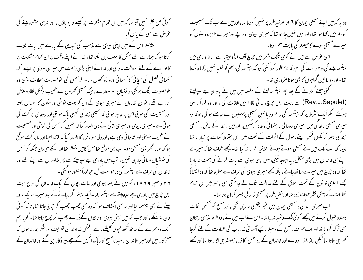کوئی حل نظر نہیں آتا تھا کہ میں ان تمام مشکلات پر کیسے قابو یاؤں ، اور نہ ہی مشورہ لینے کی عرص سے کسی کے پاس گیا۔ پیشتر اس کے میں اپنی بیوی سے مذہب کی تبدیلی کے مارے میں بات جیت کرتا حو کہ ہمارے لئے مشکل کا سبب بن سکتا تھا ، خدا نے اپنے وقت پر ان تمام مشکلات پر قا بو پانے کے لئے بروقت مدد کی اور خدا نے اپنی بڑی رحمت میں میر ی بیوی پر اپنے پاک آسمانی فصل کی سچائی کا آسمانی دروازہ تھول دیا۔ کرسمس کی خوبصورت سحاوٹ یعنی وہ خوبصورت رنگ برنگی روشنیاں اور ستارے ، حبکہ مسیحی گھروں سے عجیب دلکش نظارہ پیش کررہے تھے ، تو ان نظاروں نے میر ی بیوی کے دل کو بہت خوشی اور سکون کا احساس بخشا اور مسیحیت کی خوبی اس پر ظاہر ہو ٹی کہ مسیحی زند گی کیسی پاک خوشی اور روحا فی بر کت کی ہو تی ہے۔میری بیوی اور میری بیٹی نے دلی اظہار کیا کہ انہیں کرسمس کی خوشی اور مسیحیت نے عجیب حوشی اور شادما فی دی ہے، اور دلی حواہش کا اظہار کیا کہ کتنا احیا اور یا بر کت موقع ہو کہ ہماراگھر بھی مسیحی ہو۔اب یہی موقع تھا جس کامیں منتظر تھا اور اگلے ہی دن جبکہ کرسمس کی خوشیاں منا ئی جارہی تھیں ، تب میں یادری جے سپولیتے سے پھر ملااوران سے اپنے لئے اور خاندان کی طرف سے بپتسمہ کی درخواست کی، حوفوراً منظور ہوگئی۔ ۲۶ دسمبر ۱۹۶۹ء کومیں نے بمعہ بیوی اور سات بچوں کے ایک خاندان کی طرح بیت ایل جرچ میں یادری ہے سپولیتے سے بہتسمہ لیا۔ایک ہفتہ گزر جانے کے بعد میرے ایک اور بیٹے نے بھی بہتسمہ لیااور یہ بھی انکشاف ہوا کہ وہ بھی چھپ چھپ کر حجرچ جاتا تھا، تاکہ کوئی جان نہ سکے ، اور حب کہ میں اپنی بیوی او ربچوں کے ڈر سے چھپ کر حیرچ جاتا تھا۔ گویا ہم ا یک دوسمرے کے ساتھ آئکھ مجولی تھیلتے رہے۔ لیکن خداوند کی تعریف اور شکر بحالاتا ہوں کہ سمخر کار میں اورمیرا خاندان ، سید نامسح اور پاک انجیل کے بیچے پیروکار بن گئے اور خاندان کے

وہ یہ کہ میں اپنے مسیحی ایمان کا اقرار اعلانیہ طور پر نہیں کررہا تھا، اورمیں نے اب تک مسیحیت کوراز میں رکھا ہوا تھا ، اور میں نہیں چاہتا تھا کہ میری بیوی اورپچے اورمیرے عزیزدوستوں کو میرے مسیحی ہونے کافیصلہ کی بابت علم ہوتا۔ اسی غرض سے میں نے کوی تنگ شہر میں حجرچ آف انڈونیشیا سے ، راز داری میں بپتسمہ لینے کی درخواست کی ، حو کہ نامنظور کرد گئی کیونکہ بپتسمہ کی رسم کوخفیہ نہیں رکھاجاسکتا تھا۔اور دو یا تبین گواہوں کا بھی ہوناصروری تھا۔ کئی ہفتے گزرنے کے بعد پھر بپتسمہ لینے کے سلسلہ میں میں نے یادری جے سپولیتے (Rev.J.Sapulet) سے بیت ایل جرچ، جاتی گارا میں ملاقات کی ، اور وہ فوراً راضی ہوگئے ۔ مگر ایک سٹرط پر کہ ببپتسمہ کی رسم دو یا تین مسیحی پڑوسیوں کے سامنے ہو گی، تاکہ وہ میری مسیحی زندگی میں میری روحانی راہنمائی و مدد کرسکیں، اورمیں ، خدا کے لائق ، مسیحی زند گی بسر کرسکوں لیکن اپنے ماحول کے اثرات کے تحت میں اس سثرط کوماننے پر تیار نہ تھا جیسا کہ اب تک میں نے مسیحی ہوتے ہوئے اعلانیہ اقرار نہ کیا تھا-مجھے خوف تھا کہ میرے اپنے ہی خاندان میں بڑی مشکل پیدا ہوجا ئیگی، میں اپنی بیوی سے بات کرنے کی ہمت نہ پارہا تھا کہ وہ جرچ میں میرے ساتھ جائے ، بلکہ مجھے میری بیوی کی طرف سے خطرہ تھا کہ وہ انتقاماً مجھے اسلامی قانون کے تحت طلاق کے لئے عدالت تک لے جاسکتی تھی ، اور میں ان تمام خطرات کے پیش نظر حنوف زدہ تھااور خفیہ طور پر مسیحی زندگی بسر کرناچاہتا تھا-اب میری زند گی ، مسیحی ایمان میں عنیر یقینی نه رہی تھی ، اورمسح کو شخصی نجات دہندہ قبول کرنے میں مجھے کوئی شک وشیہ نہ ربانتیا۔اس لئے اب میں نے ، دوطرفہ مذہبی رجحان بھی ترک کردیا تھااور اب صرف، مسح کے وسیلہ ، سیچےآسما فی خدا پاپ کی عمادت کے لئے گرجا تحھر ہی جاتا تھا لیکن راز افشا ہوجانے اور خاندان کے رد عمل کا ڈر ، ہمیشہ ہی لگا رہتا تھا اور مجھے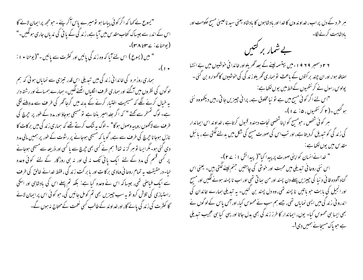"یسوع نے کہا کہ اگر کوئی بیابیا ہو تومیرے پاس آکر پئے۔حومجھ پر ایمان لائے گا اس کے اندر سے جیساک کتاب مقدس میں آیا ہے، زندگی کے یا نی کی ندیاں جاری ہونگیں۔" (يوحنايه: ٢٣٤٣٨)-" میں (یسوع ) اس لئے آیا کہ وہ زند گی پائیں اور کثرت سے پائیں ۔"(یوحنا • ۱ :  $-(\cdot)$ 

ہماری روز مرہ کی خاندا فی زند گی میں تبدیلی اس قدر تیزی سے نمایاں ہوئی کہ ہم لو گوں کی نظروں میں آگئے اور ہماری ظرف انگلیاں اٹھنے لگیں۔ ہمارے ہمسائے اور رشتہ دار یہ خیال کرنے لگے کہ مسیحیت اختیار کرنے کے بدلہ میں گرجاٹھر کی طر **ف** سے مددیلنے لگی ہے۔ لوگ تمسخر سے کھتے " کہ اگر جلدامیر بننا ہے تو مسیحی ہوجاؤ اور مدد کے طور پر جرچ کی طرف سے لاکھوں روپیہ وصول ہوگا" ۔لوگ یہ ننگ کرتے تھے کہ ہماری زند کی میں برکات کا نازل ہوجا نا حجہ بچ کی طرف سے ہے، گو ما کہ مسیحی ہوجانے پر رشوت کے طور پر ہمیں مالی مدد دی گئی ہو۔مگر ایسا تو ہر گزیہ تھا! ہم نے کسی بھی جرچ سے پا کسی اور ذریعہ سے مسیحی ہوجانے پر کسی قسم کی مدد کے لئے ایک یائی تک نہ لی اور نہ ہی روزگار کے لئے کوئی وعدہ لیا۔درحقیقت پہ تمام روحا نی ومادی بر کا ت اور یا بر کت زند گی ، فقط خدائے خالق کی طرف سے ایک فیاضی تھی، جیسا کہ اس نے وعدہ کیا ہے: بلکہ تم پہلے اس کی بادشاہی اور اسکی راستیازی کی تلاش کرو نو بہ سب چیزیں بھی تم کومل جائیں گی، حو کوئی اس پر ایمان لائے گا کنٹرت کی زند گی یائے گا، اور خداوند کے طالب کسی نعمت کے محتاج نہ ہوں گے۔

ہر فرد کے دل پراب، خداوندوں کا خدااور بادشاہوں کا بادشاہ یعنی سید ناعیسیٰ مسیح حکومت اور یادشاہت کرنے لگا۔ <sub>ناہت کرنے لگا</sub>۔<br>**بے شم**ار بر کتنبیں ۲ ۲ دسمبر ۹ ۶ ۹ ا ء میں بپتسمہ لینے کے بعد تھریلواور خاندا نی خوشیوں میں بے انتہا اصافہ ہوا، اور ان جند بر کتوں کے باعث تو ہماری ٹھریلوز ند کی کی خوشیوں کا گھوارہ بن گئی۔ پولوس رسول نے کر نتھیوں کےخط میں یوں لکھاہے: "اس لئے اگر کوئی مسیح میں ہے تو نیا مخلوق ہے، پرانی چیزیں جاتی رہیں دیکھووہ نئی ہو کئیں۔( ۲ کر نتھیوں ، ۵ : ۲۱ )۔ مبر کوئی شخص ، ح<u>و</u>مسیح کو اپناشخصی نجات دہندہ قسول کرتاہے ، *خد*اوند اس ایماندار کی زند کی کو تبدیل کردیتا ہے، اور تب اس کی صورت مسیح کی شکل میں بدلنے لگتی ہے ، یا ئبل مقد س میں یوں لکھاہے : " خدانے انسان کواپنی صورت پر پیدا کیا"(پیدائش ۱: ۲۷)-اس نئی روحانی تبدیلی میں محبت اور خوشی کی چاہتیں جنم لینے لکتی ہیں۔ یعنی اس گناه آلوده فا فی د نبا کی چیزیں پہلے دن پسند اور من ساتی تھی اور اب نا پسند ہونے لگیں اور مسیح اور انجیل کی بابت حو پاتیں نا پسند تھی، وہ دل پسند بن کئیں۔ یہ تبدیلی ہمارے خاندان کی اندرو فی زند کی میں ایسی نمایاں تھی، جسے ہم سب نے محسوس کیا، اوراہمں پاس کے لوگوں نے بھی ایسا ہی محسوس کیا۔ یوں، ایماندار کا طرز زند کی بھی بدل جاتا اور یہی کیا ہی عجیب تبدیلی ہے حویاک مسیجانے ہمیں دی!۔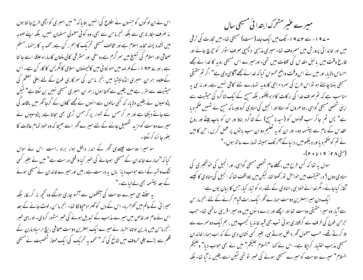اس نے ان لوگوں کو حسنہوں نے اطلاع کی انہیں بتا پا کہ " میں امبری کواچھی طرح جا نتا ہوں نہ صرف حِکار تہ ہی سے بلکہ بنجرماسن سے بھی، وہ کوئی معمولی مسلمان نہیں، بلکہ اپنے صوبہ میں تشدد پسند محاید اسلام ہے اور مخالف مسیحی تحریک کااہم ر کن ہے، محمد بہ کا رہنما ، مسلم صحافی اور اسلام کی تبلیغ میں سمر گرم ہے،وسطی اور مشرقی کالی منتان کاساراہ علاقہ اسے جا نتا ہے ، اور ے ۹۴ ا ء کے عرصہ میں امو نتا ئی میں کالیمنتان اسلامی کانگریس کا کار کن ہے۔اس کےعلاوہ ہمران امبری انڈونیشیا میں بنجر ماسن کی سمرکاری فوج کے لئے اعلیٰ معظم کی حیثیت سے مقرر ہے میں یقین سے کھتا ہوں ، ہمران امبری مسیحی نہیں بن سکتاہے" لیکن پڑوسیوں نے یقین دلایا، کہ کئی سالوں سے انہوں نے مجھے گاؤں کے گرجاٹھر میں باقاعد گی سے جاتے دیکھا ہے اور مبر کرسمس کے ننوار پر کرسمس ٹری بھی سحاتا ہے، پڑوسیوں نے میرے دوست کو مزید گفصیل جاننے کے لئے میرے گھر اسے بھیجا کہ وہ خود تمام حالات کا بغور جائزه کرسکتا۔

سو میرا دوست چیسےہی تھر کے اندر داخل ہوا، براہ راست اس نے سوال کیا کہ"ہمارے خاندان کے مسیحی ہوجانے کی خبر کیا واقعی درست ہے" میں نے بغیر کسی ننگ وشبہ کے اسے حواب دیا: ہاں پہ درست ہے ، میں اور میرے خاندان نے مسیحی ہونے کے بعد بہتسمہ بھی لےلیاہے۔" یہ سنتے ہی میرے دوست کی آنکھوں سے آنسو جاری ہوگئے وہ کحچھ نہ کر یکا، بلکہ حسیرا فی کے عالم میں کھڑا رہا۔اس کے دل کو گھرا دھیکا لگا تھا۔ بنجرماسن، لوٹ جانے کے بعد

اس نے عام اور خاص میں میرے مذہب کے تبدیل ہونے کی خبر مشور کردی۔ اور یہی خبر بنعجرماسن میں بارین اوتاما اخبار نے میرے ایک بہترین دوست صحافی ، ایچ ارسیاد مارن کے قلم سے بڑے جلی حروف میں شائع کی کہ " محمد یہ تحریک کی ایک ممتاز شخصیت نے مسیحی

میرے عنبر مشحرک ابتدائی مشیحی سال • 4 ۷ ا ء سے ۲ ۷ 4 9 ء تک میں ایک جامد(سست) مسیحی تھا۔میں تحارت کی ترقی میں اور خاندا فی پرورش میں مصروف تھا۔ میری مذہبی دلچیبی صرف اتوار کو حیرچ جانے اور فارغ وقت میں پائبل مقدس کی تلاوت میں تھی۔اورمیرے اس مسیحی روبہ کا خدا نے مجھے احساس دلایا، اور میں نے اس وقت واضح محسوس کیا کہ خدانے مجھےآگاہی دی ہے" اگر تم حقیقی مسیحی بننا چاہتے ہو تو اس طرح کی سرد مزاجی کاروبہ تہارے لئے کافی نہیں ہے، اور نہ ہی بہ مناسب ہے کہ تم صرف خدا کی برکات کامزہ چکھو، بلکہ مسح کے ایک شاگرد کی حیثیت سے اپنی شخصی مسیحی گواہی ، دوسمروں کوسناؤاور انجیل کی منادی کروجیسا کہ مسیح نے تمہیں صحم دیا ہے" پس تم جاگر سب قوموں کو (سید نا مسیح) کے شاگرد بناؤ اور ان کو ماپ پیٹے اور روح القد س کے نام سے بہتسمہ دو- اور ان کو بہ تعلیم دو ان سب یا توں پر عمل کریں ، حن کامیں نے تم کو ضخم دیااور دیکھومیں، د نباکے آخر تک ہمیشہ تہارے ساتھ ہوں۔" (متى ٢٨ : ٩ ، تا ٢٠ )-

سوال په تعا که کس طرح میں ،مجلے عام شخصی مسیحی گواہی، اور انجیل کی خوشخبری کی منادی دوں؟ درحقیقت میں خواہش نورکھتا تھا، لیکن میں ناواقف تھا کہ انجیل کی منادی کا کیسے کناز کیاجائے۔مگرخدا نے خود سی، منادی کے لئے راہ کو تیار کیا، جس کا بیان یوں ہے: ا یک دن میر ابہ مترین دوست ہمارے تھر ایک رات قبام کرنے کے لئے بنجرمارسن سے آیا، وہ میرا حقیقی دوست تھا اور اچھے اور برے دیوں میں وہ میرا قریبی ساتھی تھا۔ جب جرمن فوج کی طرف سے گرفتاری ہوئی تب بھی قید خانہ یا کیمپ میں ، ہم ایک دوسمرے سے ملا کرتے تھے۔ حسب معمول گھر داخل ہوتے ہی، بغیر کسی نشان دہی کے کہ اب ہمارا خاندان السلام" میرے دوست کو میرے مسیحی ہونے کی خبر تو تھی لیکن اسے یقین نہ آیا تھا۔ بلکہ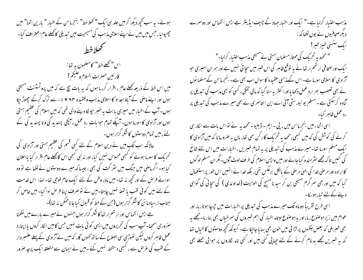ہوئے۔ یہ سب کچھ دیکھ کرمیں جلد ہی ایک " تھلاخط" بنجرماسن کے اخبار " بارین اتما" میں چھپوایا ، جس میں میں نے اپنے اسلامی مذہب کی مسیحیت میں تبدیلی کاتھلے عام اعتراف کیا۔ كحلاخط اس" كھلے خط" كامصنمون بہ تھا : قارئين حصرات السلام وعليكم! میں اس خط کے ذریعہ کھلے عام ، اقرار کررہا ہوں کہ یہ بات سچ ہے کہ میں پروٹسٹمنٹ مسیحی ہوں اور اپنے ماصی کے آباؤ اجداد کا اسلامی مذہب وعقیدہ ۴۷ 9 ا ء سے ترک کرکے چھوڑ حیکا ہوں۔ آپ کے اخبار میں میری بابت یہ خبر حپولکا دینے والی تھی کہ میں اسلام کی عظیم ہستی ہوں اور آزادی کا سورما ہوں۔ آپکے تمام حوا بات رد عمل ، آپکی پسندید کی ونا پسندید کی کے یئے ،میں تمام دوستوں کاشکر گزار ہوں۔ حالانکہ اب تکب میں نے دین اسلام کے لئے کسی قسم کی عظیم ہستی اور آزادی کی تحریک کا سورما ہونے کو کبھی محسوس نہیں کیا، اور نہ ہی کبھی اس کا کھلے عام اقرار کیا یا اعلان کیا ہو۔ اگر ماصی میں جنگ میں سٹر کت کی بھی ، جیسا کہ میرے دوستوں نےلکھا ہے تو وہ سوائے فر حن کے اور تحچھ نہ تھا۔ میں مادر وطن کے لئے ایک عام فوجی تھا۔ لہذا اس خدمت کے لئے میں کوئی لقب یا تمغہ نہیں چاہتا-میں نے توصرف اپنا فرص ادا کیا- میں خاص کر جناب ارسیاد ما نن کاشکر گزار ہوں (حبی کے خطہ کو قسول کیاجاناممکن بنہ تھا)۔ ہے ایس انتماس اور ارتہم ارتفا کاشکر گزار ہوں جنہوں نے میرے بارے میں لکھنا صروری سمجیا۔ آپ سب کی تحریروں میں ایسی کوئی بات نہیں جس کامیں الکار کروں بااپنارد عمل ظاہر کروں لیکن تھوڑی سی اصلاح کے ساتھ کھوں گا، کہ میں نے آزادی کے پہلے علمبر دار کے لقب کی غرص سے ، کسجی دستخط نہیں گئے ۔میں نے ایمان سے متعلقہ ایک پرجہ صرور

مذہب اختیار کرلیاہے۔" ایک اور اخبار جہاد کے چیف ایڈیٹر جے ایس انتماس اور دوسمرے دیگر صحافیوں نے یوں لکھا کہ :-ايك سنسنى خيرز خبر! " محمد یہ تحریک کی ممتاز مسلمان ہستی نے مسیحی مذہب اختیار کرلیا۔" ا یک اور صحافی ارتھم ارتھا نے بہ توقع ظاہر کی اس خبر میں سجا ئی نہیں ہے اور ہمران امبری حو آزادی کا اسلامی سورما ہے۔ اس کےمذہبی عقیدہ کا سوال اب بھی ہے۔ بنجرماسن کے مسلما نوں نے بھی تعصب بھرارد عمل دکھا مااور اکثر بہ سنا گیا کہ مالی تنگی، کسی کو بھی مذہب کی تبدیلی پر کمادہ کرسکتی ہے ۔مسلم یو نیورسٹی آئی اے این انتاسری نے بھی میرے مذہب کی تبدیلی پر رد عمل ظاہر کیا۔ اسی اثناء میں بنجرماسن میں ، پی - ایم - ڈبلیو - محمد پہ نے نواس بات سے الکار ہی کرنے کی کوشش کی کہ میں کسجی، محمد بہ تحریک کار کن بھی تھا، باں بہ صرورمانا کہ میں آزادی کا ایک مسلم سورہا تھا۔میرے مذہب کی تبدیلی پر یہ تمام خسریں ،اخبارات میں اس لئے شائع کی گئیں تا کہ مجھے سٹرمندہ کیا جائے اور میں واپس اسلام کی طرف لوٹ آؤں۔مگر ان مسلم لوگوں

کا ارادہ اور مر صنی خدا کی ایپیٰ مرصٰی کے پالکل برعکس تھی، بلکہ خدا نے انہیں اس طور پر استعمال کیا کہ میں اور بھی سر گرم مسیحی بن کر سید نا مسح کی الوہیت (غداوندی ) کی سجائی کی گواہی دینے کے لئے تیار ہوسکا۔

اسی طرح تقریباً دوماہ تک میرے مذہب کی تیدیلی پراخبارات میں حجرجا ہوتا رہا، اور عوام میں زیر موصوع رہا، اور پہ موصوع اوتامہ اخبار کی اہم خسروں کی سمرخباں بھی بنارہا۔مجھے پہ بھی خسر ملی کہ بعض جگہوں پر لڑائی میں حون بھی بہا یا جاجکا ہے۔ کیونکہ تحیھ دوستوں کا خیال تھا کہ یہ خبریں مجھے بد نام کرنے کے لئے حیا پی گئی بیں اور گئی نامہ لگاروں پر حوابی حملے بھی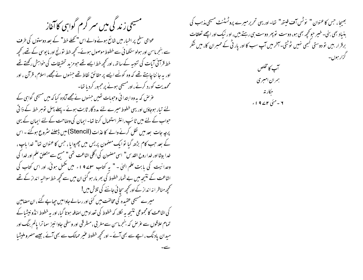مسیحی زندگی میں سر گرم گواہی کاآغاز

عوامی سطح پر اخبار میں شائع ہونے والے اس "کھلے خط" کے بعد دوستوں کی طرف سے بنجرماسن اور ہولو سنگھا ئی سے خطوط موصول ہوئے۔ کحچھ خط نورنج اور ما یوسی کے تھے، کحچھ خط قرآنی آیات کی تنبیہ کے ساتھ، اور کچھ خط ایسے تھے حومزید تحقیقات کی خواہش رکھتے تھے اور یہ جا ننا چاہتے تھے کہ وہ کونے ایسے پر حقائق نقاط تھے جنہوں نے مجھے، اسلام، قرآن ، اور محمدیت کورد کرنے،اورمسیحی ہونے پرمجبور کردیا تھا۔

عرض کہ بہ وہ ابتدا ئی وحومات تھیں جنہوں نے مجھے آمادہ کیا کہ میں مسیحی گواہی کے یئے تیار ہوجاؤں اور یہی خطوط میرے لئے مدد گار ثابت ہوئے۔پہلے پہل توہر خط کے ذا تی حواب کے لئے میں ٹا سَپ رائٹر استعمال کرتا تھا۔ ایمان کی وصاحت کے لئے ایمان کے یہی پرچہ جات بعد میں نقل کرنے والے کا عذات (Stencil) میں ڈھلنے سٹروع ہوگئے ۔ اس کے بعد حب کام بڑھ گیا تو ایک مضمون پریس میں چھپوایا ، حس کا عنوان تھا" خدا پاپ ، خدا بیٹا اور خداروح القدس" اسی مصنمون کی اگلی اشاعت تھی" مسح سے متعلق علم اور خدا کی وحدانیت کی بابت علم الهیٰ - " به کتاب سلمے ۱۹ء میں مکمل ہوئی، اور اس کتاب کی اشاعت کے نتیجہ میں بے شمار خطوط کی بھر مار ہو گئی ان میں سے محچھ خط سوالیہ انداز کے تھے تحجیھ مناظر انہ انداز کے اور کحچھ سجا ئی جاننے کی تلاش میں! میرے مسیحی عقیدہ کی مخالفت میں کئی اور رسالے جاوامیں حیایے گئے ، ان مضامین کی اشاعت کا مجموعی نتیجہ بہ لکل کہ خطوط کی تعداد میں اصافہ ہوتا گیا، اور بہ خطوط انڈو نیشا کے تمام علاقوں سے عرِّ ص کہ بسجرماسن سے مغر بی ، مشر قی اور وسطی جاوا نہیز سما ترا پالم بنگ اور میدان یاد نگ ، اچے سے بھی آئے - اور تحچھ خطوط عنیر ممالک سے بھی آئے ، جیسے مصرو ملیشیا

بھیجا، جس کاعنوان " نوٹس آف فیتھ" تھا-اوریہی تحریرمیرے پروٹسٹنٹ مسیحی مذہب کی بنیاد بھی بنی۔ خیر حو کچھ بھی ہو، دوست تو پھر دوست ہی رہتے ہیں، اور نیک اور اچھے تعلقات برقرار بیں تو دوستی کبھی نہیں ٹوٹتی۔آخر میں آپ سب کا اور یار ٹی کے ممبران کا، میں شکر گزار ہوں۔

> آپ کامخلص ہمران امبری حكار ته ۲ -مئی ۲۷۱۹،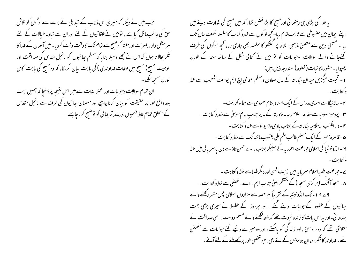جب میں نے دیکھا کہ میری اس مذہب کے تبدیلی نے بہت سے لوگوں کو تلاش حن کی جا سب مائل کیا ہے ، تو میں نے ملاقا تیوں کے لئے اور ان سے تبادلہ خیالات کے لئے ہر منگل وار، جمعرات اور ہفتہ کوصسح سے شام تک کاوقت وقف کردیا۔ میں آسمان کے خدا کا شکر بحالا تا ہوں کہ اس نے مجھے وسیلہ بنا ماکہ مسلم ہعائیوں کو پائبل مقدس کی صداقت اور الوہیت مسیح( مسیح میں صفات خداوندی ) کی بابت بیان کر یکا، کہ وہ مسیح کی بابت کامل طور پر سمجھ سکتے۔

ان تمام سوالات وحوا بات اور اعتراضات سے میں اس نتیجہ پر پہنچا کہ ہمیں بہت جلد واضح طور پر حقیقت کو بیان کرنا چاہیے اور مسلمان ہچائیوں کی طرف سے یا ئبل مقدس کے متعلق تمام علط فہمیوں اورعلط ترحما فی کو نوضیح کرناچاہیے۔

یہ خدا کی بڑی ہی رہنمائی اورمسح کا بڑا فصل تھا، کہ میں مسح کی شہادت دینے میں اپنے ایمان میں مضبوطی سے ثابت قدم رہا۔ تحچھ لو گوں سے خط و کتاب کاسلسلہ نصف سال تک رہا ۔ مسیحی دین سے متعلق مذہبی نقاط پر گفتگو کا سلسلہ بھی جاری رہا، تحچیہ لوگوں کی طرف کئےجانے والے سوالات وجوامات کو تو میں نے کتابی شکل کے ساتھ سند کے طور پر چېپوايا-مشور مکاتيات (خطوط) مندرجه ذيل بين: ا - قبلت میگزین میدان حِکار تہ کے مدیر معاون ومسلم صحافی ایچ ایم یوسف شعیب سے خط و کتابت۔ ۲ – سالا تیگا سے اسلامی مدرس کے ایک استادینام سمودی سے خط و کتابت – **۲۰- پرو**حوسسوو یا سے مطالعہ اسلام رسالہ حِکار نہ کے مدیر جناب امام موسیٰ سے خط**و کتابت -**ىم- دارالكتب الاسلاميه حِكار نه كے جناب بادى واہيو نوسے خط و كتابت – ۵۔ قاہرہ مصر کے ایک مسلم طالب علم علی یعقوب ما تند نگ سے خط و کتا بت ۔ ۲ – انڈونیشیا کی اسلامی حماعت احمد یہ کے سپیکر جناب، اے حسن تاؤسے دن پاسمر بالی میں خط و کتابت۔ ے۔حماعت طلبہ اسلام سمریا بہ میں از بیٹ فہمی اور دیگر طلبا سے خط و کتا بت۔ ۸۔ مسجد آگنگ (مر کزی مسجد )کے منتظم اعلیٰ جناب ایم ۔اے ۔ فصلی سے خط و کتا بت ۔ 9 کے 9 ا ء تک انڈونیشیا کے تقریباً ہر حصہ سے ہزاروں اسلامی پس منظر رکھنے والے ہجا ئیوں کے خطوط کےحوامات دیئے گئے ۔ اور ہرروز کے خطوط نے میری بڑی ہمت بندھا ئی۔اور یہ اس بات کا زندہ شوت تھے کہ خط کھنے والے مسلم دوست ، الہٰی صداقت کے متلاشی تھے کہ وہ راہ حق ، اور زند گی کو پاسکتے ، اور وہ میرے دئیے گئے حوایات سے مطمئن تھے۔خداو ند کاشکر ہو، ان دوستوں کے لئے بھی ، حوشنھیی طور پرمجھے ملنے کے لئے آئے ۔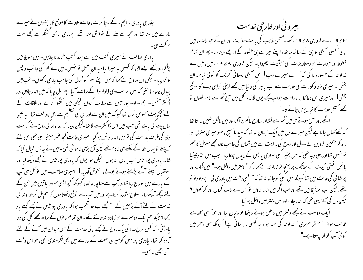جلد ہی یادری ۔ ایم ۔ کے ۔جا کرات ماجا سے ملاقات کا موقع ملا، حبنہوں نے میرے بارے میں سنا تھا اور مجھ سے ملنے کے خواہش مند تھے۔ ہماری باہمی گفتگو سے مجھے بہت برکت ملی۔ یادری صاحب نے میری کتب میں سے چند کتب خرید نا چاہیں۔ میں سوچ میں پڑ گبا اور مجھے ایسے لگا، کہ تھمیں یہ میرا نبا میدان عمل نو نہیں۔میں نے ٹھر کی جانب واپس لوٹنا چایا - لیکن دل وروح نے <sub>ک</sub>ما کہ میں اپنے سفر کوشمال کی جانب جاری رکھوں۔ تب میں پیدل چلتا رہا حتیٰ کہ میں کرامت وی (ادارہ) کے سامنے آگیا۔ پھر دل چایا کہ میں اندر جاؤں اور ڈا کٹر آئس ۔ ایم ۔ او۔ پور میس سے ملاقات کروں، لیکن میں گفتگو کرنے اور ملاقات کے لئے پیچکچاہٹ محسوس کررہا تھا کیونکہ میں ان سے اور ان کی تنظیم سے بھی ناواقف تھا۔ بہ تین سال پہلے کی بات تھی جب میں اس ڈا کٹر سے ملا تھا۔لیکن جیسا کہ خداوند کی روح نے کرامت وی کی طرف بدایت کی تومیں اندر داخل ہوگیا۔میری حالت کحچھ عنیر یقینی سی تھی اس لئے کہ پہلے نویہاں خدا کے کتنے ہی خادم تھے لیکن آج بڑی خاموشی تھی۔میں نے یہ بھی خیال کیا کہ شاید یادری پور میس اب یہاں یہ ہوں۔ لیکن ہوا یوں کہ یادری پورمیس نے مجھے دیکھ لیا اور استقبال کیلئے آگے بڑھتے ہوئے بولے، "خوش آمدید! امبری صاحب۔ میں تو کل ہی آپ کے مارے میں سورچ رہا تھا اورآپ سے ملنا چاہتا تھا، کیونکہ تحچھ ایسی صرور باتیں بیں حن کے یئے مجھے آپکےساتھ صلاح مشورہ کرنا ہے اور میں آپ سے توقع رکھتا ہوں کہ ہم مل کر خداوند کی خدمت کے لئےآگے بڑھیں گے۔" مجھے بے حد تعجب ہوا کہ یادری پورمیس نےمجھے کیسے ماد رکھا ؟ حبکہ ہم ایک دوسرے کوزیادہ نہ جانتے تھے۔ ان تمام یا نوں کے ساتھ مجھے کل کی دعا باد آئی ، کہ کس طرح خدا کی پاک روح نے مجھے اپنی خدمت کے اس میدان میں آنے کے لئے آمادہ کیا تھا۔ یادری پورمیس کومیری صحت کے بارے میں بھی فکر مندی تھی، حواس وقت اتني اچھی نہ تھی۔

بیرو نی اور خارجی خدمت

A ے 1 ا<sub>ع</sub>سے فروری A ے 1 اء تک مسیحی مذہب کی بابت سوالات اور ان کے حوایات ، میں اپنی شخصی مسیحی گواہی کے ساتھ ساتھ ، اپنے میز سے ہی خطوط کے ذریعے دیتارہا- پھر ان تمام خطوط اور حوابات کو دستاویزات کی حیثیت چھپوایا- لیکن فروری A ۷ 9 ء میں، میں نے خداوند کے حصور دعا کی کہ " اے میرے رب! اس مسیحی روحانی تحریک کو کوئی نبامیدان بخش ۔ میری خط و کتابت کی خدمت سے اب پاہر کی د نیامیں مجھے اپنی گواہی دینے کا موقع بخش! اورمیری اس دعا کا براہ راست حواب مجھے یوں ملا کہ : کل میں صبح گھر سے باہر لکلوں تو مجھے مسیحی خدمت کا نیارخ مل جانے گا۔"

اگلے روز صبح ہوتے ہی میں گھر سے لکلااور شارع عالم پرآگیا اور میں بالکل نہیں جا نتا تھا کہ مجھے کہاں جانا ہے لیکن میرے دل میں ایک ایمان سا تھا کہ سید نامسح ، خود میری منزل اور راہ کومتعین کردیں گے۔ دل اور روح کی ہدایت سے میں شمال کی جانب چلا، مجھے منزل کا علم تو نہیں تھا اور یہی وجہ تھی کہ میں بغیر کسی سواری یا بس کے پیدل چلتارہا۔ حب میں انڈونیشیا یا ئبل انسٹی ٹیوٹ کے پپاٹک پر پہنچا تو خداوند بے <sub>ک</sub>ہا ، کہ" دفتر میں داخل ہو۔" میں ش*ک* اور پریشا فی کی حالت میں تھا کیونکہ میں کسی کوجا نتا نہ تھا کہ " کسی وقت میں یادری بی۔ پرو بوو نو تو تھے، لیکن اب سلاٹیگا میں تھے اور اب اگر میں اندر جاؤں تو کس سے بات کروں اور کیا ک<sup>ھ</sup>وں <sup>؟</sup> لیکن دل کی آوازیهی تھی کہ اندر جاؤ ، اور میں دفتر میں داخل ہو گیا۔

ایک دوست نے مجھے دفتر میں داخل ہوتے دیکھا تو پہچان لیا اور فوراً ہی مجھ سے مخاطب ہوا: " مسٹر امبری ! خداوند کی حمد ہو ، یہ کیبی راہنمائی ہے! کیونکہ اسی دفتر میں گوئی آپ کوملنا چاہتا ہے۔"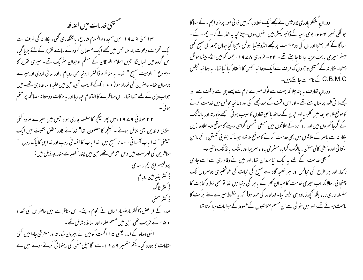سنسيحي خدمات ميس اصافير

۱۳ مئی ۹۷۹۹ ء میں مسجد دارالسلام شارع، یا تنگھاری گلی ، حکار تہ کی طرف سے ایک تحریف دعوت نامہ ملا، حس میں مجھے ایک مسلمان گروہ کے سامنے تقریر کے لئے بلایا گیا، اس گروہ میں لمبا پنگا جین اسلام الفرقان کے مسلم توجوان نثر یک تھے۔ میری تقریر کا موصوع " الوہیت مسح " تھا- یہ مناظرہ ڈاکٹر ابو نیا من روبام ، اور سائی اردی اور میرے درمیان تھا۔ حاصرین کی تعداد سو ( • • ا ) کے قریب تھی، حن میں طلبہ واسا تذہ ہی تھے۔ میں حبواب دہی کے لئے تنہا نھا۔ اس مناظرے کا اختتام احیار با اور یہ ملاقات دوستا نہ مصافحہ پر ختم ہوئی۔

۲۲ حولائی ۹۷۹ ا ءمیں پھر کیکچر کا سلسلہ جاری ہوا، جس میں میرے علاوہ کئی اسلامی قائدین بھی شامل ہوئے ۔ کیکچر کا مصنمون تھا" خدائے قادر مطلق تثلیث میں ایک "یعنی" خدا باپ آسما نی ، سید نامسیح میں، خدا باپ کا انسا نی روپ اور خدا ہی کا پاک روح -" مناظرین کی فہرست میں دس اشخاص تھے، حن میں چند شخصیات مندرجہ ذیل ہیں : پروفیسر ایچ ایم رسیدی ڈاکٹر بنیامین روبام ڈا کٹر ٹا گور ڈاکٹر سمنی صدر کے فرائض ڈاکٹر مارمنسیار حمان نے انجام دیئے۔ اس مناظرے میں حاصرین کی تعداد • ۵ ا کے قریب تھی، حن میں مسلم علماء اور اسا تذہ شامل تھے۔ ائنی دوماہ کے اندر یعنی ۵ ا اگست کومیں نے بیرون حِکار تہ اور مسٹر قبی جاوامیں گئی مقامات کا دورہ کیا۔ یکم ستمبر ۹۷۹۹ء سے گاسپل مش کی رہنمائی کرتے ہوئے میں نے

دورانِ گفتگو یادری پورمیس نےمجھےایک خط دیا کہ میں ذا تی طور پر خط ایم ۔ کے سناگا حو گلی نمبر ۷مولو، بومی اسیہ کے ڈائیر یکٹر بیں انہیں دوں۔چنانچہ یہ خط لے کر۔ایم۔کے۔ سناگا کے گھر بہنیجا اور ان کی درخواست پر مجھے انڈونیشیا ہوٹل بھیجا گیا جہاں جمعہ کی صبح کئی مبسٹر میری بابت مزید جاننا چاہتے تھے۔ ۲۴- فروری ۸۷۹ ا ء جمعہ کو میں انڈونیشیا ہوٹل پہنچا۔ حِکار تہ کے مسیحی تاحروں ک طرف سے ایک دعائیہ مجلس کا انعقاد کیا گیا تھا۔ یہ دعائیہ مجلس C.B.M.C کے نام سے جانتے ہیں۔

دوران تعارف ہہ پتہ چلا کہ بہت سے لوگ میرے نام سے پہلے ہی سے واقف تھے اور مجھے ذاتی طور پر ملنا چاہتے تھے۔ اور اس وقت کے بعد مجھے کئی اور دعائیہ مجالس میں خدمت کرنے کاموقع ملا، حبو بعد میں کلیسااور حیرچ کے ساتھ باہمی تعاون کاسبب ہو ئی ۔مجھے حِکار تہ اور بانڈ نگ کے گرجا گھروں میں اور ارد گرد کے علاقوں میں مسیحی شخصی گواہی دینے کا موقع ملا۔ علاوہ ازیں جکار تہ سے باہر کے *علاقوں میں* بھی *خدم*ت کرنے کا موقع ملا تھا، جیسا کہ جنوبی گلمتن ، بنجرماسن امنتا ئی اور وسطی کالی منتن ، پالنگ کرایا، مستر قی جاوا، سمر بیا اور مالنگ با نڈ نگ وعنیر ہ-مسیحی خدمت کے لئے یہ ایک نیا میدان تھا، اور میں نے وفاداری سے اسے جاری رکھا، اور ہر طرح کی مجالس اور ہر خطبہ گاہ سے مسیح کی نجات کی حوشخبری دوسروں تک پہنچا ئی۔حالانکہ اب میری خدمت کا میدان گھر کے باہر کی دنیامیں تھا تو بھی خط و کتابت کا سلسلہ جاری رہا، بلکہ تحجیہ زیادہ ہی بڑھ گیا- خداوند کی حمد ہو! کہ یہ خطوط میرے لئے بر کت کا باعث ہوتے تھے، اور میں خوشی سے ان مسلم متلاشیوں کے خطوط کے حوا بات دیا کرتا تھا-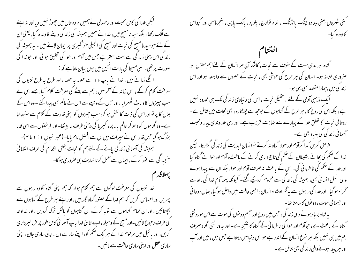لیکن خدا کی کامل محبت اور رحمد لی نے ہمیں مر دہ حال میں چھوڑ نہیں دیا اور نہ اپنے سے الگ رکھا ، بلکہ سید نامسح میں، خدا نے ہمیں ہمیشہ کی زند کی دینے کا وعدہ کیا، یعنی ان کے لئے حبو سید نامسح کی نجات اور مسح کی انجیلی خوشخبری پر ایمان لاتے ہیں ۔ بہ ہمیشہ کی ز ند کی اس پہلی زند کی سے بہت بہتر ہے جس میں آدم اور حوا کی تخلیق ہو ئی، اور حوضدا کی صورت پر تھی۔اسی مسیحا کی بابت انجیل میں یوں بیان ملتا ہے کہ : اگلے زمانے میں ، خدا نے پاپ دادا سے حصہ یہ حصہ ، اور طرح یہ طرح نبیوں کی معرفت کلام کرکے ، اس زمانہ کے آخر میں ، ہم سے بیٹے کی معرفت کلام کیا، جسے اس نے سب جیپزوں کا وارث ٹھہرایا ، اور حس کے وسیلے سے اس نے عالم بھی پیدا کئے ۔ وہ اس کے جلال کا پر تو اور اس کی ذات کا نقش ہو کر، سب جییزوں کو اپنی قدرت کے کلام سے سنسِالتا ہے۔ وہ گناہوں کو دھو کر عالم بالا پر ، کسریا کی دہنی طرف جا بیٹھا- اور فرشنوں سے اسی قدر بزرگ ہو گیا جس قدر اس نے میراث میں ان سے افضل نام پایا۔ (عبرانیوں ۱ : ۱ تا ۴)۔ ہمیشہ کی آسمانی زند کی پانے کے لئےہم کو نجات بخش اقدام کی طرف انتہائی سنجید گی سے عور کرکے ،ایمان سے عمل کرنا نہایت ہی صروری ہوگا۔

ببىلاقدم

خدا نبیوں کی معرفت لوگوں سے ہم کلام ہوا، کہ ہم اپنی گناہ آلودہ راہوں سے پھریں اور احساس کریں کہ ہم خدا کے حصنور گناہ گار بیں، او راپنے ہر طرح کے گناہوں سے بیچھتائیں ، اور ان تمام گناہوں سے توبہ کرکے، ان گناہوں کو بالکل ترک کردیں ، اور خداوند کی طرف رحوع لائیں۔اور مسح کے وسیلہ ، اپنے خالق خدا پاپ آسما فی کامل طور پر فرمانسر داری کریں، اور بائبل میں مرقوم خدا کے ہرایک حکم کو، اپنے سارے دل ، اپنی ساری جان ، اپنی ساری عقل اور اپنی ساری طاقت سے مانیں۔ کئی شهروں یعنی مینادواچنگ یا نڈنگ ، تناه توارج ، پلوپو ، بالک یا پن ، ښجرماسن اور کیواس کادورہ کیا۔ اختتنام گناہ اورابدی موت کے حوف سے نجات، کاشکہ آج ہر انسان کے لئےاہم منزل اور صروری نشانہ ہو۔ انسان کی ہر طرح کی خوشی بھی ، نجات کے حصول سے وابسطہ ہو اور اس ز ندگی میں ،ہمارامقصد بھی یہی ہو۔ ایک مذہبی آدمی کے لئے ، حقیقی نجات ، اس کی د نیاوی زند گی تک ہی محدود نہیں ہے ، بلکہ اس کی روح کا ، ہر طرح کے گناہوں کے بوحیے سے چھٹکارہ ، بھی نجات میں شامل ہے۔ روحانی نجات کا تعلق خدا کے پیارے سے نہایت قریب ہے۔ اور یہی خداوندی پیار ومحبت آسمانی زند کی کی بنیاد بھی ہے۔ فرص کریں کہ اگرادم اور حوا، گناہ نہ کرتے توانسان ابدیت کی زند گی گزارتا۔لیکن خدا کے صحم کی بجائے ، شبیطان کے صحم کی تابع داری کرنے کے باعث ، آدم اورحوا نے گناہ کیا اور خدا کے صحم کی نا فرما ٹی کی۔ اس کے باعث نہ صرف آدم اور حوا، بلکہ ان سے پیدا ہونے والی نسل انسانی بھی، ہمیشہ کی زند کی سے محروم کردئیے گئے۔ کیونکہ پہلاآدم خدا کی راہ سے ٹحمراہ ہو گیا۔ اور خدا کی راہوں سے بیرٹھراہ شدہ انسان ، ایسی حالت میں داخل ہو گیا، جہاں روحا فی اور حسمانی موت، دو نوں کا سامنا تھا۔ بہ فناو بر باد ہونے والی زند گی ، حس میں روح اور حبہم دو نوں کی موت ہے اس مورو ثتی

گناہ کے باعث ہے، حوآدم اور حوا کی نا فرما فی کے گناہ کا نتیجہ ہے۔ اور یہ وراثتی گناہ صرف ہم میں ہی نہیں بلکہ ہر نوع انسان کے اندر ہے حواس دنیامیں رہتا ہے جس میں ، میں اور آپ اور ہر پیدا ہونےوالی زند گی بھی شامل ہے۔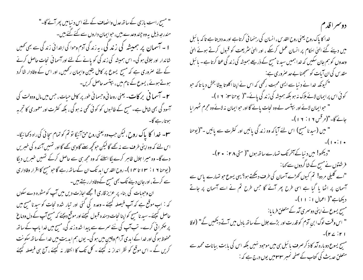" مسح راست بازی کے ساتھ عدل وانصاف کے لئے اس د نیامیں پھرآنے گا۔" مندرصہ ذیل یہ وہ چند وعدے بیں، حوایمان داروں سے کئے گئے بیں۔ ا ۔ آسمان پر ہمیشہ کی زند کی، یہ زند گی آدم وحوا کی ابتدائی زند گی سے بھی کھیں شاندار اور جلالی ہو گی۔ اس ہمیشہ کی زند گی کو پانے کے لئے اور آسما نی نحات حاصل کرنے کے لئے صروری ہے کہ مسیح یسوع پر کامل یقین وایمان رکھیں، اور اس کے وفادار شاگرد ہوتےہوئے، یسوع کے نام میں، بپتسمہ حاصل کریں۔ ۲ – آسمیا ٹی بر کات۔ یعنی روحانی وجسمانی طور پر کامل حیات ، جس میں مال ودولت کی آسودگی بھی شامل ہے۔ مسح کے طالبوں کو کوئی تھی نہ ہوگی ، بلکہ کثرت اور معموری کا تجربہ موتارہے گا۔ س - خدا کا پاک روح ،لیکن حب وه یعنی روح حن آئیگا تو تم کو تمام سچائی کی راه دکھا ئیگا-اس لئے کہ وہ اپنی طرف سے نہ کئے گا لیکن حوکھچھ سنے گاوہی کئے گا اور تمہیں آئندہ کی خبریں دے گا- وہ میرا جلال ظاہر کرے لگا اسلئے کہ وہ مجھ ہی سے حاصل کرکے نہیں خبریں دیگا ( یوحنا ۱۹ : ۳ تا ۱۴ مال ـ روح القدس اید تک ان کےساتھ رہے گا حبومسح کا اقرار وفاداری سے کرتے ،اورجان دینے تک بھی مسح کے وفادار رہتے ہیں۔ ان وحوہات کی بناء پر عزیز قاری ! مجھے اجازت دیں میں آپ کو مشورہ دے سکوں کہ : اِب موقع ہے کہ آپ فیصلہ کیچئے ۔ وعدہ کی گئی اور تبار شدہ نحات کو سیدنا مسح میں حاصل کیجئے۔سید نامسح کواپنا نحات دہندہ قسول کیجئے اور موقع دیجئے کہ مسح آپ کے دل ودماغ پر حکمرا فی کرے۔ تب آپ کی نئے سمرے سے پیدا شدہ زند گی، مسح میں خدا ماپ کے ساتھ محفوظ ہو گی اور خدا کے ابدی آرام وچین میں ہو گی۔ یوں ہم ابدیت میں خدا کے ساتھ سکو نت کریں گے ۔ اس موقع کو نظر انداز نہ کیجئے ۔ کل تک کا انتظار نہ کیجئے ، آج ہی فیصلہ کیجئے

دوسراقدم خدا کا پاک روح یعنی روح القدس ، انسان کی رہنما ئی کرتاہے اور مدد دیتا ہے تا کہ پا ئبل میں دیئے گئے الٰہیٰ احکام پر انسان عمل کرسکے ، اور الٰہیٰ سثر یعت کو قبول کرتے ہوئے الٰہیٰ وعدوں کو ہم جان سکیں کہ خدا ہمیں سید نامسح کے ذریعے ہمیشہ کی زند گی عطا کرتا ہے ۔ یا ئبل مقد س کی ان آیات کو سمجھنا بے حد صروری ہے: للکیونکہ خدا نے دنیا سے ایسی محبت رکھی کہ اس نے اپنا اکلوتا بیٹا بخش دیا تاکہ حبو کوئی اس پرایمان لائے ہلاک نہ ہو بلکہ ہمیشہ کی زند کی پائے۔"( یوحنا ۲۰ : ۱۲ )۔ " حوایمان لائے اور بستسمہ لے وہ نجات پائے گا اور حوایمان نہ لائے وہ مجرم ٹھہرایا -"(مرقس ٧ ا : ٧ ا )-<br>" میں (سید نا مسیح) اس لئے آیا کہ وہ زند گی پائیں اور کثرت سے پائیں -"(یوحنا جائے گا۔"(مرقس ۶۱۶: ۱۲)۔ "دیکھو! میں دنیا کے آخر تک تہارے ساتھ ہوں"( متی ۲۸ : ۲۰)۔ فرشتوں نے مسح کے شاگردوں سے کھا : "اے گلیلی مر دو! تم کیوں کھڑے آسمان کی طرف دیکھتے ہو؟ یہی یسوع حو تہارے پاس سے آسمان پر اٹھا یا گیا ہے اسی طرح پھر آئے گا جس طرح تم نے اسے آسمان پر جاتے دیکھاہے"( اعمال ۱ : ۱۱)۔ مسح یسوع نے اپنی دوسمری آمد کے متعلق فرمایا: " اس وقت لوگ ابنِ آدم کو قدرت اور بڑے جلال کے ساتھ بادل میں آتے دیکھیں گے" (لوقا  $-(r \angle r)$ مسج یسوع دوبارہ آمد کا ذکر صرف بائبل ہی میں موحود نہیں بلکہ اس کی بابت بیانات محمد سے متعلق حدیث کی کتاب کے صفحہ نمبر ۳۳ میں یوں درج ہے کہ :